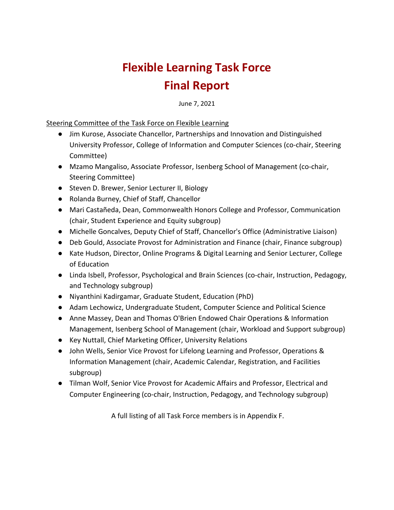# **Flexible Learning Task Force Final Report**

June 7, 2021

#### Steering Committee of the Task Force on Flexible Learning

- Jim Kurose, Associate Chancellor, Partnerships and Innovation and Distinguished University Professor, College of Information and Computer Sciences (co-chair, Steering Committee)
- Mzamo Mangaliso, Associate Professor, Isenberg School of Management (co-chair, Steering Committee)
- Steven D. Brewer, Senior Lecturer II, Biology
- Rolanda Burney, Chief of Staff, Chancellor
- Mari Castañeda, Dean, Commonwealth Honors College and Professor, Communication (chair, Student Experience and Equity subgroup)
- Michelle Goncalves, Deputy Chief of Staff, Chancellor's Office (Administrative Liaison)
- Deb Gould, Associate Provost for Administration and Finance (chair, Finance subgroup)
- Kate Hudson, Director, Online Programs & Digital Learning and Senior Lecturer, College of Education
- Linda Isbell, Professor, Psychological and Brain Sciences (co-chair, Instruction, Pedagogy, and Technology subgroup)
- Niyanthini Kadirgamar, Graduate Student, Education (PhD)
- Adam Lechowicz, Undergraduate Student, Computer Science and Political Science
- Anne Massey, Dean and Thomas O'Brien Endowed Chair Operations & Information Management, Isenberg School of Management (chair, Workload and Support subgroup)
- Key Nuttall, Chief Marketing Officer, University Relations
- John Wells, Senior Vice Provost for Lifelong Learning and Professor, Operations & Information Management (chair, Academic Calendar, Registration, and Facilities subgroup)
- Tilman Wolf, Senior Vice Provost for Academic Affairs and Professor, Electrical and Computer Engineering (co-chair, Instruction, Pedagogy, and Technology subgroup)

A full listing of all Task Force members is in Appendix F.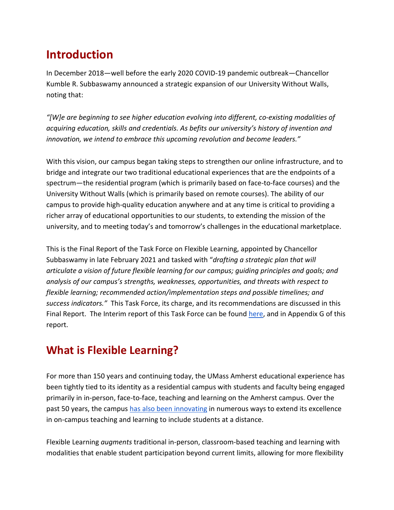# **Introduction**

In December 2018—well before the early 2020 COVID-19 pandemic outbreak—Chancellor Kumble R. Subbaswamy [announced a strategic expansion of our University Without Walls,](https://www.umass.edu/newsoffice/article/umass-amherst-announces-strategic) noting that:

*"[W]e are beginning to see higher education evolving into different, co-existing modalities of acquiring education, skills and credentials. As befits our university's history of invention and innovation, we intend to embrace this upcoming revolution and become leaders."* 

With this vision, our campus began taking steps to [strengthen our online infrastructure,](https://www.umass.edu/newsoffice/article/umass-opens-new-home-university-without) and to bridge and integrate our two traditional educational experiences that are the endpoints of a spectrum—the residential program (which is primarily based on face-to-face courses) and the University Without Walls (which is primarily based on remote courses). The ability of our campus to provide high-quality education anywhere and at any time is critical to providing a richer array of educational opportunities to our students, to extending the mission of the university, and to meeting today's and tomorrow's challenges in the educational marketplace.

This is the Final Report of the Task Force on Flexible Learning, appointed by Chancellor Subbaswamy in late February 2021 and tasked with "*drafting a strategic plan that will articulate a vision of future flexible learning for our campus; guiding principles and goals; and analysis of our campus's strengths, weaknesses, opportunities, and threats with respect to flexible learning; recommended action/implementation steps and possible timelines; and success indicators."* This Task Force, its charge, and its recommendations are discussed in this Final Report. The Interim report of this Task Force can be found [here,](https://www.umass.edu/chancellor/sites/default/files/pdf/interim_fl_report.pdf) and in Appendix G of this report.

# **What is Flexible Learning?**

For more than 150 years and continuing today, the UMass Amherst educational experience has been tightly tied to its identity as a residential campus with students and faculty being engaged primarily in in-person, face-to-face, teaching and learning on the Amherst campus. Over the past 50 years, the campus [has also been innovating](https://www.umass.edu/chancellor/brief-history-selected-teaching-and-learning-distance-activities-umass-amherst) in numerous ways to extend its excellence in on-campus teaching and learning to include students at a distance.

Flexible Learning *augments* traditional in-person, classroom-based teaching and learning with modalities that enable student participation beyond current limits, allowing for more flexibility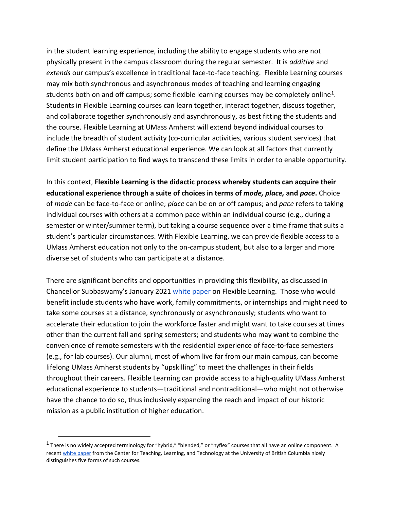in the student learning experience, including the ability to engage students who are not physically present in the campus classroom during the regular semester. It is *additive* and *extends* our campus's excellence in traditional face-to-face teaching. Flexible Learning courses may mix both synchronous and asynchronous modes of teaching and learning engaging students both on and off campus; some flexible learning courses may be completely online<sup>[1](#page-2-0)</sup>. Students in Flexible Learning courses can learn together, interact together, discuss together, and collaborate together synchronously and asynchronously, as best fitting the students and the course. Flexible Learning at UMass Amherst will extend beyond individual courses to include the breadth of student activity (co-curricular activities, various student services) that define the UMass Amherst educational experience. We can look at all factors that currently limit student participation to find ways to transcend these limits in order to enable opportunity.

In this context, **Flexible Learning is the didactic process whereby students can acquire their educational experience through a suite of choices in terms of** *mode, place,* **and** *pace***.** Choice of *mode* can be face-to-face or online; *place* can be on or off campus; and *pace* refers to taking individual courses with others at a common pace within an individual course (e.g., during a semester or winter/summer term), but taking a course sequence over a time frame that suits a student's particular circumstances. With Flexible Learning, we can provide flexible access to a UMass Amherst education not only to the on-campus student, but also to a larger and more diverse set of students who can participate at a distance.

There are significant benefits and opportunities in providing this flexibility, as discussed in Chancellor Subbaswamy's January 202[1](https://www.umass.edu/chancellor/sites/default/files/task_force_on_flexible_instruction_final.pdf) [white paper](https://www.umass.edu/chancellor/sites/default/files/task_force_on_flexible_instruction_final.pdf) on Flexible Learning. Those who would benefit include students who have work, family commitments, or internships and might need to take some courses at a distance, synchronously or asynchronously; students who want to accelerate their education to join the workforce faster and might want to take courses at times other than the current fall and spring semesters; and students who may want to combine the convenience of remote semesters with the residential experience of face-to-face semesters (e.g., for lab courses). Our alumni, most of whom live far from our main campus, can become lifelong UMass Amherst students by "upskilling" to meet the challenges in their fields throughout their careers. Flexible Learning can provide access to a high-quality UMass Amherst educational experience to students—traditional and nontraditional—who might not otherwise have the chance to do so, thus inclusively expanding the reach and impact of our historic mission as a public institution of higher education.

<span id="page-2-0"></span> $<sup>1</sup>$  There is no widely accepted terminology for "hybrid," "blended," or "hyflex" courses that all have an online component. A</sup> recen[t white paper](https://ctlt.ubc.ca/resources/learning/hybrid-teaching-and-learning/) from the Center for Teaching, Learning, and Technology at the University of British Columbia nicely distinguishes five forms of such courses.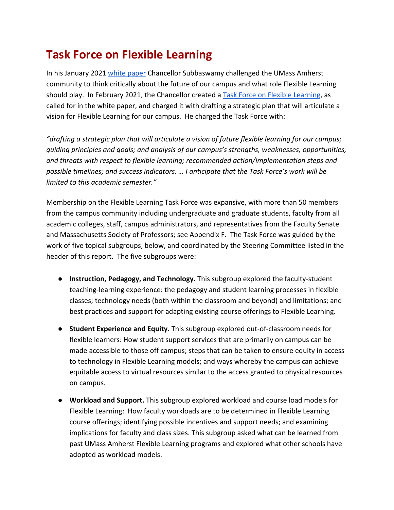# **Task Force on Flexible Learning**

In his January 202[1](https://www.umass.edu/chancellor/sites/default/files/task_force_on_flexible_instruction_final.pdf) [white paper](https://www.umass.edu/chancellor/sites/default/files/task_force_on_flexible_instruction_final.pdf) Chancellor Subbaswamy challenged the UMass Amherst community to think critically about the future of our campus and what role Flexible Learning should play. In February 2021, the Chancellor created a [Task Force on Flexible Learning,](https://www.umass.edu/newsoffice/article/chancellor-appoints-flexible-learning-task) as called for in the white paper, and charged it with drafting a strategic plan that will articulate a vision for Flexible Learning for our campus. He charged the Task Force with:

*"drafting a strategic plan that will articulate a vision of future flexible learning for our campus; guiding principles and goals; and analysis of our campus's strengths, weaknesses, opportunities, and threats with respect to flexible learning; recommended action/implementation steps and possible timelines; and success indicators. … I anticipate that the Task Force's work will be limited to this academic semester."*

Membership on the Flexible Learning Task Force was expansive, with more than 50 members from the campus community including undergraduate and graduate students, faculty from all academic colleges, staff, campus administrators, and representatives from the Faculty Senate and Massachusetts Society of Professors; see Appendix F. The Task Force was guided by the work of five topical subgroups, below, and coordinated by the Steering Committee listed in the header of this report. The five subgroups were:

- **Instruction, Pedagogy, and Technology.** This subgroup explored the faculty-student teaching-learning experience: the pedagogy and student learning processes in flexible classes; technology needs (both within the classroom and beyond) and limitations; and best practices and support for adapting existing course offerings to Flexible Learning.
- **Student Experience and Equity.** This subgroup explored out-of-classroom needs for flexible learners: How student support services that are primarily on campus can be made accessible to those off campus; steps that can be taken to ensure equity in access to technology in Flexible Learning models; and ways whereby the campus can achieve equitable access to virtual resources similar to the access granted to physical resources on campus.
- **Workload and Support.** This subgroup explored workload and course load models for Flexible Learning: How faculty workloads are to be determined in Flexible Learning course offerings; identifying possible incentives and support needs; and examining implications for faculty and class sizes. This subgroup asked what can be learned from past UMass Amherst Flexible Learning programs and explored what other schools have adopted as workload models.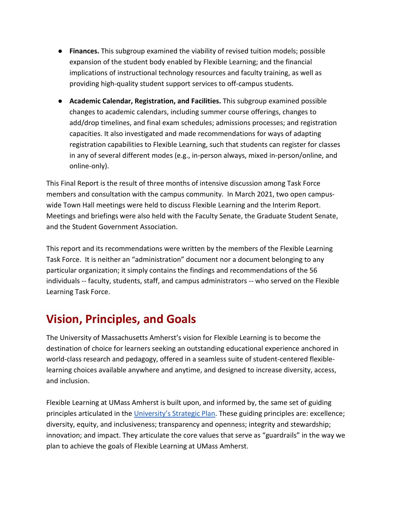- **Finances.** This subgroup examined the viability of revised tuition models; possible expansion of the student body enabled by Flexible Learning; and the financial implications of instructional technology resources and faculty training, as well as providing high-quality student support services to off-campus students.
- **Academic Calendar, Registration, and Facilities.** This subgroup examined possible changes to academic calendars, including summer course offerings, changes to add/drop timelines, and final exam schedules; admissions processes; and registration capacities. It also investigated and made recommendations for ways of adapting registration capabilities to Flexible Learning, such that students can register for classes in any of several different modes (e.g., in-person always, mixed in-person/online, and online-only).

This Final Report is the result of three months of intensive discussion among Task Force members and consultation with the campus community. In March 2021, two open campuswide Town Hall meetings were held to discuss Flexible Learning and the Interim Report. Meetings and briefings were also held with the Faculty Senate, the Graduate Student Senate, and the Student Government Association.

This report and its recommendations were written by the members of the Flexible Learning Task Force. It is neither an "administration" document nor a document belonging to any particular organization; it simply contains the findings and recommendations of the 56 individuals -- faculty, students, staff, and campus administrators -- who served on the Flexible Learning Task Force.

# **Vision, Principles, and Goals**

The University of Massachusetts Amherst's vision for Flexible Learning is to become the destination of choice for learners seeking an outstanding educational experience anchored in world-class research and pedagogy, offered in a seamless suite of student-centered flexiblelearning choices available anywhere and anytime, and designed to increase diversity, access, and inclusion.

Flexible Learning at UMass Amherst is built upon, and informed by, the same set of guiding principles articulated in the [University's Strategic Plan.](https://www.umass.edu/strategicplan/) These guiding principles are: excellence; diversity, equity, and inclusiveness; transparency and openness; integrity and stewardship; innovation; and impact. They articulate the core values that serve as "guardrails" in the way we plan to achieve the goals of Flexible Learning at UMass Amherst.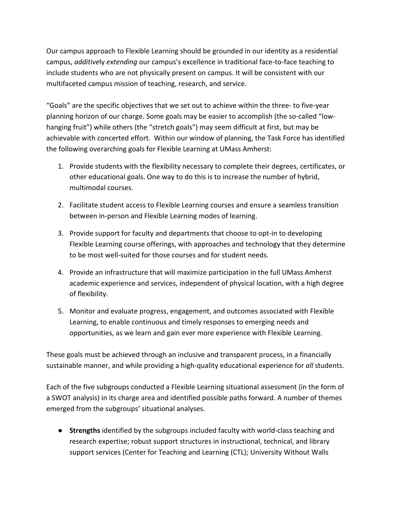Our campus approach to Flexible Learning should be grounded in our identity as a residential campus, *additive*ly *extending* our campus's excellence in traditional face-to-face teaching to include students who are not physically present on campus. It will be consistent with our multifaceted campus mission of teaching, research, and service.

"Goals" are the specific objectives that we set out to achieve within the three- to five-year planning horizon of our charge. Some goals may be easier to accomplish (the so-called "lowhanging fruit") while others (the "stretch goals") may seem difficult at first, but may be achievable with concerted effort. Within our window of planning, the Task Force has identified the following overarching goals for Flexible Learning at UMass Amherst:

- 1. Provide students with the flexibility necessary to complete their degrees, certificates, or other educational goals. One way to do this is to increase the number of hybrid, multimodal courses.
- 2. Facilitate student access to Flexible Learning courses and ensure a seamless transition between in-person and Flexible Learning modes of learning.
- 3. Provide support for faculty and departments that choose to opt-in to developing Flexible Learning course offerings, with approaches and technology that they determine to be most well-suited for those courses and for student needs.
- 4. Provide an infrastructure that will maximize participation in the full UMass Amherst academic experience and services, independent of physical location, with a high degree of flexibility.
- 5. Monitor and evaluate progress, engagement, and outcomes associated with Flexible Learning, to enable continuous and timely responses to emerging needs and opportunities, as we learn and gain ever more experience with Flexible Learning.

These goals must be achieved through an inclusive and transparent process, in a financially sustainable manner, and while providing a high-quality educational experience for *all* students.

Each of the five subgroups conducted a Flexible Learning situational assessment (in the form of a SWOT analysis) in its charge area and identified possible paths forward. A number of themes emerged from the subgroups' situational analyses.

● **Strengths** identified by the subgroups included faculty with world-class teaching and research expertise; robust support structures in instructional, technical, and library support services (Center for Teaching and Learning (CTL); University Without Walls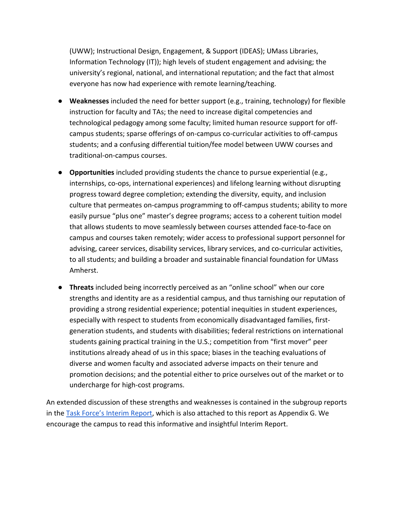(UWW); Instructional Design, Engagement, & Support (IDEAS); UMass Libraries, Information Technology (IT)); high levels of student engagement and advising; the university's regional, national, and international reputation; and the fact that almost everyone has now had experience with remote learning/teaching.

- **Weaknesses** included the need for better support (e.g., training, technology) for flexible instruction for faculty and TAs; the need to increase digital competencies and technological pedagogy among some faculty; limited human resource support for offcampus students; sparse offerings of on-campus co-curricular activities to off-campus students; and a confusing differential tuition/fee model between UWW courses and traditional-on-campus courses.
- **Opportunities** included providing students the chance to pursue experiential (e.g., internships, co-ops, international experiences) and lifelong learning without disrupting progress toward degree completion; extending the diversity, equity, and inclusion culture that permeates on-campus programming to off-campus students; ability to more easily pursue "plus one" master's degree programs; access to a coherent tuition model that allows students to move seamlessly between courses attended face-to-face on campus and courses taken remotely; wider access to professional support personnel for advising, career services, disability services, library services, and co-curricular activities, to all students; and building a broader and sustainable financial foundation for UMass Amherst.
- **Threats** included being incorrectly perceived as an "online school" when our core strengths and identity are as a residential campus, and thus tarnishing our reputation of providing a strong residential experience; potential inequities in student experiences, especially with respect to students from economically disadvantaged families, firstgeneration students, and students with disabilities; federal restrictions on international students gaining practical training in the U.S.; competition from "first mover" peer institutions already ahead of us in this space; biases in the teaching evaluations of diverse and women faculty and associated adverse impacts on their tenure and promotion decisions; and the potential either to price ourselves out of the market or to undercharge for high-cost programs.

An extended discussion of these strengths and weaknesses is contained in the subgroup reports in the [Task Force's Interim Report,](https://www.umass.edu/chancellor/sites/default/files/pdf/interim_fl_report.pdf) which is also attached to this report as Appendix G. We encourage the campus to read this informative and insightful Interim Report.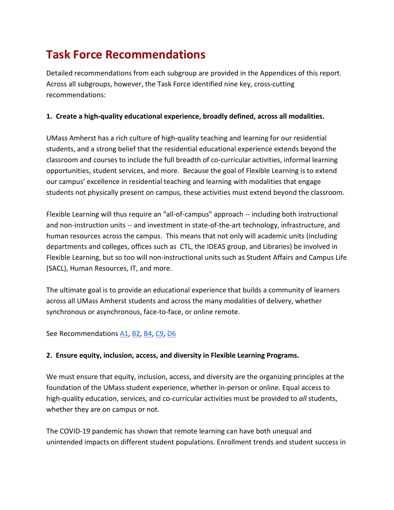# **Task Force Recommendations**

Detailed recommendations from each subgroup are provided in the Appendices of this report. Across all subgroups, however, the Task Force identified nine key, cross-cutting recommendations:

# **1. Create a high-quality educational experience, broadly defined, across all modalities.**

UMass Amherst has a rich culture of high-quality teaching and learning for our residential students, and a strong belief that the residential educational experience extends beyond the classroom and courses to include the full breadth of co-curricular activities, informal learning opportunities, student services, and more. Because the goal of Flexible Learning is to extend our campus' excellence in residential teaching and learning with modalities that engage students not physically present on campus, these activities must extend beyond the classroom.

Flexible Learning will thus require an "all-of-campus" approach -- including both instructional and non-instruction units -- and investment in state-of-the-art technology, infrastructure, and human resources across the campus. This means that not only will academic units (including departments and colleges, offices such as CTL, the IDEAS group, and Libraries) be involved in Flexible Learning, but so too will non-instructional units such as Student Affairs and Campus Life (SACL), Human Resources, IT, and more.

The ultimate goal is to provide an educational experience that builds a community of learners across all UMass Amherst students and across the many modalities of delivery, whether synchronous or asynchronous, face-to-face, or online remote.

See Recommendations [A1,](#page-13-0) [B2,](#page-16-0) [B4,](#page-19-0) [C9,](#page-26-0) [D6](#page-32-0)

# **2. Ensure equity, inclusion, access, and diversity in Flexible Learning Programs.**

We must ensure that equity, inclusion, access, and diversity are the organizing principles at the foundation of the UMass student experience, whether in-person or online. Equal access to high-quality education, services, and co-curricular activities must be provided to *all* students, whether they are on campus or not.

The COVID-19 pandemic has shown that remote learning can have both unequal and unintended impacts on different student populations. Enrollment trends and student success in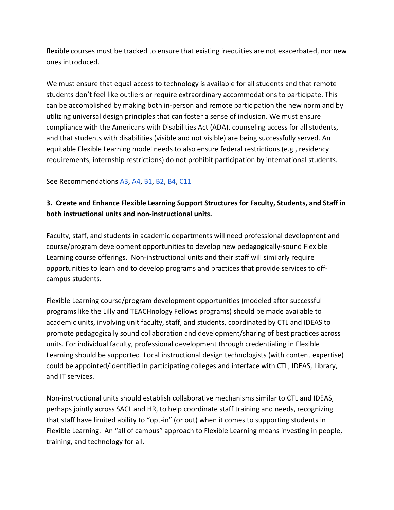flexible courses must be tracked to ensure that existing inequities are not exacerbated, nor new ones introduced.

We must ensure that equal access to technology is available for all students and that remote students don't feel like outliers or require extraordinary accommodations to participate. This can be accomplished by making both in-person and remote participation the new norm and by utilizing universal design principles that can foster a sense of inclusion. We must ensure compliance with the Americans with Disabilities Act (ADA), counseling access for all students, and that students with disabilities (visible and not visible) are being successfully served. An equitable Flexible Learning model needs to also ensure federal restrictions (e.g., residency requirements, internship restrictions) do not prohibit participation by international students.

See Recommendations [A3,](#page-14-0) [A4,](#page-15-0) [B1,](#page-16-1) [B2,](#page-16-0) [B4,](#page-19-0) [C11](#page-26-1)

# **3. Create and Enhance Flexible Learning Support Structures for Faculty, Students, and Staff in both instructional units and non-instructional units.**

Faculty, staff, and students in academic departments will need professional development and course/program development opportunities to develop new pedagogically-sound Flexible Learning course offerings. Non-instructional units and their staff will similarly require opportunities to learn and to develop programs and practices that provide services to offcampus students.

Flexible Learning course/program development opportunities (modeled after successful programs like the Lilly and TEACHnology Fellows programs) should be made available to academic units, involving unit faculty, staff, and students, coordinated by CTL and IDEAS to promote pedagogically sound collaboration and development/sharing of best practices across units. For individual faculty, professional development through credentialing in Flexible Learning should be supported. Local instructional design technologists (with content expertise) could be appointed/identified in participating colleges and interface with CTL, IDEAS, Library, and IT services.

Non-instructional units should establish collaborative mechanisms similar to CTL and IDEAS, perhaps jointly across SACL and HR, to help coordinate staff training and needs, recognizing that staff have limited ability to "opt-in" (or out) when it comes to supporting students in Flexible Learning. An "all of campus" approach to Flexible Learning means investing in people, training, and technology for all.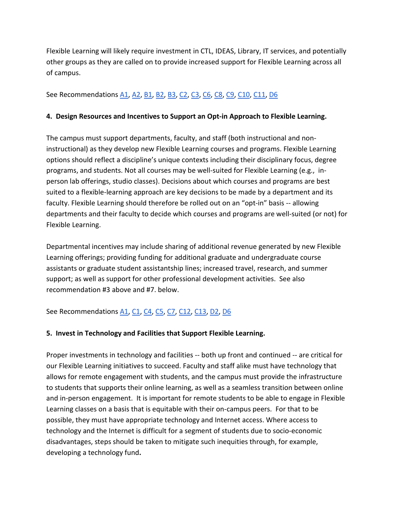Flexible Learning will likely require investment in CTL, IDEAS, Library, IT services, and potentially other groups as they are called on to provide increased support for Flexible Learning across all of campus.

# See Recommendations [A1,](#page-13-0) [A2,](#page-14-1) [B1,](#page-16-1) [B2,](#page-16-0) [B3,](#page-19-1) [C2,](#page-24-0) [C3,](#page-24-1) [C6,](#page-25-0) [C8,](#page-26-2) [C9,](#page-26-0) [C10,](#page-26-3) [C11,](#page-26-1) [D6](#page-32-0)

# **4. Design Resources and Incentives to Support an Opt-in Approach to Flexible Learning.**

The campus must support departments, faculty, and staff (both instructional and noninstructional) as they develop new Flexible Learning courses and programs. Flexible Learning options should reflect a discipline's unique contexts including their disciplinary focus, degree programs, and students. Not all courses may be well-suited for Flexible Learning (e.g., inperson lab offerings, studio classes). Decisions about which courses and programs are best suited to a flexible-learning approach are key decisions to be made by a department and its faculty. Flexible Learning should therefore be rolled out on an "opt-in" basis -- allowing departments and their faculty to decide which courses and programs are well-suited (or not) for Flexible Learning.

Departmental incentives may include sharing of additional revenue generated by new Flexible Learning offerings; providing funding for additional graduate and undergraduate course assistants or graduate student assistantship lines; increased travel, research, and summer support; as well as support for other professional development activities. See also recommendation #3 above and #7. below.

See Recommendations [A1,](#page-13-0) [C1,](#page-23-0) [C4,](#page-24-2) [C5,](#page-24-3) [C7,](#page-25-1) [C12,](#page-26-4) [C13,](#page-27-0) [D2,](#page-29-0) [D6](#page-32-0)

# **5. Invest in Technology and Facilities that Support Flexible Learning.**

Proper investments in technology and facilities -- both up front and continued -- are critical for our Flexible Learning initiatives to succeed. Faculty and staff alike must have technology that allows for remote engagement with students, and the campus must provide the infrastructure to students that supports their online learning, as well as a seamless transition between online and in-person engagement. It is important for remote students to be able to engage in Flexible Learning classes on a basis that is equitable with their on-campus peers. For that to be possible, they must have appropriate technology and Internet access. Where access to technology and the Internet is difficult for a segment of students due to socio-economic disadvantages, steps should be taken to mitigate such inequities through, for example, developing a technology fund**.**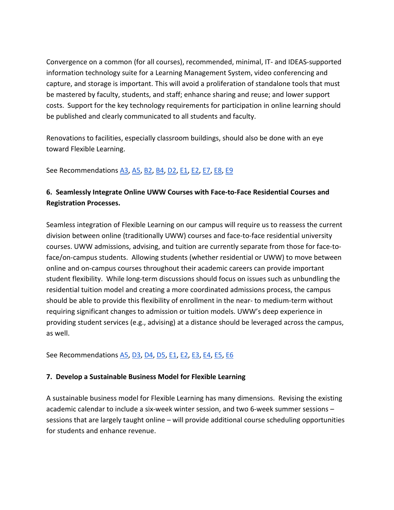Convergence on a common (for all courses), recommended, minimal, IT- and IDEAS-supported information technology suite for a Learning Management System, video conferencing and capture, and storage is important. This will avoid a proliferation of standalone tools that must be mastered by faculty, students, and staff; enhance sharing and reuse; and lower support costs. Support for the key technology requirements for participation in online learning should be published and clearly communicated to all students and faculty.

Renovations to facilities, especially classroom buildings, should also be done with an eye toward Flexible Learning.

See Recommendations [A3,](#page-14-0) [A5,](#page-15-1) [B2,](#page-16-0) [B4,](#page-19-0) [D2,](#page-29-0) [E1,](#page-34-0) [E2,](#page-35-0) [E7,](#page-38-0) [E8,](#page-39-0) [E9](#page-39-1)

# **6. Seamlessly Integrate Online UWW Courses with Face-to-Face Residential Courses and Registration Processes.**

Seamless integration of Flexible Learning on our campus will require us to reassess the current division between online (traditionally UWW) courses and face-to-face residential university courses. UWW admissions, advising, and tuition are currently separate from those for face-toface/on-campus students. Allowing students (whether residential or UWW) to move between online and on-campus courses throughout their academic careers can provide important student flexibility. While long-term discussions should focus on issues such as unbundling the residential tuition model and creating a more coordinated admissions process, the campus should be able to provide this flexibility of enrollment in the near- to medium-term without requiring significant changes to admission or tuition models. UWW's deep experience in providing student services (e.g., advising) at a distance should be leveraged across the campus, as well.

# See Recommendations [A5,](#page-15-1) [D3,](#page-30-0) [D4,](#page-31-0) [D5,](#page-31-1) [E1,](#page-34-0) [E2,](#page-35-0) [E3,](#page-35-1) [E4,](#page-37-0) [E5,](#page-38-1) [E6](#page-38-2)

# **7. Develop a Sustainable Business Model for Flexible Learning**

A sustainable business model for Flexible Learning has many dimensions. Revising the existing academic calendar to include a six-week winter session, and two 6-week summer sessions – sessions that are largely taught online – will provide additional course scheduling opportunities for students and enhance revenue.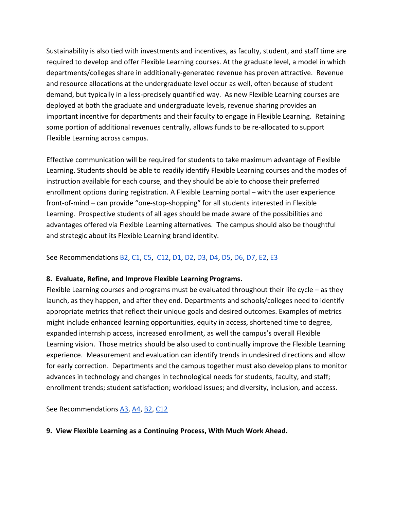Sustainability is also tied with investments and incentives, as faculty, student, and staff time are required to develop and offer Flexible Learning courses. At the graduate level, a model in which departments/colleges share in additionally-generated revenue has proven attractive. Revenue and resource allocations at the undergraduate level occur as well, often because of student demand, but typically in a less-precisely quantified way. As new Flexible Learning courses are deployed at both the graduate and undergraduate levels, revenue sharing provides an important incentive for departments and their faculty to engage in Flexible Learning. Retaining some portion of additional revenues centrally, allows funds to be re-allocated to support Flexible Learning across campus.

Effective communication will be required for students to take maximum advantage of Flexible Learning. Students should be able to readily identify Flexible Learning courses and the modes of instruction available for each course, and they should be able to choose their preferred enrollment options during registration. A Flexible Learning portal – with the user experience front-of-mind – can provide "one-stop-shopping" for all students interested in Flexible Learning. Prospective students of all ages should be made aware of the possibilities and advantages offered via Flexible Learning alternatives. The campus should also be thoughtful and strategic about its Flexible Learning brand identity.

See Recommendations **B2**, [C1,](#page-23-0) [C5,](#page-24-3) [C12,](#page-26-4) [D1,](#page-29-1) [D2,](#page-29-0) [D3,](#page-30-0) [D4,](#page-31-0) [D5,](#page-31-1) [D6,](#page-32-0) [D7,](#page-32-1) [E2,](#page-35-0) [E3](#page-35-1)

# **8. Evaluate, Refine, and Improve Flexible Learning Programs.**

Flexible Learning courses and programs must be evaluated throughout their life cycle  $-$  as they launch, as they happen, and after they end. Departments and schools/colleges need to identify appropriate metrics that reflect their unique goals and desired outcomes. Examples of metrics might include enhanced learning opportunities, equity in access, shortened time to degree, expanded internship access, increased enrollment, as well the campus's overall Flexible Learning vision. Those metrics should be also used to continually improve the Flexible Learning experience. Measurement and evaluation can identify trends in undesired directions and allow for early correction. Departments and the campus together must also develop plans to monitor advances in technology and changes in technological needs for students, faculty, and staff; enrollment trends; student satisfaction; workload issues; and diversity, inclusion, and access.

See Recommendations [A3,](#page-14-0) [A4,](#page-15-0) [B2,](#page-16-0) [C12](#page-26-4)

# **9. View Flexible Learning as a Continuing Process, With Much Work Ahead.**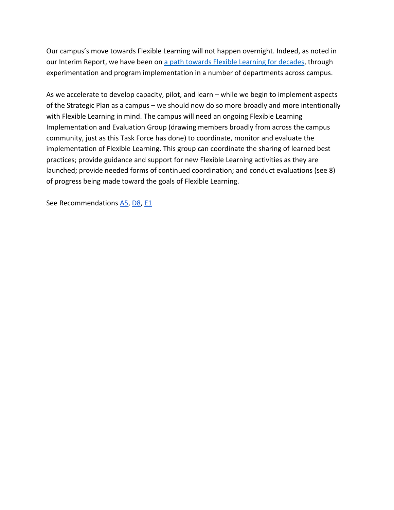Our campus's move towards Flexible Learning will not happen overnight. Indeed, as noted in our Interim Report, we have been o[n](https://www.umass.edu/chancellor/brief-history-selected-teaching-and-learning-distance-activities-umass-amherst) [a path towards Flexible Learning for decades,](https://www.umass.edu/chancellor/brief-history-selected-teaching-and-learning-distance-activities-umass-amherst) through experimentation and program implementation in a number of departments across campus.

As we accelerate to develop capacity, pilot, and learn – while we begin to implement aspects of the Strategic Plan as a campus – we should now do so more broadly and more intentionally with Flexible Learning in mind. The campus will need an ongoing Flexible Learning Implementation and Evaluation Group (drawing members broadly from across the campus community, just as this Task Force has done) to coordinate, monitor and evaluate the implementation of Flexible Learning. This group can coordinate the sharing of learned best practices; provide guidance and support for new Flexible Learning activities as they are launched; provide needed forms of continued coordination; and conduct evaluations (see 8) of progress being made toward the goals of Flexible Learning.

See Recommendations [A5,](#page-15-1) [D8,](#page-33-0) [E1](#page-34-0)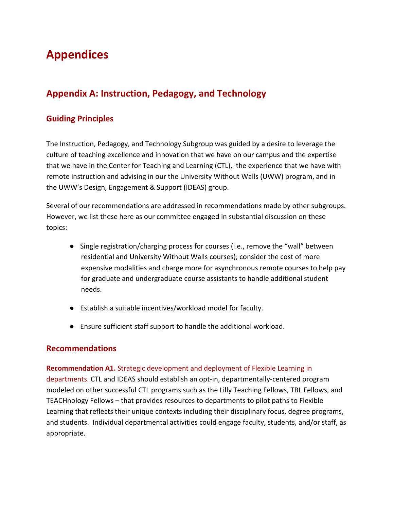# **Appendices**

# **Appendix A: Instruction, Pedagogy, and Technology**

# **Guiding Principles**

The Instruction, Pedagogy, and Technology Subgroup was guided by a desire to leverage the culture of teaching excellence and innovation that we have on our campus and the expertise that we have in the Center for Teaching and Learning (CTL), the experience that we have with remote instruction and advising in our the University Without Walls (UWW) program, and in the UWW's Design, Engagement & Support (IDEAS) group.

Several of our recommendations are addressed in recommendations made by other subgroups. However, we list these here as our committee engaged in substantial discussion on these topics:

- Single registration/charging process for courses (i.e., remove the "wall" between residential and University Without Walls courses); consider the cost of more expensive modalities and charge more for asynchronous remote courses to help pay for graduate and undergraduate course assistants to handle additional student needs.
- Establish a suitable incentives/workload model for faculty.
- Ensure sufficient staff support to handle the additional workload.

# **Recommendations**

#### <span id="page-13-0"></span>**Recommendation A1.** Strategic development and deployment of Flexible Learning in

departments. CTL and IDEAS should establish an opt-in, departmentally-centered program modeled on other successful CTL programs such as the Lilly Teaching Fellows, TBL Fellows, and TEACHnology Fellows – that provides resources to departments to pilot paths to Flexible Learning that reflects their unique contexts including their disciplinary focus, degree programs, and students. Individual departmental activities could engage faculty, students, and/or staff, as appropriate.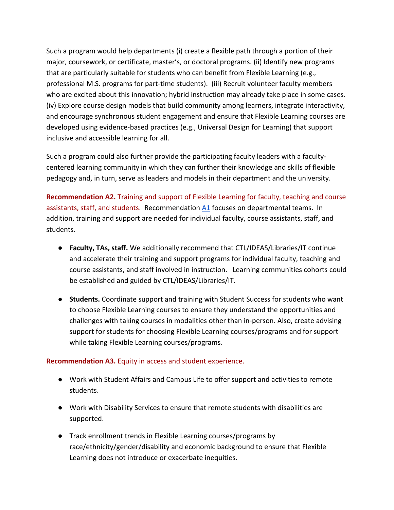Such a program would help departments (i) create a flexible path through a portion of their major, coursework, or certificate, master's, or doctoral programs. (ii) Identify new programs that are particularly suitable for students who can benefit from Flexible Learning (e.g., professional M.S. programs for part-time students). (iii) Recruit volunteer faculty members who are excited about this innovation; hybrid instruction may already take place in some cases. (iv) Explore course design models that build community among learners, integrate interactivity, and encourage synchronous student engagement and ensure that Flexible Learning courses are developed using evidence-based practices (e.g., Universal Design for Learning) that support inclusive and accessible learning for all.

Such a program could also further provide the participating faculty leaders with a facultycentered learning community in which they can further their knowledge and skills of flexible pedagogy and, in turn, serve as leaders and models in their department and the university.

<span id="page-14-1"></span>**Recommendation A2.** Training and support of Flexible Learning for faculty, teaching and course assistants, staff, and students. Recommendation [A1](#page-13-0) focuses on departmental teams. In addition, training and support are needed for individual faculty, course assistants, staff, and students.

- **Faculty, TAs, staff.** We additionally recommend that CTL/IDEAS/Libraries/IT continue and accelerate their training and support programs for individual faculty, teaching and course assistants, and staff involved in instruction. Learning communities cohorts could be established and guided by CTL/IDEAS/Libraries/IT.
- **Students.** Coordinate support and training with Student Success for students who want to choose Flexible Learning courses to ensure they understand the opportunities and challenges with taking courses in modalities other than in-person. Also, create advising support for students for choosing Flexible Learning courses/programs and for support while taking Flexible Learning courses/programs.

#### <span id="page-14-0"></span>**Recommendation A3.** Equity in access and student experience.

- Work with Student Affairs and Campus Life to offer support and activities to remote students.
- Work with Disability Services to ensure that remote students with disabilities are supported.
- Track enrollment trends in Flexible Learning courses/programs by race/ethnicity/gender/disability and economic background to ensure that Flexible Learning does not introduce or exacerbate inequities.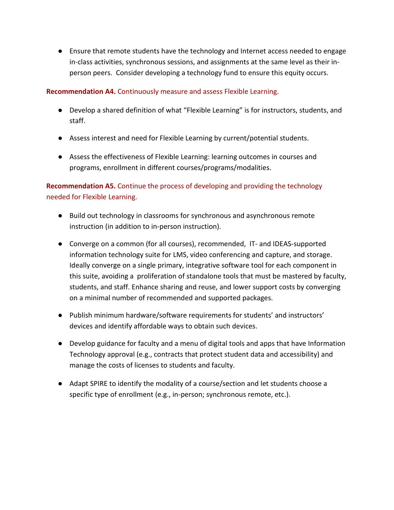● Ensure that remote students have the technology and Internet access needed to engage in-class activities, synchronous sessions, and assignments at the same level as their inperson peers. Consider developing a technology fund to ensure this equity occurs.

# <span id="page-15-0"></span>**Recommendation A4.** Continuously measure and assess Flexible Learning.

- Develop a shared definition of what "Flexible Learning" is for instructors, students, and staff.
- Assess interest and need for Flexible Learning by current/potential students.
- Assess the effectiveness of Flexible Learning: learning outcomes in courses and programs, enrollment in different courses/programs/modalities.

<span id="page-15-1"></span>**Recommendation A5.** Continue the process of developing and providing the technology needed for Flexible Learning.

- Build out technology in classrooms for synchronous and asynchronous remote instruction (in addition to in-person instruction).
- Converge on a common (for all courses), recommended, IT- and IDEAS-supported information technology suite for LMS, video conferencing and capture, and storage. Ideally converge on a single primary, integrative software tool for each component in this suite, avoiding a proliferation of standalone tools that must be mastered by faculty, students, and staff. Enhance sharing and reuse, and lower support costs by converging on a minimal number of recommended and supported packages.
- Publish minimum hardware/software requirements for students' and instructors' devices and identify affordable ways to obtain such devices.
- Develop guidance for faculty and a menu of digital tools and apps that have Information Technology approval (e.g., contracts that protect student data and accessibility) and manage the costs of licenses to students and faculty.
- Adapt SPIRE to identify the modality of a course/section and let students choose a specific type of enrollment (e.g., in-person; synchronous remote, etc.).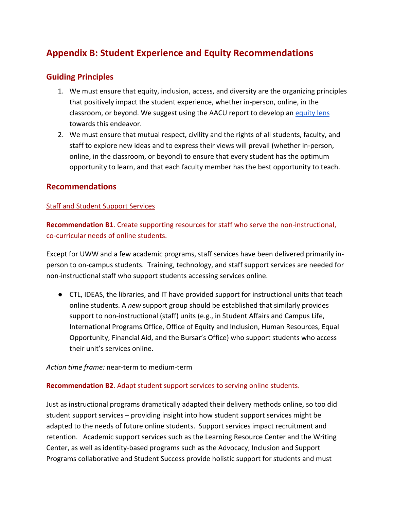# **Appendix B: Student Experience and Equity Recommendations**

# **Guiding Principles**

- 1. We must ensure that equity, inclusion, access, and diversity are the organizing principles that positively impact the student experience, whether in-person, online, in the classroom, or beyo[n](https://www.aacu.org/sites/default/files/StepUpLeadEquity.pdf)d. We suggest using the AACU report to develop an [equity lens](https://www.aacu.org/sites/default/files/StepUpLeadEquity.pdf) towards this endeavor.
- 2. We must ensure that mutual respect, civility and the rights of all students, faculty, and staff to explore new ideas and to express their views will prevail (whether in-person, online, in the classroom, or beyond) to ensure that every student has the optimum opportunity to learn, and that each faculty member has the best opportunity to teach.

# **Recommendations**

#### Staff and Student Support Services

<span id="page-16-1"></span>**Recommendation B1**. Create supporting resources for staff who serve the non-instructional, co-curricular needs of online students.

Except for UWW and a few academic programs, staff services have been delivered primarily inperson to on-campus students. Training, technology, and staff support services are needed for non-instructional staff who support students accessing services online.

● CTL, IDEAS, the libraries, and IT have provided support for instructional units that teach online students. A *new* support group should be established that similarly provides support to non-instructional (staff) units (e.g., in Student Affairs and Campus Life, International Programs Office, Office of Equity and Inclusion, Human Resources, Equal Opportunity, Financial Aid, and the Bursar's Office) who support students who access their unit's services online.

#### *Action time frame:* near-term to medium-term

#### <span id="page-16-0"></span>**Recommendation B2**. Adapt student support services to serving online students.

Just as instructional programs dramatically adapted their delivery methods online, so too did student support services – providing insight into how student support services might be adapted to the needs of future online students. Support services impact recruitment and retention. Academic support services such as the Learning Resource Center and the Writing Center, as well as identity-based programs such as the Advocacy, Inclusion and Support Programs collaborative and Student Success provide holistic support for students and must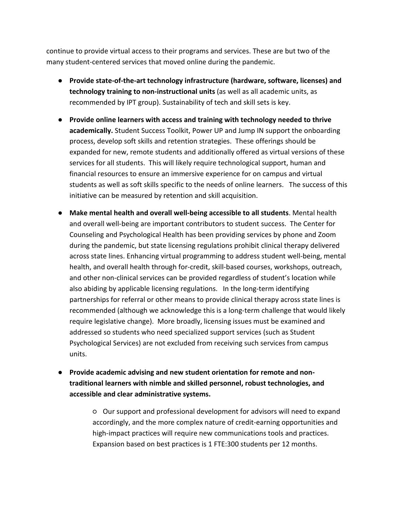continue to provide virtual access to their programs and services. These are but two of the many student-centered services that moved online during the pandemic.

- **Provide state-of-the-art technology infrastructure (hardware, software, licenses) and technology training to non-instructional units** (as well as all academic units, as recommended by IPT group). Sustainability of tech and skill sets is key.
- **Provide online learners with access and training with technology needed to thrive academically.** Student Success Toolkit, Power UP and Jump IN support the onboarding process, develop soft skills and retention strategies. These offerings should be expanded for new, remote students and additionally offered as virtual versions of these services for all students. This will likely require technological support, human and financial resources to ensure an immersive experience for on campus and virtual students as well as soft skills specific to the needs of online learners. The success of this initiative can be measured by retention and skill acquisition.
- **Make mental health and overall well-being accessible to all students**. Mental health and overall well-being are important contributors to student success. The Center for Counseling and Psychological Health has been providing services by phone and Zoom during the pandemic, but state licensing regulations prohibit clinical therapy delivered across state lines. Enhancing virtual programming to address student well-being, mental health, and overall health through for-credit, skill-based courses, workshops, outreach, and other non-clinical services can be provided regardless of student's location while also abiding by applicable licensing regulations. In the long-term identifying partnerships for referral or other means to provide clinical therapy across state lines is recommended (although we acknowledge this is a long-term challenge that would likely require legislative change). More broadly, licensing issues must be examined and addressed so students who need specialized support services (such as Student Psychological Services) are not excluded from receiving such services from campus units.
- **Provide academic advising and new student orientation for remote and nontraditional learners with nimble and skilled personnel, robust technologies, and accessible and clear administrative systems.**

○ Our support and professional development for advisors will need to expand accordingly, and the more complex nature of credit-earning opportunities and high-impact practices will require new communications tools and practices. Expansion based on best practices is 1 FTE:300 students per 12 months.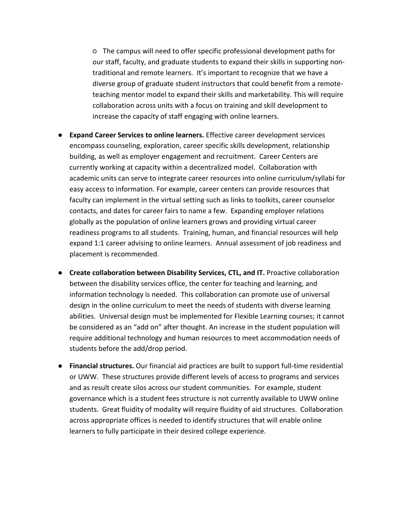○ The campus will need to offer specific professional development paths for our staff, faculty, and graduate students to expand their skills in supporting nontraditional and remote learners. It's important to recognize that we have a diverse group of graduate student instructors that could benefit from a remoteteaching mentor model to expand their skills and marketability. This will require collaboration across units with a focus on training and skill development to increase the capacity of staff engaging with online learners.

- **Expand Career Services to online learners.** Effective career development services encompass counseling, exploration, career specific skills development, relationship building, as well as employer engagement and recruitment. Career Centers are currently working at capacity within a decentralized model. Collaboration with academic units can serve to integrate career resources into online curriculum/syllabi for easy access to information. For example, career centers can provide resources that faculty can implement in the virtual setting such as links to toolkits, career counselor contacts, and dates for career fairs to name a few. Expanding employer relations globally as the population of online learners grows and providing virtual career readiness programs to all students. Training, human, and financial resources will help expand 1:1 career advising to online learners. Annual assessment of job readiness and placement is recommended.
- **Create collaboration between Disability Services, CTL, and IT. Proactive collaboration** between the disability services office, the center for teaching and learning, and information technology is needed. This collaboration can promote use of universal design in the online curriculum to meet the needs of students with diverse learning abilities. Universal design must be implemented for Flexible Learning courses; it cannot be considered as an "add on" after thought. An increase in the student population will require additional technology and human resources to meet accommodation needs of students before the add/drop period.
- **Financial structures.** Our financial aid practices are built to support full-time residential or UWW. These structures provide different levels of access to programs and services and as result create silos across our student communities. For example, student governance which is a student fees structure is not currently available to UWW online students. Great fluidity of modality will require fluidity of aid structures. Collaboration across appropriate offices is needed to identify structures that will enable online learners to fully participate in their desired college experience.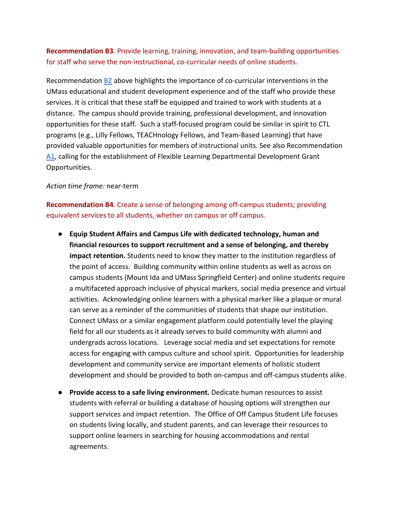<span id="page-19-1"></span>**Recommendation B3**. Provide learning, training, innovation, and team-building opportunities for staff who serve the non-instructional, co-curricular needs of online students.

Recommendation [B2](#page-16-0) above highlights the importance of co-curricular interventions in the UMass educational and student development experience and of the staff who provide these services. It is critical that these staff be equipped and trained to work with students at a distance. The campus should provide training, professional development, and innovation opportunities for these staff. Such a staff-focused program could be similar in spirit to CTL programs (e.g., Lilly Fellows, TEACHnology Fellows, and Team-Based Learning) that have provided valuable opportunities for members of instructional units*.* See also Recommendation [A1,](#page-13-0) calling for the establishment of Flexible Learning Departmental Development Grant Opportunities.

#### *Action time frame:* near-term

<span id="page-19-0"></span>**Recommendation B4**. Create a sense of belonging among off-campus students; providing equivalent services to all students, whether on campus or off campus.

- **Equip Student Affairs and Campus Life with dedicated technology, human and financial resources to support recruitment and a sense of belonging, and thereby impact retention.** Students need to know they matter to the institution regardless of the point of access. Building community within online students as well as across on campus students (Mount Ida and UMass Springfield Center) and online students require a multifaceted approach inclusive of physical markers, social media presence and virtual activities. Acknowledging online learners with a physical marker like a plaque or mural can serve as a reminder of the communities of students that shape our institution. Connect UMass or a similar engagement platform could potentially level the playing field for all our students as it already serves to build community with alumni and undergrads across locations. Leverage social media and set expectations for remote access for engaging with campus culture and school spirit. Opportunities for leadership development and community service are important elements of holistic student development and should be provided to both on-campus and off-campus students alike.
- **Provide access to a safe living environment.** Dedicate human resources to assist students with referral or building a database of housing options will strengthen our support services and impact retention. The Office of Off Campus Student Life focuses on students living locally, and student parents, and can leverage their resources to support online learners in searching for housing accommodations and rental agreements.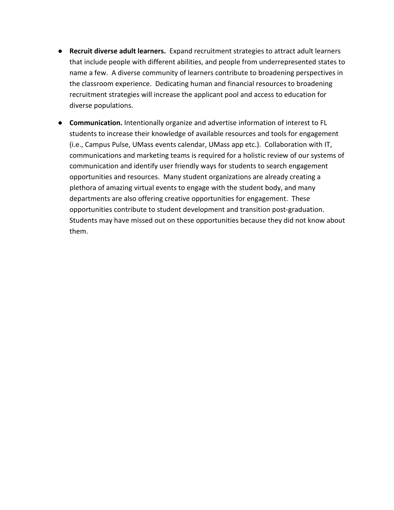- **Recruit diverse adult learners.** Expand recruitment strategies to attract adult learners that include people with different abilities, and people from underrepresented states to name a few. A diverse community of learners contribute to broadening perspectives in the classroom experience. Dedicating human and financial resources to broadening recruitment strategies will increase the applicant pool and access to education for diverse populations.
- **Communication.** Intentionally organize and advertise information of interest to FL students to increase their knowledge of available resources and tools for engagement (i.e., Campus Pulse, UMass events calendar, UMass app etc.). Collaboration with IT, communications and marketing teams is required for a holistic review of our systems of communication and identify user friendly ways for students to search engagement opportunities and resources. Many student organizations are already creating a plethora of amazing virtual events to engage with the student body, and many departments are also offering creative opportunities for engagement. These opportunities contribute to student development and transition post-graduation. Students may have missed out on these opportunities because they did not know about them.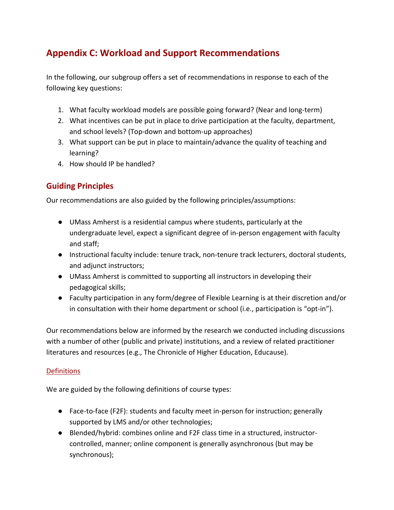# **Appendix C: Workload and Support Recommendations**

In the following, our subgroup offers a set of recommendations in response to each of the following key questions:

- 1. What faculty workload models are possible going forward? (Near and long-term)
- 2. What incentives can be put in place to drive participation at the faculty, department, and school levels? (Top-down and bottom-up approaches)
- 3. What support can be put in place to maintain/advance the quality of teaching and learning?
- 4. How should IP be handled?

# **Guiding Principles**

Our recommendations are also guided by the following principles/assumptions:

- UMass Amherst is a residential campus where students, particularly at the undergraduate level, expect a significant degree of in-person engagement with faculty and staff;
- Instructional faculty include: tenure track, non-tenure track lecturers, doctoral students, and adjunct instructors;
- UMass Amherst is committed to supporting all instructors in developing their pedagogical skills;
- Faculty participation in any form/degree of Flexible Learning is at their discretion and/or in consultation with their home department or school (i.e., participation is "opt-in").

Our recommendations below are informed by the research we conducted including discussions with a number of other (public and private) institutions, and a review of related practitioner literatures and resources (e.g., The Chronicle of Higher Education, Educause).

# **Definitions**

We are guided by the following definitions of course types:

- Face-to-face (F2F): students and faculty meet in-person for instruction; generally supported by LMS and/or other technologies;
- Blended/hybrid: combines online and F2F class time in a structured, instructorcontrolled, manner; online component is generally asynchronous (but may be synchronous);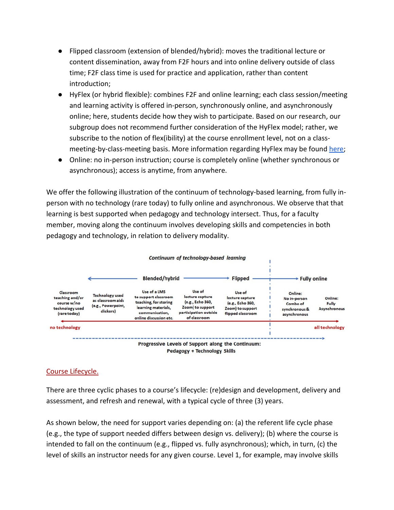- Flipped classroom (extension of blended/hybrid): moves the traditional lecture or content dissemination, away from F2F hours and into online delivery outside of class time; F2F class time is used for practice and application, rather than content introduction;
- HyFlex (or hybrid flexible): combines F2F and online learning; each class session/meeting and learning activity is offered in-person, synchronously online, and asynchronously online; here, students decide how they wish to participate. Based on our research, our subgroup does not recommend further consideration of the HyFlex model; rather, we subscribe to the notion of flex(ibility) at the course enrollment level, not on a classmeeting-by-class-meeting basis. More information regarding HyFlex may be found [here;](https://library.educause.edu/resources/2020/7/7-things-you-should-know-about-the-hyflex-course-model)
- Online: no in-person instruction; course is completely online (whether synchronous or asynchronous); access is anytime, from anywhere.

We offer the following illustration of the continuum of technology-based learning, from fully inperson with no technology (rare today) to fully online and asynchronous. We observe that that learning is best supported when pedagogy and technology intersect. Thus, for a faculty member, moving along the continuum involves developing skills and competencies in both pedagogy and technology, in relation to delivery modality.



# Course Lifecycle.

There are three cyclic phases to a course's lifecycle: (re)design and development, delivery and assessment, and refresh and renewal, with a typical cycle of three (3) years.

As shown below, the need for support varies depending on: (a) the referent life cycle phase (e.g., the type of support needed differs between design vs. delivery); (b) where the course is intended to fall on the continuum (e.g., flipped vs. fully asynchronous); which, in turn, (c) the level of skills an instructor needs for any given course. Level 1, for example, may involve skills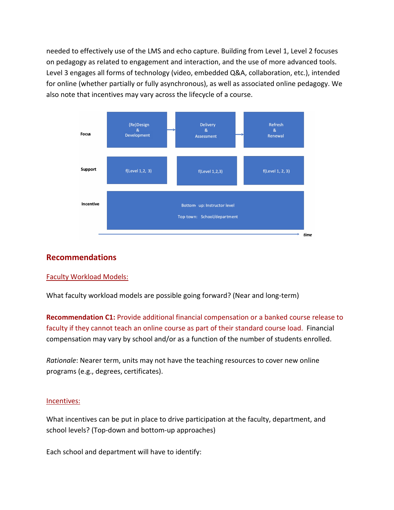needed to effectively use of the LMS and echo capture. Building from Level 1, Level 2 focuses on pedagogy as related to engagement and interaction, and the use of more advanced tools. Level 3 engages all forms of technology (video, embedded Q&A, collaboration, etc.), intended for online (whether partially or fully asynchronous), as well as associated online pedagogy. We also note that incentives may vary across the lifecycle of a course.



# **Recommendations**

#### Faculty Workload Models:

What faculty workload models are possible going forward? (Near and long-term)

<span id="page-23-0"></span>**Recommendation C1:** Provide additional financial compensation or a banked course release to faculty if they cannot teach an online course as part of their standard course load. Financial compensation may vary by school and/or as a function of the number of students enrolled.

*Rationale*: Nearer term, units may not have the teaching resources to cover new online programs (e.g., degrees, certificates).

#### Incentives:

What incentives can be put in place to drive participation at the faculty, department, and school levels? (Top-down and bottom-up approaches)

Each school and department will have to identify: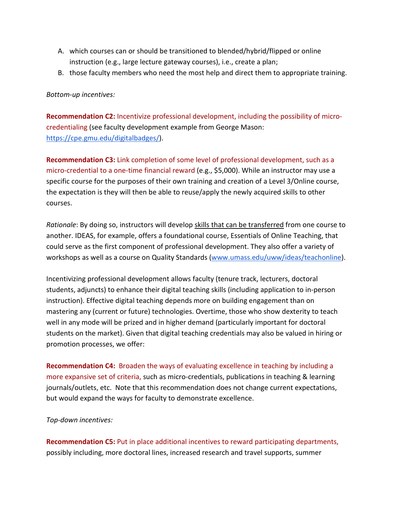- A. which courses can or should be transitioned to blended/hybrid/flipped or online instruction (e.g., large lecture gateway courses), i.e., create a plan;
- B. those faculty members who need the most help and direct them to appropriate training.

#### *Bottom-up incentives:*

<span id="page-24-0"></span>**Recommendation C2:** Incentivize professional development, including the possibility of microcredentialing (see faculty development example from George Mason: [https://cpe.gmu.edu/digitalbadges/\)](https://cpe.gmu.edu/digitalbadges/).

<span id="page-24-1"></span>**Recommendation C3:** Link completion of some level of professional development, such as a micro-credential to a one-time financial reward (e.g., \$5,000). While an instructor may use a specific course for the purposes of their own training and creation of a Level 3/Online course, the expectation is they will then be able to reuse/apply the newly acquired skills to other courses.

*Rationale*: By doing so, instructors will develop skills that can be transferred from one course to another. IDEAS, for example, offers a foundational course, Essentials of Online Teaching, that could serve as the first component of professional development. They also offer a variety of workshops as well as a course on Quality Standards [\(www.umass.edu/uww/ideas/teachonline\)](http://www.umass.edu/uww/ideas/teachonline).

Incentivizing professional development allows faculty (tenure track, lecturers, doctoral students, adjuncts) to enhance their digital teaching skills (including application to in-person instruction). Effective digital teaching depends more on building engagement than on mastering any (current or future) technologies. Overtime, those who show dexterity to teach well in any mode will be prized and in higher demand (particularly important for doctoral students on the market). Given that digital teaching credentials may also be valued in hiring or promotion processes, we offer:

<span id="page-24-2"></span>**Recommendation C4:** Broaden the ways of evaluating excellence in teaching by including a more expansive set of criteria, such as micro-credentials, publications in teaching & learning journals/outlets, etc. Note that this recommendation does not change current expectations, but would expand the ways for faculty to demonstrate excellence.

#### *Top-down incentives:*

<span id="page-24-3"></span>**Recommendation C5:** Put in place additional incentives to reward participating departments, possibly including, more doctoral lines, increased research and travel supports, summer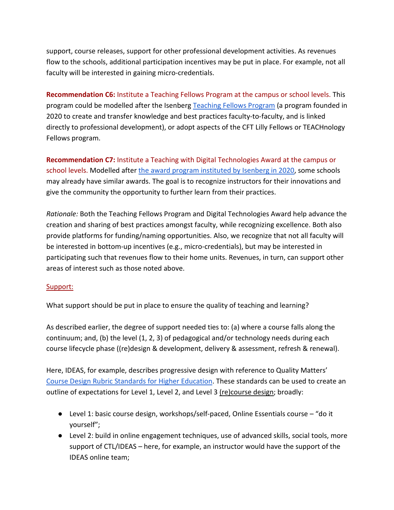support, course releases, support for other professional development activities. As revenues flow to the schools, additional participation incentives may be put in place. For example, not all faculty will be interested in gaining micro-credentials.

<span id="page-25-0"></span>**Recommendation C6:** Institute a Teaching Fellows Program at the campus or school levels. This program could be modelled after the Isenberg [Teaching Fellows Program](https://www.umass.edu/newsoffice/article/five-faculty-named-inaugural-isenberg) (a program founded in 2020 to create and transfer knowledge and best practices faculty-to-faculty, and is linked directly to professional development), or adopt aspects of the CFT Lilly Fellows or TEACHnology Fellows program.

<span id="page-25-1"></span>**Recommendation C7:** Institute a Teaching with Digital Technologies Award at the campus or school levels. Modelled after [the award program instituted by Isenberg in 2020,](https://www.isenberg.umass.edu/dean/innovation-teaching-and-learning) some schools may already have similar awards. The goal is to recognize instructors for their innovations and give the community the opportunity to further learn from their practices.

*Rationale:* Both the Teaching Fellows Program and Digital Technologies Award help advance the creation and sharing of best practices amongst faculty, while recognizing excellence. Both also provide platforms for funding/naming opportunities. Also, we recognize that not all faculty will be interested in bottom-up incentives (e.g., micro-credentials), but may be interested in participating such that revenues flow to their home units. Revenues, in turn, can support other areas of interest such as those noted above.

# Support:

What support should be put in place to ensure the quality of teaching and learning?

As described earlier, the degree of support needed ties to: (a) where a course falls along the continuum; and, (b) the level (1, 2, 3) of pedagogical and/or technology needs during each course lifecycle phase ((re)design & development, delivery & assessment, refresh & renewal).

Here, IDEAS, for example, describes progressive design with reference to Quality Matters' [Course Design Rubric Standards for Higher Education.](https://www.qualitymatters.org/qa-resources/rubric-standards/higher-ed-rubric) These standards can be used to create an outline of expectations for Level 1, Level 2, and Level 3 (re)course design; broadly:

- Level 1: basic course design, workshops/self-paced, Online Essentials course "do it yourself";
- Level 2: build in online engagement techniques, use of advanced skills, social tools, more support of CTL/IDEAS – here, for example, an instructor would have the support of the IDEAS online team;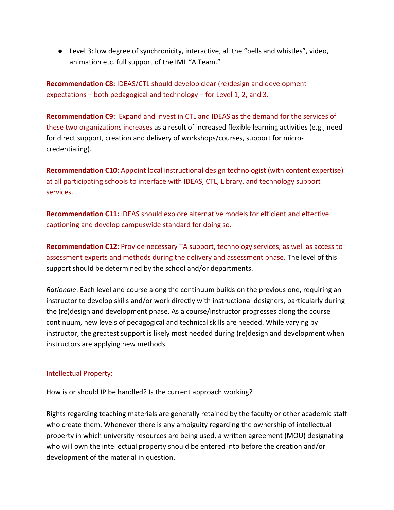● Level 3: low degree of synchronicity, interactive, all the "bells and whistles", video, animation etc. full support of the IML "A Team."

<span id="page-26-2"></span>**Recommendation C8:** IDEAS/CTL should develop clear (re)design and development expectations – both pedagogical and technology – for Level 1, 2, and 3.

<span id="page-26-0"></span>**Recommendation C9:** Expand and invest in CTL and IDEAS as the demand for the services of these two organizations increases as a result of increased flexible learning activities (e.g., need for direct support, creation and delivery of workshops/courses, support for microcredentialing).

<span id="page-26-3"></span>**Recommendation C10:** Appoint local instructional design technologist (with content expertise) at all participating schools to interface with IDEAS, CTL, Library, and technology support services.

<span id="page-26-1"></span>**Recommendation C11:** IDEAS should explore alternative models for efficient and effective captioning and develop campuswide standard for doing so.

<span id="page-26-4"></span>**Recommendation C12:** Provide necessary TA support, technology services, as well as access to assessment experts and methods during the delivery and assessment phase. The level of this support should be determined by the school and/or departments.

*Rationale*: Each level and course along the continuum builds on the previous one, requiring an instructor to develop skills and/or work directly with instructional designers, particularly during the (re)design and development phase. As a course/instructor progresses along the course continuum, new levels of pedagogical and technical skills are needed. While varying by instructor, the greatest support is likely most needed during (re)design and development when instructors are applying new methods.

# Intellectual Property:

How is or should IP be handled? Is the current approach working?

Rights regarding teaching materials are generally retained by the faculty or other academic staff who create them. Whenever there is any ambiguity regarding the ownership of intellectual property in which university resources are being used, a written agreement (MOU) designating who will own the intellectual property should be entered into before the creation and/or development of the material in question.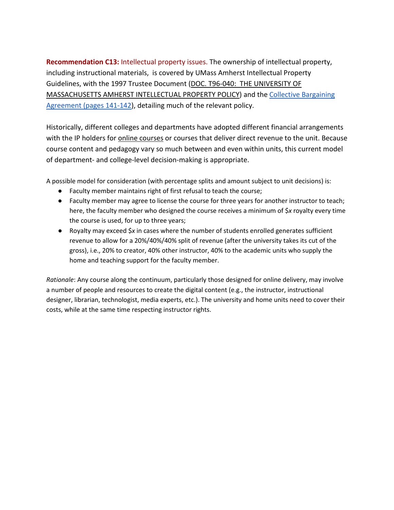<span id="page-27-0"></span>**Recommendation C13:** Intellectual property issues. The ownership of intellectual property, including instructional materials, is covered by UMass Amherst Intellectual Property Guidelines, with the 1997 Trustee Document [\(DOC. T96-040: THE UNIVERSITY OF](https://www.umass.edu/research/sites/default/files/intellectual_propery_policy_uma.pdf)  [MASSACHUSETTS AMHERST INTELLECTUAL PROPERTY POLICY\)](https://www.umass.edu/research/sites/default/files/intellectual_propery_policy_uma.pdf) and the [Collective Bargaining](https://umassmsp.org/site/assets/files/1029/final_final_17-20_msp_collective_bargaining_agreement_10_05_2018.pdf)  [Agreement \(pages 141-142\)](https://umassmsp.org/site/assets/files/1029/final_final_17-20_msp_collective_bargaining_agreement_10_05_2018.pdf), detailing much of the relevant policy.

Historically, different colleges and departments have adopted different financial arrangements with the IP holders for **online courses** or courses that deliver direct revenue to the unit. Because course content and pedagogy vary so much between and even within units, this current model of department- and college-level decision-making is appropriate.

A possible model for consideration (with percentage splits and amount subject to unit decisions) is:

- Faculty member maintains right of first refusal to teach the course;
- Faculty member may agree to license the course for three years for another instructor to teach; here, the faculty member who designed the course receives a minimum of \$*x* royalty every time the course is used, for up to three years;
- Royalty may exceed \$*x* in cases where the number of students enrolled generates sufficient revenue to allow for a 20%/40%/40% split of revenue (after the university takes its cut of the gross), i.e., 20% to creator, 40% other instructor, 40% to the academic units who supply the home and teaching support for the faculty member.

*Rationale*: Any course along the continuum, particularly those designed for online delivery, may involve a number of people and resources to create the digital content (e.g., the instructor, instructional designer, librarian, technologist, media experts, etc.). The university and home units need to cover their costs, while at the same time respecting instructor rights.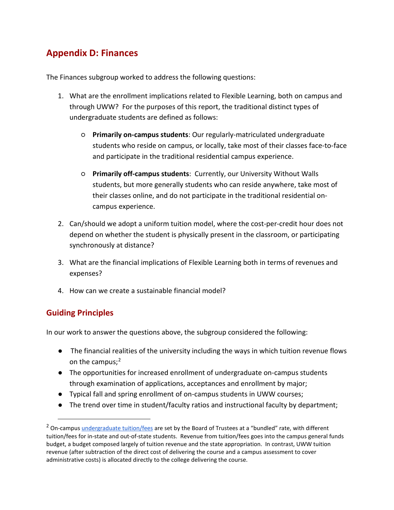# **Appendix D: Finances**

The Finances subgroup worked to address the following questions:

- 1. What are the enrollment implications related to Flexible Learning, both on campus and through UWW? For the purposes of this report, the traditional distinct types of undergraduate students are defined as follows:
	- **Primarily on-campus students**: Our regularly-matriculated undergraduate students who reside on campus, or locally, take most of their classes face-to-face and participate in the traditional residential campus experience.
	- **Primarily off-campus students**: Currently, our University Without Walls students, but more generally students who can reside anywhere, take most of their classes online, and do not participate in the traditional residential oncampus experience.
- 2. Can/should we adopt a uniform tuition model, where the cost-per-credit hour does not depend on whether the student is physically present in the classroom, or participating synchronously at distance?
- 3. What are the financial implications of Flexible Learning both in terms of revenues and expenses?
- 4. How can we create a sustainable financial model?

# **Guiding Principles**

In our work to answer the questions above, the subgroup considered the following:

- The financial realities of the university including the ways in which tuition revenue flows on the campus; $<sup>2</sup>$  $<sup>2</sup>$  $<sup>2</sup>$ </sup>
- The opportunities for increased enrollment of undergraduate on-campus students through examination of applications, acceptances and enrollment by major;
- Typical fall and spring enrollment of on-campus students in UWW courses;
- The trend over time in student/faculty ratios and instructional faculty by department;

<span id="page-28-0"></span> $<sup>2</sup>$  $<sup>2</sup>$  $<sup>2</sup>$  On-campus [undergraduate tuition/fees](https://www.umass.edu/umfa/undergraduates/costs) are set by the Board of Trustees at a "bundled" rate, with different</sup> tuition/fees for in-state and out-of-state students. Revenue from tuition/fees goes into the campus general funds budget, a budget composed largely of tuition revenue and the state appropriation. In contrast, UWW tuition revenue (after subtraction of the direct cost of delivering the course and a campus assessment to cover administrative costs) is allocated directly to the college delivering the course.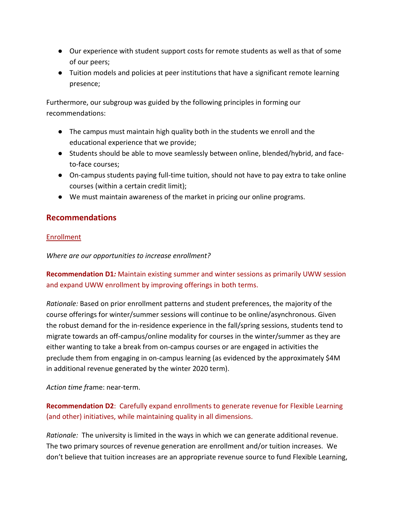- Our experience with student support costs for remote students as well as that of some of our peers;
- Tuition models and policies at peer institutions that have a significant remote learning presence;

Furthermore, our subgroup was guided by the following principles in forming our recommendations:

- The campus must maintain high quality both in the students we enroll and the educational experience that we provide;
- Students should be able to move seamlessly between online, blended/hybrid, and faceto-face courses;
- On-campus students paying full-time tuition, should not have to pay extra to take online courses (within a certain credit limit);
- We must maintain awareness of the market in pricing our online programs.

# **Recommendations**

# Enrollment

*Where are our opportunities to increase enrollment?*

# <span id="page-29-1"></span>**Recommendation D1***:* Maintain existing summer and winter sessions as primarily UWW session and expand UWW enrollment by improving offerings in both terms.

*Rationale:* Based on prior enrollment patterns and student preferences, the majority of the course offerings for winter/summer sessions will continue to be online/asynchronous. Given the robust demand for the in-residence experience in the fall/spring sessions, students tend to migrate towards an off-campus/online modality for courses in the winter/summer as they are either wanting to take a break from on-campus courses or are engaged in activities the preclude them from engaging in on-campus learning (as evidenced by the approximately \$4M in additional revenue generated by the winter 2020 term).

# *Action time f*rame: near-term.

<span id="page-29-0"></span>**Recommendation D2**: Carefully expand enrollments to generate revenue for Flexible Learning (and other) initiatives, while maintaining quality in all dimensions.

*Rationale:* The university is limited in the ways in which we can generate additional revenue. The two primary sources of revenue generation are enrollment and/or tuition increases. We don't believe that tuition increases are an appropriate revenue source to fund Flexible Learning,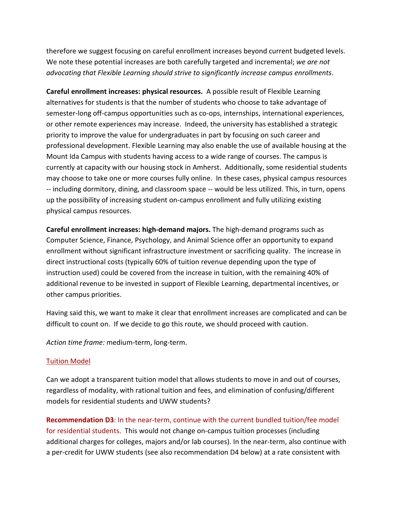therefore we suggest focusing on careful enrollment increases beyond current budgeted levels. We note these potential increases are both carefully targeted and incremental; *we are not advocating that Flexible Learning should strive to significantly increase campus enrollments*.

**Careful enrollment increases: physical resources.** A possible result of Flexible Learning alternatives for students is that the number of students who choose to take advantage of semester-long off-campus opportunities such as co-ops, internships, international experiences, or other remote experiences may increase. Indeed, the university has established a strategic priority to improve the value for undergraduates in part by focusing on such career and professional development. Flexible Learning may also enable the use of available housing at the Mount Ida Campus with students having access to a wide range of courses. The campus is currently at capacity with our housing stock in Amherst. Additionally, some residential students may choose to take one or more courses fully online. In these cases, physical campus resources -- including dormitory, dining, and classroom space -- would be less utilized. This, in turn, opens up the possibility of increasing student on-campus enrollment and fully utilizing existing physical campus resources.

**Careful enrollment increases: high-demand majors.** The high-demand programs such as Computer Science, Finance, Psychology, and Animal Science offer an opportunity to expand enrollment without significant infrastructure investment or sacrificing quality. The increase in direct instructional costs (typically 60% of tuition revenue depending upon the type of instruction used) could be covered from the increase in tuition, with the remaining 40% of additional revenue to be invested in support of Flexible Learning, departmental incentives, or other campus priorities.

Having said this, we want to make it clear that enrollment increases are complicated and can be difficult to count on. If we decide to go this route, we should proceed with caution.

*Action time frame:* medium-term, long-term.

# Tuition Model

Can we adopt a transparent tuition model that allows students to move in and out of courses, regardless of modality, with rational tuition and fees, and elimination of confusing/different models for residential students and UWW students?

<span id="page-30-0"></span>**Recommendation D3**: In the near-term, continue with the current bundled tuition/fee model for residential students. This would not change on-campus tuition processes (including additional charges for colleges, majors and/or lab courses). In the near-term, also continue with a per-credit for UWW students (see also recommendation D4 below) at a rate consistent with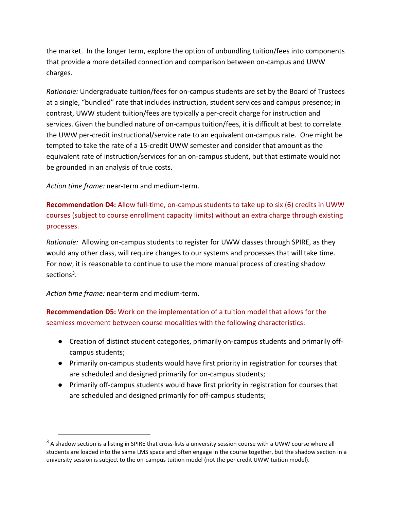the market. In the longer term, explore the option of unbundling tuition/fees into components that provide a more detailed connection and comparison between on-campus and UWW charges.

*Rationale:* Undergraduate tuition/fees for on-campus students are set by the Board of Trustees at a single, "bundled" rate that includes instruction, student services and campus presence; in contrast, UWW student tuition/fees are typically a per-credit charge for instruction and services. Given the bundled nature of on-campus tuition/fees, it is difficult at best to correlate the UWW per-credit instructional/service rate to an equivalent on-campus rate. One might be tempted to take the rate of a 15-credit UWW semester and consider that amount as the equivalent rate of instruction/services for an on-campus student, but that estimate would not be grounded in an analysis of true costs.

*Action time frame:* near-term and medium-term.

<span id="page-31-0"></span>**Recommendation D4:** Allow full-time, on-campus students to take up to six (6) credits in UWW courses (subject to course enrollment capacity limits) without an extra charge through existing processes.

*Rationale:* Allowing on-campus students to register for UWW classes through SPIRE, as they would any other class, will require changes to our systems and processes that will take time. For now, it is reasonable to continue to use the more manual process of creating shadow sections<sup>[3](#page-31-2)</sup>.

*Action time frame:* near-term and medium-term.

<span id="page-31-1"></span>**Recommendation D5:** Work on the implementation of a tuition model that allows for the seamless movement between course modalities with the following characteristics:

- Creation of distinct student categories, primarily on-campus students and primarily offcampus students;
- Primarily on-campus students would have first priority in registration for courses that are scheduled and designed primarily for on-campus students;
- Primarily off-campus students would have first priority in registration for courses that are scheduled and designed primarily for off-campus students;

<span id="page-31-2"></span> $3$  A shadow section is a listing in SPIRE that cross-lists a university session course with a UWW course where all students are loaded into the same LMS space and often engage in the course together, but the shadow section in a university session is subject to the on-campus tuition model (not the per credit UWW tuition model).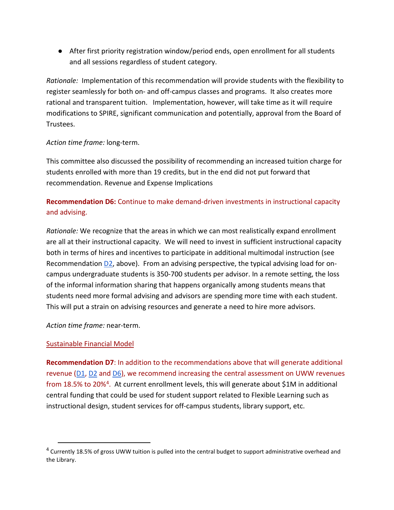● After first priority registration window/period ends, open enrollment for all students and all sessions regardless of student category.

*Rationale:* Implementation of this recommendation will provide students with the flexibility to register seamlessly for both on- and off-campus classes and programs. It also creates more rational and transparent tuition. Implementation, however, will take time as it will require modifications to SPIRE, significant communication and potentially, approval from the Board of Trustees.

#### *Action time frame:* long-term.

This committee also discussed the possibility of recommending an increased tuition charge for students enrolled with more than 19 credits, but in the end did not put forward that recommendation. Revenue and Expense Implications

# <span id="page-32-0"></span>**Recommendation D6:** Continue to make demand-driven investments in instructional capacity and advising.

*Rationale:* We recognize that the areas in which we can most realistically expand enrollment are all at their instructional capacity. We will need to invest in sufficient instructional capacity both in terms of hires and incentives to participate in additional multimodal instruction (see Recommendation  $D2$ , above). From an advising perspective, the typical advising load for oncampus undergraduate students is 350-700 students per advisor. In a remote setting, the loss of the informal information sharing that happens organically among students means that students need more formal advising and advisors are spending more time with each student. This will put a strain on advising resources and generate a need to hire more advisors.

*Action time frame:* near-term.

# Sustainable Financial Model

<span id="page-32-1"></span>**Recommendation D7**: In addition to the recommendations above that will generate additional revenue [\(D1,](#page-29-1) [D2](#page-29-0) and [D6\)](#page-32-0), we recommend increasing the central assessment on UWW revenues from 18.5% to 20%[4](#page-32-2). At current enrollment levels, this will generate about \$1M in additional central funding that could be used for student support related to Flexible Learning such as instructional design, student services for off-campus students, library support, etc.

<span id="page-32-2"></span><sup>&</sup>lt;sup>4</sup> Currently 18.5% of gross UWW tuition is pulled into the central budget to support administrative overhead and the Library.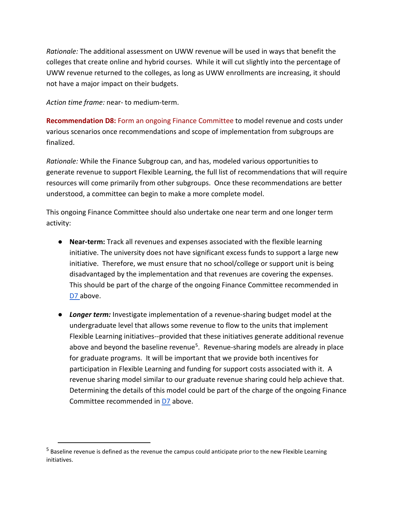*Rationale:* The additional assessment on UWW revenue will be used in ways that benefit the colleges that create online and hybrid courses. While it will cut slightly into the percentage of UWW revenue returned to the colleges, as long as UWW enrollments are increasing, it should not have a major impact on their budgets.

*Action time frame:* near- to medium-term.

<span id="page-33-0"></span>**Recommendation D8:** Form an ongoing Finance Committee to model revenue and costs under various scenarios once recommendations and scope of implementation from subgroups are finalized.

*Rationale:* While the Finance Subgroup can, and has, modeled various opportunities to generate revenue to support Flexible Learning, the full list of recommendations that will require resources will come primarily from other subgroups. Once these recommendations are better understood, a committee can begin to make a more complete model.

This ongoing Finance Committee should also undertake one near term and one longer term activity:

- **Near-term:** Track all revenues and expenses associated with the flexible learning initiative. The university does not have significant excess funds to support a large new initiative. Therefore, we must ensure that no school/college or support unit is being disadvantaged by the implementation and that revenues are covering the expenses. This should be part of the charge of the ongoing Finance Committee recommended in [D7 a](#page-32-1)bove.
- *Longer term:* Investigate implementation of a revenue-sharing budget model at the undergraduate level that allows some revenue to flow to the units that implement Flexible Learning initiatives--provided that these initiatives generate additional revenue above and beyond the baseline revenue<sup>5</sup>. Revenue-sharing models are already in place for graduate programs. It will be important that we provide both incentives for participation in Flexible Learning and funding for support costs associated with it. A revenue sharing model similar to our graduate revenue sharing could help achieve that. Determining the details of this model could be part of the charge of the ongoing Finance Committee recommended in [D7](#page-29-0) above.

<span id="page-33-1"></span><sup>&</sup>lt;sup>5</sup> Baseline revenue is defined as the revenue the campus could anticipate prior to the new Flexible Learning initiatives.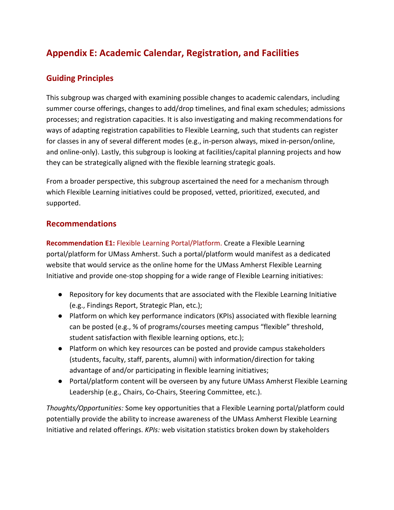# **Appendix E: Academic Calendar, Registration, and Facilities**

# **Guiding Principles**

This subgroup was charged with examining possible changes to academic calendars, including summer course offerings, changes to add/drop timelines, and final exam schedules; admissions processes; and registration capacities. It is also investigating and making recommendations for ways of adapting registration capabilities to Flexible Learning, such that students can register for classes in any of several different modes (e.g., in-person always, mixed in-person/online, and online-only). Lastly, this subgroup is looking at facilities/capital planning projects and how they can be strategically aligned with the flexible learning strategic goals.

From a broader perspective, this subgroup ascertained the need for a mechanism through which Flexible Learning initiatives could be proposed, vetted, prioritized, executed, and supported.

# **Recommendations**

<span id="page-34-0"></span>**Recommendation E1:** Flexible Learning Portal/Platform. Create a Flexible Learning portal/platform for UMass Amherst. Such a portal/platform would manifest as a dedicated website that would service as the online home for the UMass Amherst Flexible Learning Initiative and provide one-stop shopping for a wide range of Flexible Learning initiatives:

- Repository for key documents that are associated with the Flexible Learning Initiative (e.g., Findings Report, Strategic Plan, etc.);
- Platform on which key performance indicators (KPIs) associated with flexible learning can be posted (e.g., % of programs/courses meeting campus "flexible" threshold, student satisfaction with flexible learning options, etc.);
- Platform on which key resources can be posted and provide campus stakeholders (students, faculty, staff, parents, alumni) with information/direction for taking advantage of and/or participating in flexible learning initiatives;
- Portal/platform content will be overseen by any future UMass Amherst Flexible Learning Leadership (e.g., Chairs, Co-Chairs, Steering Committee, etc.).

*Thoughts/Opportunities:* Some key opportunities that a Flexible Learning portal/platform could potentially provide the ability to increase awareness of the UMass Amherst Flexible Learning Initiative and related offerings. *KPIs:* web visitation statistics broken down by stakeholders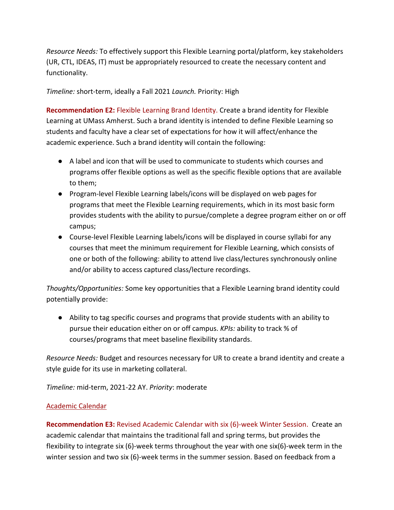*Resource Needs:* To effectively support this Flexible Learning portal/platform, key stakeholders (UR, CTL, IDEAS, IT) must be appropriately resourced to create the necessary content and functionality.

*Timeline:* short-term, ideally a Fall 2021 *Launch.* Priority: High

<span id="page-35-0"></span>**Recommendation E2:** Flexible Learning Brand Identity. Create a brand identity for Flexible Learning at UMass Amherst. Such a brand identity is intended to define Flexible Learning so students and faculty have a clear set of expectations for how it will affect/enhance the academic experience. Such a brand identity will contain the following:

- A label and icon that will be used to communicate to students which courses and programs offer flexible options as well as the specific flexible options that are available to them;
- Program-level Flexible Learning labels/icons will be displayed on web pages for programs that meet the Flexible Learning requirements, which in its most basic form provides students with the ability to pursue/complete a degree program either on or off campus;
- Course-level Flexible Learning labels/icons will be displayed in course syllabi for any courses that meet the minimum requirement for Flexible Learning, which consists of one or both of the following: ability to attend live class/lectures synchronously online and/or ability to access captured class/lecture recordings.

*Thoughts/Opportunities:* Some key opportunities that a Flexible Learning brand identity could potentially provide:

● Ability to tag specific courses and programs that provide students with an ability to pursue their education either on or off campus. *KPIs:* ability to track % of courses/programs that meet baseline flexibility standards.

*Resource Needs:* Budget and resources necessary for UR to create a brand identity and create a style guide for its use in marketing collateral.

*Timeline:* mid-term, 2021-22 AY. *Priority*: moderate

# Academic Calendar

<span id="page-35-1"></span>**Recommendation E3:** Revised Academic Calendar with six (6)-week Winter Session. Create an academic calendar that maintains the traditional fall and spring terms, but provides the flexibility to integrate six (6)-week terms throughout the year with one six(6)-week term in the winter session and two six (6)-week terms in the summer session. Based on feedback from a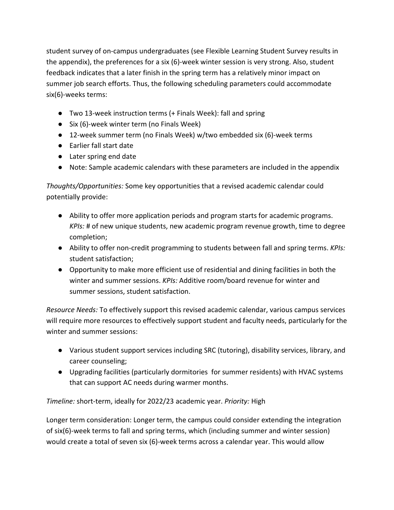student survey of on-campus undergraduates (see Flexible Learning Student Survey results in the appendix), the preferences for a six (6)-week winter session is very strong. Also, student feedback indicates that a later finish in the spring term has a relatively minor impact on summer job search efforts. Thus, the following scheduling parameters could accommodate six(6)-weeks terms:

- Two 13-week instruction terms (+ Finals Week): fall and spring
- Six (6)-week winter term (no Finals Week)
- 12-week summer term (no Finals Week) w/two embedded six (6)-week terms
- Earlier fall start date
- Later spring end date
- Note: Sample academic calendars with these parameters are included in the appendix

*Thoughts/Opportunities:* Some key opportunities that a revised academic calendar could potentially provide:

- Ability to offer more application periods and program starts for academic programs. *KPIs:* # of new unique students, new academic program revenue growth, time to degree completion;
- Ability to offer non-credit programming to students between fall and spring terms. *KPIs:* student satisfaction;
- Opportunity to make more efficient use of residential and dining facilities in both the winter and summer sessions. *KPIs:* Additive room/board revenue for winter and summer sessions, student satisfaction.

*Resource Needs:* To effectively support this revised academic calendar, various campus services will require more resources to effectively support student and faculty needs, particularly for the winter and summer sessions:

- Various student support services including SRC (tutoring), disability services, library, and career counseling;
- Upgrading facilities (particularly dormitories for summer residents) with HVAC systems that can support AC needs during warmer months.

*Timeline:* short-term, ideally for 2022/23 academic year. *Priority:* High

Longer term consideration: Longer term, the campus could consider extending the integration of six(6)-week terms to fall and spring terms, which (including summer and winter session) would create a total of seven six (6)-week terms across a calendar year. This would allow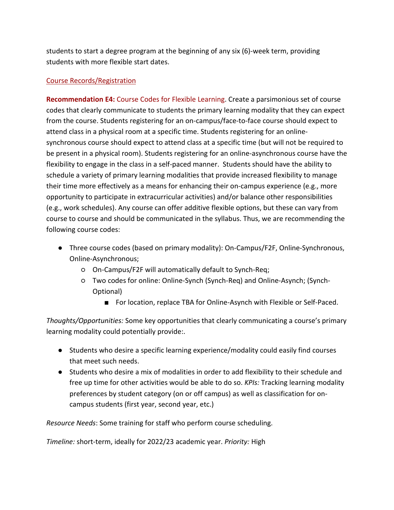students to start a degree program at the beginning of any six (6)-week term, providing students with more flexible start dates.

## Course Records/Registration

**Recommendation E4:** Course Codes for Flexible Learning. Create a parsimonious set of course codes that clearly communicate to students the primary learning modality that they can expect from the course. Students registering for an on-campus/face-to-face course should expect to attend class in a physical room at a specific time. Students registering for an onlinesynchronous course should expect to attend class at a specific time (but will not be required to be present in a physical room). Students registering for an online-asynchronous course have the flexibility to engage in the class in a self-paced manner. Students should have the ability to schedule a variety of primary learning modalities that provide increased flexibility to manage their time more effectively as a means for enhancing their on-campus experience (e.g., more opportunity to participate in extracurricular activities) and/or balance other responsibilities (e.g., work schedules). Any course can offer additive flexible options, but these can vary from course to course and should be communicated in the syllabus. Thus, we are recommending the following course codes:

- Three course codes (based on primary modality): On-Campus/F2F, Online-Synchronous, Online-Asynchronous;
	- On-Campus/F2F will automatically default to Synch-Req;
	- Two codes for online: Online-Synch (Synch-Req) and Online-Asynch; (Synch-Optional)
		- For location, replace TBA for Online-Asynch with Flexible or Self-Paced.

*Thoughts/Opportunities:* Some key opportunities that clearly communicating a course's primary learning modality could potentially provide:.

- Students who desire a specific learning experience/modality could easily find courses that meet such needs.
- Students who desire a mix of modalities in order to add flexibility to their schedule and free up time for other activities would be able to do so. *KPIs:* Tracking learning modality preferences by student category (on or off campus) as well as classification for oncampus students (first year, second year, etc.)

*Resource Needs*: Some training for staff who perform course scheduling.

*Timeline:* short-term, ideally for 2022/23 academic year. *Priority:* High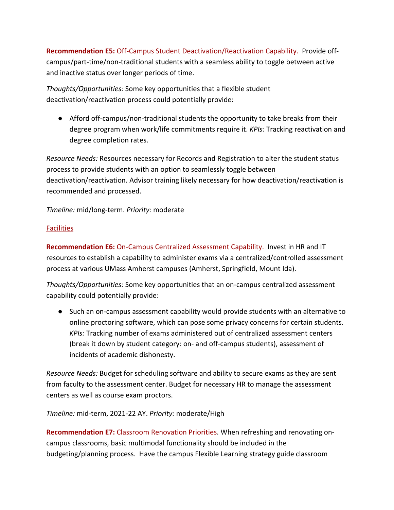**Recommendation E5:** Off-Campus Student Deactivation/Reactivation Capability. Provide offcampus/part-time/non-traditional students with a seamless ability to toggle between active and inactive status over longer periods of time.

*Thoughts/Opportunities:* Some key opportunities that a flexible student deactivation/reactivation process could potentially provide:

● Afford off-campus/non-traditional students the opportunity to take breaks from their degree program when work/life commitments require it. *KPIs:* Tracking reactivation and degree completion rates.

*Resource Needs:* Resources necessary for Records and Registration to alter the student status process to provide students with an option to seamlessly toggle between deactivation/reactivation. Advisor training likely necessary for how deactivation/reactivation is recommended and processed.

*Timeline:* mid/long-term. *Priority:* moderate

## **Facilities**

**Recommendation E6:** On-Campus Centralized Assessment Capability. Invest in HR and IT resources to establish a capability to administer exams via a centralized/controlled assessment process at various UMass Amherst campuses (Amherst, Springfield, Mount Ida).

*Thoughts/Opportunities:* Some key opportunities that an on-campus centralized assessment capability could potentially provide:

● Such an on-campus assessment capability would provide students with an alternative to online proctoring software, which can pose some privacy concerns for certain students. *KPIs:* Tracking number of exams administered out of centralized assessment centers (break it down by student category: on- and off-campus students), assessment of incidents of academic dishonesty.

*Resource Needs:* Budget for scheduling software and ability to secure exams as they are sent from faculty to the assessment center. Budget for necessary HR to manage the assessment centers as well as course exam proctors.

*Timeline:* mid-term, 2021-22 AY. *Priority:* moderate/High

**Recommendation E7:** Classroom Renovation Priorities. When refreshing and renovating oncampus classrooms, basic multimodal functionality should be included in the budgeting/planning process. Have the campus Flexible Learning strategy guide classroom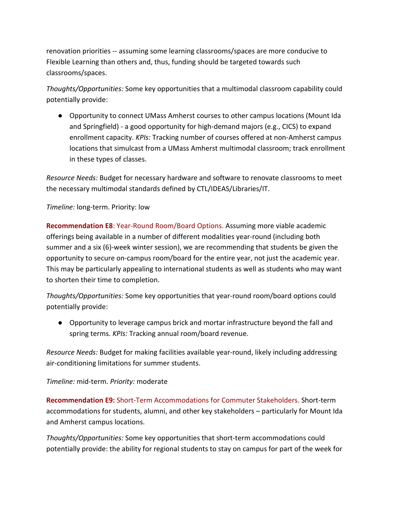renovation priorities -- assuming some learning classrooms/spaces are more conducive to Flexible Learning than others and, thus, funding should be targeted towards such classrooms/spaces.

*Thoughts/Opportunities:* Some key opportunities that a multimodal classroom capability could potentially provide:

● Opportunity to connect UMass Amherst courses to other campus locations (Mount Ida and Springfield) - a good opportunity for high-demand majors (e.g., CICS) to expand enrollment capacity. *KPIs:* Tracking number of courses offered at non-Amherst campus locations that simulcast from a UMass Amherst multimodal classroom; track enrollment in these types of classes.

*Resource Needs:* Budget for necessary hardware and software to renovate classrooms to meet the necessary multimodal standards defined by CTL/IDEAS/Libraries/IT.

## *Timeline:* long-term. Priority: low

**Recommendation E8**: Year-Round Room/Board Options. Assuming more viable academic offerings being available in a number of different modalities year-round (including both summer and a six (6)-week winter session), we are recommending that students be given the opportunity to secure on-campus room/board for the entire year, not just the academic year. This may be particularly appealing to international students as well as students who may want to shorten their time to completion.

*Thoughts/Opportunities:* Some key opportunities that year-round room/board options could potentially provide:

● Opportunity to leverage campus brick and mortar infrastructure beyond the fall and spring terms. *KPIs:* Tracking annual room/board revenue.

*Resource Needs:* Budget for making facilities available year-round, likely including addressing air-conditioning limitations for summer students.

## *Timeline:* mid-term. *Priority:* moderate

**Recommendation E9:** Short-Term Accommodations for Commuter Stakeholders. Short-term accommodations for students, alumni, and other key stakeholders – particularly for Mount Ida and Amherst campus locations.

*Thoughts/Opportunities:* Some key opportunities that short-term accommodations could potentially provide: the ability for regional students to stay on campus for part of the week for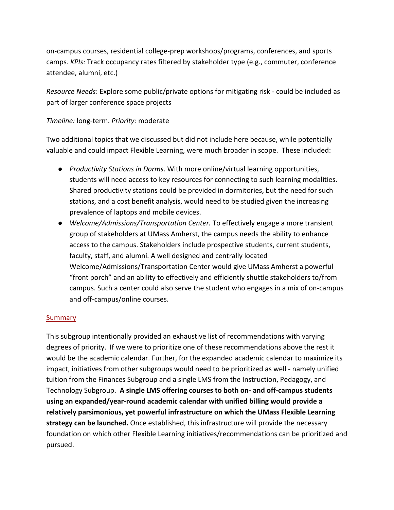on-campus courses, residential college-prep workshops/programs, conferences, and sports camps*. KPIs:* Track occupancy rates filtered by stakeholder type (e.g., commuter, conference attendee, alumni, etc.)

*Resource Needs*: Explore some public/private options for mitigating risk - could be included as part of larger conference space projects

## *Timeline:* long-term. *Priority:* moderate

Two additional topics that we discussed but did not include here because, while potentially valuable and could impact Flexible Learning, were much broader in scope. These included:

- *Productivity Stations in Dorms*. With more online/virtual learning opportunities, students will need access to key resources for connecting to such learning modalities. Shared productivity stations could be provided in dormitories, but the need for such stations, and a cost benefit analysis, would need to be studied given the increasing prevalence of laptops and mobile devices.
- *Welcome/Admissions/Transportation Center.* To effectively engage a more transient group of stakeholders at UMass Amherst, the campus needs the ability to enhance access to the campus. Stakeholders include prospective students, current students, faculty, staff, and alumni. A well designed and centrally located Welcome/Admissions/Transportation Center would give UMass Amherst a powerful "front porch" and an ability to effectively and efficiently shuttle stakeholders to/from campus. Such a center could also serve the student who engages in a mix of on-campus and off-campus/online courses.

### Summary

This subgroup intentionally provided an exhaustive list of recommendations with varying degrees of priority. If we were to prioritize one of these recommendations above the rest it would be the academic calendar. Further, for the expanded academic calendar to maximize its impact, initiatives from other subgroups would need to be prioritized as well - namely unified tuition from the Finances Subgroup and a single LMS from the Instruction, Pedagogy, and Technology Subgroup. **A single LMS offering courses to both on- and off-campus students using an expanded/year-round academic calendar with unified billing would provide a relatively parsimonious, yet powerful infrastructure on which the UMass Flexible Learning strategy can be launched.** Once established, this infrastructure will provide the necessary foundation on which other Flexible Learning initiatives/recommendations can be prioritized and pursued.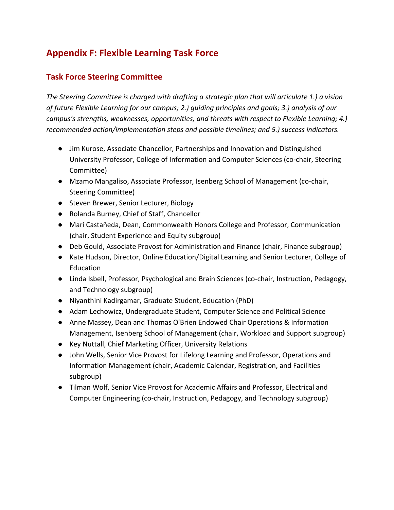# **Appendix F: Flexible Learning Task Force**

## **Task Force Steering Committee**

*The Steering Committee is charged with drafting a strategic plan that will articulate 1.) a vision of future Flexible Learning for our campus; 2.) guiding principles and goals; 3.) analysis of our campus's strengths, weaknesses, opportunities, and threats with respect to Flexible Learning; 4.) recommended action/implementation steps and possible timelines; and 5.) success indicators.*

- Jim Kurose, Associate Chancellor, Partnerships and Innovation and Distinguished University Professor, College of Information and Computer Sciences (co-chair, Steering Committee)
- Mzamo Mangaliso, Associate Professor, Isenberg School of Management (co-chair, Steering Committee)
- Steven Brewer, Senior Lecturer, Biology
- Rolanda Burney, Chief of Staff, Chancellor
- Mari Castañeda, Dean, Commonwealth Honors College and Professor, Communication (chair, Student Experience and Equity subgroup)
- Deb Gould, Associate Provost for Administration and Finance (chair, Finance subgroup)
- Kate Hudson, Director, Online Education/Digital Learning and Senior Lecturer, College of Education
- Linda Isbell, Professor, Psychological and Brain Sciences (co-chair, Instruction, Pedagogy, and Technology subgroup)
- Niyanthini Kadirgamar, Graduate Student, Education (PhD)
- Adam Lechowicz, Undergraduate Student, Computer Science and Political Science
- Anne Massey, Dean and Thomas O'Brien Endowed Chair Operations & Information Management, Isenberg School of Management (chair, Workload and Support subgroup)
- Key Nuttall, Chief Marketing Officer, University Relations
- John Wells, Senior Vice Provost for Lifelong Learning and Professor, Operations and Information Management (chair, Academic Calendar, Registration, and Facilities subgroup)
- Tilman Wolf, Senior Vice Provost for Academic Affairs and Professor, Electrical and Computer Engineering (co-chair, Instruction, Pedagogy, and Technology subgroup)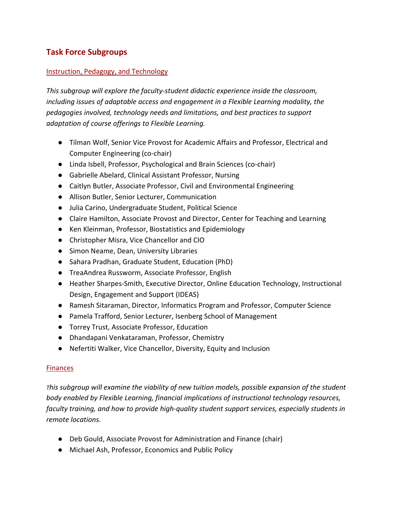# **Task Force Subgroups**

## Instruction, Pedagogy, and Technology

*This subgroup will explore the faculty-student didactic experience inside the classroom, including issues of adaptable access and engagement in a Flexible Learning modality, the pedagogies involved, technology needs and limitations, and best practices to support adaptation of course offerings to Flexible Learning.*

- Tilman Wolf, Senior Vice Provost for Academic Affairs and Professor, Electrical and Computer Engineering (co-chair)
- Linda Isbell, Professor, Psychological and Brain Sciences (co-chair)
- Gabrielle Abelard, Clinical Assistant Professor, Nursing
- Caitlyn Butler, Associate Professor, Civil and Environmental Engineering
- Allison Butler, Senior Lecturer, Communication
- Julia Carino, Undergraduate Student, Political Science
- Claire Hamilton, Associate Provost and Director, Center for Teaching and Learning
- Ken Kleinman, Professor, Biostatistics and Epidemiology
- Christopher Misra, Vice Chancellor and CIO
- Simon Neame, Dean, University Libraries
- Sahara Pradhan, Graduate Student, Education (PhD)
- TreaAndrea Russworm, Associate Professor, English
- Heather Sharpes-Smith, Executive Director, Online Education Technology, Instructional Design, Engagement and Support (IDEAS)
- Ramesh Sitaraman, Director, Informatics Program and Professor, Computer Science
- Pamela Trafford, Senior Lecturer, Isenberg School of Management
- Torrey Trust, Associate Professor, Education
- Dhandapani Venkataraman, Professor, Chemistry
- Nefertiti Walker, Vice Chancellor, Diversity, Equity and Inclusion

### **Finances**

*This subgroup will examine the viability of new tuition models, possible expansion of the student body enabled by Flexible Learning, financial implications of instructional technology resources, faculty training, and how to provide high-quality student support services, especially students in remote locations.*

- Deb Gould, Associate Provost for Administration and Finance (chair)
- Michael Ash, Professor, Economics and Public Policy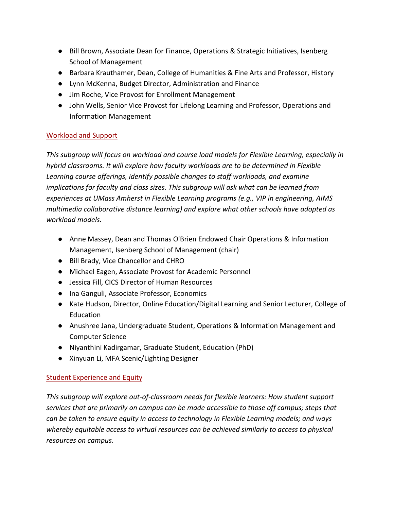- Bill Brown, Associate Dean for Finance, Operations & Strategic Initiatives, Isenberg School of Management
- Barbara Krauthamer, Dean, College of Humanities & Fine Arts and Professor, History
- Lynn McKenna, Budget Director, Administration and Finance
- Jim Roche, Vice Provost for Enrollment Management
- John Wells, Senior Vice Provost for Lifelong Learning and Professor, Operations and Information Management

## Workload and Support

*This subgroup will focus on workload and course load models for Flexible Learning, especially in hybrid classrooms. It will explore how faculty workloads are to be determined in Flexible Learning course offerings, identify possible changes to staff workloads, and examine implications for faculty and class sizes. This subgroup will ask what can be learned from experiences at UMass Amherst in Flexible Learning programs (e.g., VIP in engineering, AIMS multimedia collaborative distance learning) and explore what other schools have adopted as workload models.*

- Anne Massey, Dean and Thomas O'Brien Endowed Chair Operations & Information Management, Isenberg School of Management (chair)
- Bill Brady, Vice Chancellor and CHRO
- Michael Eagen, Associate Provost for Academic Personnel
- Jessica Fill, CICS Director of Human Resources
- Ina Ganguli, Associate Professor, Economics
- Kate Hudson, Director, Online Education/Digital Learning and Senior Lecturer, College of Education
- Anushree Jana, Undergraduate Student, Operations & Information Management and Computer Science
- Niyanthini Kadirgamar, Graduate Student, Education (PhD)
- Xinyuan Li, MFA Scenic/Lighting Designer

## Student Experience and Equity

*This subgroup will explore out-of-classroom needs for flexible learners: How student support services that are primarily on campus can be made accessible to those off campus; steps that can be taken to ensure equity in access to technology in Flexible Learning models; and ways whereby equitable access to virtual resources can be achieved similarly to access to physical resources on campus.*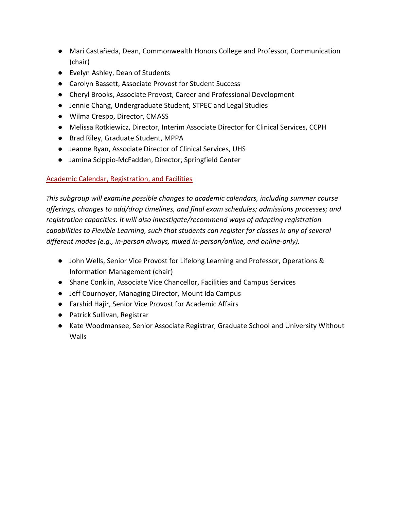- Mari Castañeda, Dean, Commonwealth Honors College and Professor, Communication (chair)
- Evelyn Ashley, Dean of Students
- Carolyn Bassett, Associate Provost for Student Success
- Cheryl Brooks, Associate Provost, Career and Professional Development
- Jennie Chang, Undergraduate Student, STPEC and Legal Studies
- Wilma Crespo, Director, CMASS
- Melissa Rotkiewicz, Director, Interim Associate Director for Clinical Services, CCPH
- Brad Riley, Graduate Student, MPPA
- Jeanne Ryan, Associate Director of Clinical Services, UHS
- Jamina Scippio-McFadden, Director, Springfield Center

## Academic Calendar, Registration, and Facilities

*This subgroup will examine possible changes to academic calendars, including summer course offerings, changes to add/drop timelines, and final exam schedules; admissions processes; and registration capacities. It will also investigate/recommend ways of adapting registration capabilities to Flexible Learning, such that students can register for classes in any of several different modes (e.g., in-person always, mixed in-person/online, and online-only).*

- John Wells, Senior Vice Provost for Lifelong Learning and Professor, Operations & Information Management (chair)
- Shane Conklin, Associate Vice Chancellor, Facilities and Campus Services
- Jeff Cournoyer, Managing Director, Mount Ida Campus
- Farshid Hajir, Senior Vice Provost for Academic Affairs
- Patrick Sullivan, Registrar
- Kate Woodmansee, Senior Associate Registrar, Graduate School and University Without Walls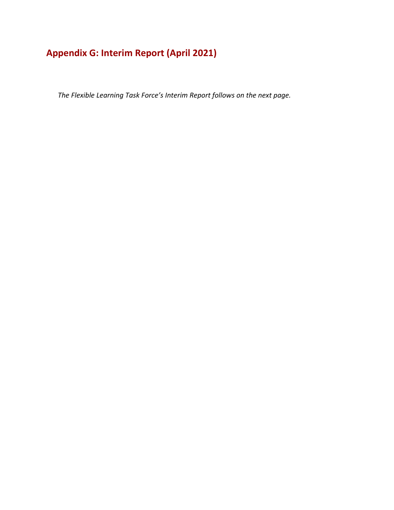# **Appendix G: Interim Report (April 2021)**

*The Flexible Learning Task Force's Interim Report follows on the next page.*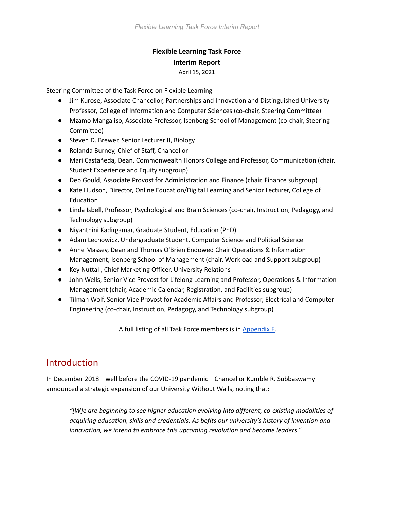## **Flexible Learning Task Force Interim Report** April 15, 2021

#### Steering Committee of the Task Force on Flexible Learning

- Jim Kurose, Associate Chancellor, Partnerships and Innovation and Distinguished University Professor, College of Information and Computer Sciences (co-chair, Steering Committee)
- Mzamo Mangaliso, Associate Professor, Isenberg School of Management (co-chair, Steering Committee)
- Steven D. Brewer, Senior Lecturer II, Biology
- Rolanda Burney, Chief of Staff, Chancellor
- Mari Castañeda, Dean, Commonwealth Honors College and Professor, Communication (chair, Student Experience and Equity subgroup)
- Deb Gould, Associate Provost for Administration and Finance (chair, Finance subgroup)
- Kate Hudson, Director, Online Education/Digital Learning and Senior Lecturer, College of Education
- Linda Isbell, Professor, Psychological and Brain Sciences (co-chair, Instruction, Pedagogy, and Technology subgroup)
- Niyanthini Kadirgamar, Graduate Student, Education (PhD)
- Adam Lechowicz, Undergraduate Student, Computer Science and Political Science
- Anne Massey, Dean and Thomas O'Brien Endowed Chair Operations & Information Management, Isenberg School of Management (chair, Workload and Support subgroup)
- Key Nuttall, Chief Marketing Officer, University Relations
- John Wells, Senior Vice Provost for Lifelong Learning and Professor, Operations & Information Management (chair, Academic Calendar, Registration, and Facilities subgroup)
- Tilman Wolf, Senior Vice Provost for Academic Affairs and Professor, Electrical and Computer Engineering (co-chair, Instruction, Pedagogy, and Technology subgroup)

A full listing of all Task Force members is in [Appendix F.](#page-78-0)

# **Introduction**

In December 2018—well before the COVID-19 pandemic—Chancellor Kumble R. Subbaswamy [announced a strategic expansion of our University Without Walls,](https://www.umass.edu/newsoffice/article/umass-amherst-announces-strategic) noting that:

*"[W]e are beginning to see higher education evolving into different, co-existing modalities of acquiring education, skills and credentials. As befits our university's history of invention and innovation, we intend to embrace this upcoming revolution and become leaders."*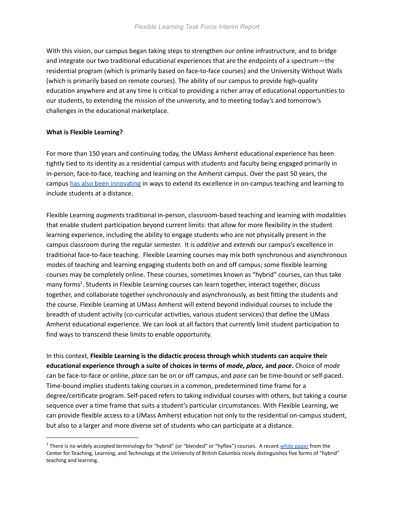With this vision, our campus began taking steps to [strengthen our online infrastructure](https://www.umass.edu/newsoffice/article/umass-opens-new-home-university-without), and to bridge and integrate our two traditional educational experiences that are the endpoints of a spectrum—the residential program (which is primarily based on face-to-face courses) and the University Without Walls (which is primarily based on remote courses). The ability of our campus to provide high-quality education anywhere and at any time is critical to providing a richer array of educational opportunities to our students, to extending the mission of the university, and to meeting today's and tomorrow's challenges in the educational marketplace.

#### **What is Flexible Learning?**

For more than 150 years and continuing today, the UMass Amherst educational experience has been tightly tied to its identity as a residential campus with students and faculty being engaged primarily in in-person, face-to-face, teaching and learning on the Amherst campus. Over the past 50 years, the campus [has also been innovating](https://www.umass.edu/chancellor/brief-history-selected-teaching-and-learning-distance-activities-umass-amherst) in ways to extend its excellence in on-campus teaching and learning to include students at a distance.

Flexible Learning *augments* traditional in-person, classroom-based teaching and learning with modalities that enable student participation beyond current limits: that allow for more flexibility in the student learning experience, including the ability to engage students who are not physically present in the campus classroom during the regular semester. It is *additive* and *extends* our campus's excellence in traditional face-to-face teaching. Flexible Learning courses may mix both synchronous and asynchronous modes of teaching and learning engaging students both on and off campus; some flexible learning courses may be completely online. These courses, sometimes known as "hybrid" courses, can thus take many forms<sup>1</sup>. Students in Flexible Learning courses can learn together, interact together, discuss together, and collaborate together synchronously and asynchronously, as best fitting the students and the course. Flexible Learning at UMass Amherst will extend beyond individual courses to include the breadth of student activity (co-curricular activities, various student services) that define the UMass Amherst educational experience. We can look at all factors that currently limit student participation to find ways to transcend these limits to enable opportunity.

In this context, **Flexible Learning is the didactic process through which students can acquire their educational experience through a suite of choices in terms of** *mode, place,* **and** *pace***.** Choice of *mode* can be face-to-face or online, *place* can be on or off campus, and *pace* can be time-bound or self-paced. Time-bound implies students taking courses in a common, predetermined time frame for a degree/certificate program. Self-paced refers to taking individual courses with others, but taking a course sequence over a time frame that suits a student's particular circumstances. With Flexible Learning, we can provide flexible access to a UMass Amherst education not only to the residential on-campus student, but also to a larger and more diverse set of students who can participate at a distance.

 $1$  There is no widely accepted terminology for "hybrid" (or "blended" or "hyflex") courses. A recent [white paper](https://ctlt.ubc.ca/resources/learning/hybrid-teaching-and-learning/) from the Center for Teaching, Learning, and Technology at the University of British Columbia nicely distinguishes five forms of "hybrid" teaching and learning.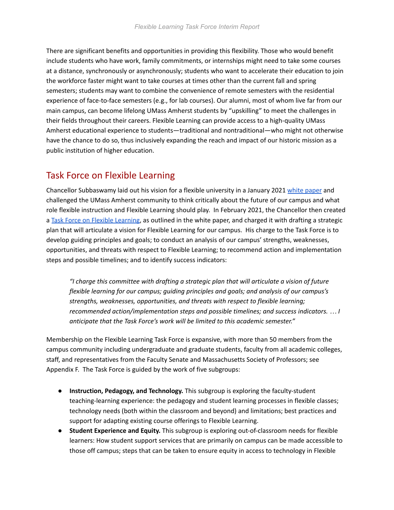There are significant benefits and opportunities in providing this flexibility. Those who would benefit include students who have work, family commitments, or internships might need to take some courses at a distance, synchronously or asynchronously; students who want to accelerate their education to join the workforce faster might want to take courses at times other than the current fall and spring semesters; students may want to combine the convenience of remote semesters with the residential experience of face-to-face semesters (e.g., for lab courses). Our alumni, most of whom live far from our main campus, can become lifelong UMass Amherst students by "upskilling" to meet the challenges in their fields throughout their careers. Flexible Learning can provide access to a high-quality UMass Amherst educational experience to students—traditional and nontraditional—who might not otherwise have the chance to do so, thus inclusively expanding the reach and impact of our historic mission as a public institution of higher education.

# Task Force on Flexible Learning

Chancellor Subbaswamy laid out his vision for a flexible university in a January 2021 [white paper](https://www.umass.edu/chancellor/sites/default/files/task_force_on_flexible_instruction_final.pdf) and challenged the UMass Amherst community to think critically about the future of our campus and what role flexible instruction and Flexible Learning should play. In February 2021, the Chancellor then created a [Task Force on Flexible Learning](https://www.umass.edu/newsoffice/article/chancellor-appoints-flexible-learning-task), as outlined in the white paper, and charged it with drafting a strategic plan that will articulate a vision for Flexible Learning for our campus. His charge to the Task Force is to develop guiding principles and goals; to conduct an analysis of our campus' strengths, weaknesses, opportunities, and threats with respect to Flexible Learning; to recommend action and implementation steps and possible timelines; and to identify success indicators:

*"I charge this committee with drafting a strategic plan that will articulate a vision of future flexible learning for our campus; guiding principles and goals; and analysis of our campus's strengths, weaknesses, opportunities, and threats with respect to flexible learning; recommended action/implementation steps and possible timelines; and success indicators. … I anticipate that the Task Force's work will be limited to this academic semester."*

Membership on the Flexible Learning Task Force is expansive, with more than 50 members from the campus community including undergraduate and graduate students, faculty from all academic colleges, staff, and representatives from the Faculty Senate and Massachusetts Society of Professors; see Appendix F. The Task Force is guided by the work of five subgroups:

- **Instruction, Pedagogy, and Technology.** This subgroup is exploring the faculty-student teaching-learning experience: the pedagogy and student learning processes in flexible classes; technology needs (both within the classroom and beyond) and limitations; best practices and support for adapting existing course offerings to Flexible Learning.
- **Student Experience and Equity.** This subgroup is exploring out-of-classroom needs for flexible learners: How student support services that are primarily on campus can be made accessible to those off campus; steps that can be taken to ensure equity in access to technology in Flexible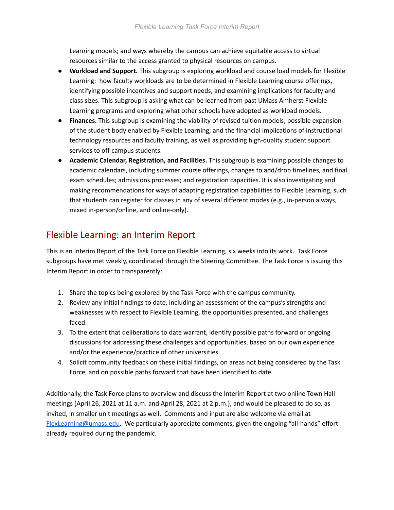Learning models; and ways whereby the campus can achieve equitable access to virtual resources similar to the access granted to physical resources on campus.

- **Workload and Support.** This subgroup is exploring workload and course load models for Flexible Learning: how faculty workloads are to be determined in Flexible Learning course offerings, identifying possible incentives and support needs, and examining implications for faculty and class sizes. This subgroup is asking what can be learned from past UMass Amherst Flexible Learning programs and exploring what other schools have adopted as workload models.
- **Finances.** This subgroup is examining the viability of revised tuition models; possible expansion of the student body enabled by Flexible Learning; and the financial implications of instructional technology resources and faculty training, as well as providing high-quality student support services to off-campus students.
- **Academic Calendar, Registration, and Facilities.** This subgroup is examining possible changes to academic calendars, including summer course offerings, changes to add/drop timelines, and final exam schedules; admissions processes; and registration capacities. It is also investigating and making recommendations for ways of adapting registration capabilities to Flexible Learning, such that students can register for classes in any of several different modes (e.g., in-person always, mixed in-person/online, and online-only).

# Flexible Learning: an Interim Report

This is an Interim Report of the Task Force on Flexible Learning, six weeks into its work. Task Force subgroups have met weekly, coordinated through the Steering Committee. The Task Force is issuing this Interim Report in order to transparently:

- 1. Share the topics being explored by the Task Force with the campus community.
- 2. Review any initial findings to date, including an assessment of the campus's strengths and weaknesses with respect to Flexible Learning, the opportunities presented, and challenges faced.
- 3. To the extent that deliberations to date warrant, identify possible paths forward or ongoing discussions for addressing these challenges and opportunities, based on our own experience and/or the experience/practice of other universities.
- 4. Solicit community feedback on these initial findings, on areas not being considered by the Task Force, and on possible paths forward that have been identified to date.

Additionally, the Task Force plans to overview and discuss the Interim Report at two online Town Hall meetings (April 26, 2021 at 11 a.m. and April 28, 2021 at 2 p.m.), and would be pleased to do so, as invited, in smaller unit meetings as well. Comments and input are also welcome via email at [FlexLearning@umass.edu](mailto:FlexLearning@umass.edu). We particularly appreciate comments, given the ongoing "all-hands" effort already required during the pandemic.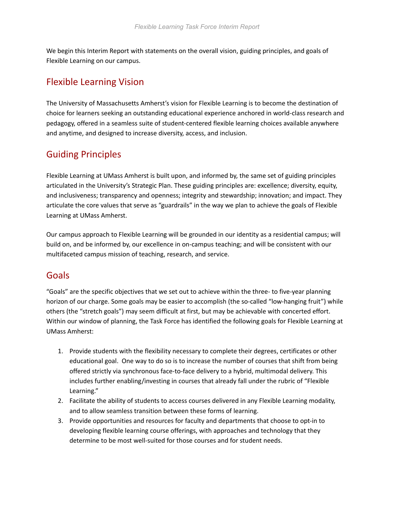We begin this Interim Report with statements on the overall vision, guiding principles, and goals of Flexible Learning on our campus.

# Flexible Learning Vision

The University of Massachusetts Amherst's vision for Flexible Learning is to become the destination of choice for learners seeking an outstanding educational experience anchored in world-class research and pedagogy, offered in a seamless suite of student-centered flexible learning choices available anywhere and anytime, and designed to increase diversity, access, and inclusion.

# Guiding Principles

Flexible Learning at UMass Amherst is built upon, and informed by, the same set of guiding principles articulated in the University's Strategic Plan. These guiding principles are: excellence; diversity, equity, and inclusiveness; transparency and openness; integrity and stewardship; innovation; and impact. They articulate the core values that serve as "guardrails" in the way we plan to achieve the goals of Flexible Learning at UMass Amherst.

Our campus approach to Flexible Learning will be grounded in our identity as a residential campus; will build on, and be informed by, our excellence in on-campus teaching; and will be consistent with our multifaceted campus mission of teaching, research, and service.

# Goals

"Goals" are the specific objectives that we set out to achieve within the three- to five-year planning horizon of our charge. Some goals may be easier to accomplish (the so-called "low-hanging fruit") while others (the "stretch goals") may seem difficult at first, but may be achievable with concerted effort. Within our window of planning, the Task Force has identified the following goals for Flexible Learning at UMass Amherst:

- 1. Provide students with the flexibility necessary to complete their degrees, certificates or other educational goal. One way to do so is to increase the number of courses that shift from being offered strictly via synchronous face-to-face delivery to a hybrid, multimodal delivery. This includes further enabling/investing in courses that already fall under the rubric of "Flexible Learning."
- 2. Facilitate the ability of students to access courses delivered in any Flexible Learning modality, and to allow seamless transition between these forms of learning.
- 3. Provide opportunities and resources for faculty and departments that choose to opt-in to developing flexible learning course offerings, with approaches and technology that they determine to be most well-suited for those courses and for student needs.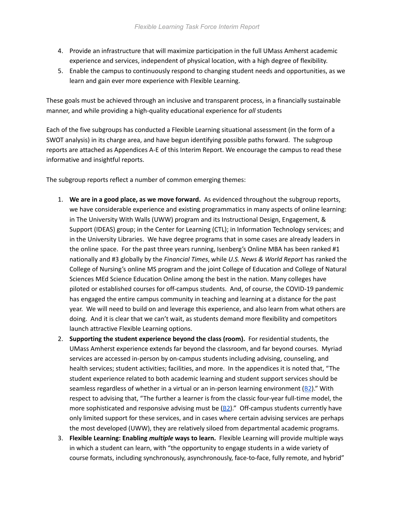- 4. Provide an infrastructure that will maximize participation in the full UMass Amherst academic experience and services, independent of physical location, with a high degree of flexibility.
- 5. Enable the campus to continuously respond to changing student needs and opportunities, as we learn and gain ever more experience with Flexible Learning.

These goals must be achieved through an inclusive and transparent process, in a financially sustainable manner, and while providing a high-quality educational experience for *all* students

Each of the five subgroups has conducted a Flexible Learning situational assessment (in the form of a SWOT analysis) in its charge area, and have begun identifying possible paths forward. The subgroup reports are attached as Appendices A-E of this Interim Report. We encourage the campus to read these informative and insightful reports.

The subgroup reports reflect a number of common emerging themes:

- 1. **We are in a good place, as we move forward.** As evidenced throughout the subgroup reports, we have considerable experience and existing programmatics in many aspects of online learning: in The University With Walls (UWW) program and its Instructional Design, Engagement, & Support (IDEAS) group; in the Center for Learning (CTL); in Information Technology services; and in the University Libraries. We have degree programs that in some cases are already leaders in the online space. For the past three years running, Isenberg's Online MBA has been ranked #1 nationally and #3 globally by the *Financial Times*, while *U.S. News & World Report* has ranked the College of Nursing's online MS program and the joint College of Education and College of Natural Sciences MEd Science Education Online among the best in the nation. Many colleges have piloted or established courses for off-campus students. And, of course, the COVID-19 pandemic has engaged the entire campus community in teaching and learning at a distance for the past year. We will need to build on and leverage this experience, and also learn from what others are doing. And it is clear that we can't wait, as students demand more flexibility and competitors launch attractive Flexible Learning options.
- 2. **Supporting the student experience beyond the class (room).** For residential students, the UMass Amherst experience extends far beyond the classroom, and far beyond courses. Myriad services are accessed in-person by on-campus students including advising, counseling, and health services; student activities; facilities, and more. In the appendices it is noted that, "The student experience related to both academic learning and student support services should be seamless regardless of whether in a virtual or an in-person learning environment  $(B2)$  $(B2)$  $(B2)$ ." With respect to advising that, "The further a learner is from the classic four-year full-time model, the more sophisticated and responsive advising must be  $(B2)$ ." Off-campus students currently have only limited support for these services, and in cases where certain advising services are perhaps the most developed (UWW), they are relatively siloed from departmental academic programs.
- 3. **Flexible Learning: Enabling** *multiple* **ways to learn.** Flexible Learning will provide multiple ways in which a student can learn, with "the opportunity to engage students in a wide variety of course formats, including synchronously, asynchronously, face-to-face, fully remote, and hybrid"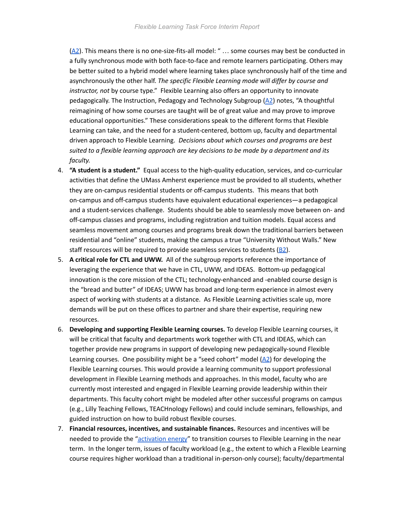$(A2)$  $(A2)$ . This means there is no one-size-fits-all model: " ... some courses may best be conducted in a fully synchronous mode with both face-to-face and remote learners participating. Others may be better suited to a hybrid model where learning takes place synchronously half of the time and asynchronously the other half. *The specific Flexible Learning mode will differ by course and instructor, not* by course type." Flexible Learning also offers an opportunity to innovate pedagogically. The Instruction, Pedagogy and Technology Subgroup  $(A2)$  $(A2)$  $(A2)$  notes, "A thoughtful reimagining of how some courses are taught will be of great value and may prove to improve educational opportunities." These considerations speak to the different forms that Flexible Learning can take, and the need for a student-centered, bottom up, faculty and departmental driven approach to Flexible Learning. *Decisions about which courses and programs are best suited to a flexible learning approach are key decisions to be made by a department and its faculty.*

- 4. **"A student is a student."** Equal access to the high-quality education, services, and co-curricular activities that define the UMass Amherst experience must be provided to all students, whether they are on-campus residential students or off-campus students. This means that both on-campus and off-campus students have equivalent educational experiences—a pedagogical and a student-services challenge. Students should be able to seamlessly move between on- and off-campus classes and programs, including registration and tuition models. Equal access and seamless movement among courses and programs break down the traditional barriers between residential and "online" students, making the campus a true "University Without Walls." New staff resources will be required to provide seamless services to students  $(B2)$ .
- 5. **A critical role for CTL and UWW.** All of the subgroup reports reference the importance of leveraging the experience that we have in CTL, UWW, and IDEAS. Bottom-up pedagogical innovation is the core mission of the CTL; technology-enhanced and -enabled course design is the "bread and butter" of IDEAS; UWW has broad and long-term experience in almost every aspect of working with students at a distance. As Flexible Learning activities scale up, more demands will be put on these offices to partner and share their expertise, requiring new resources.
- 6. **Developing and supporting Flexible Learning courses.** To develop Flexible Learning courses, it will be critical that faculty and departments work together with CTL and IDEAS, which can together provide new programs in support of developing new pedagogically-sound Flexible Learning courses. One possibility might be a "seed cohort" model  $(A2)$  $(A2)$  for developing the Flexible Learning courses. This would provide a learning community to support professional development in Flexible Learning methods and approaches. In this model, faculty who are currently most interested and engaged in Flexible Learning provide leadership within their departments. This faculty cohort might be modeled after other successful programs on campus (e.g., Lilly Teaching Fellows, TEACHnology Fellows) and could include seminars, fellowships, and guided instruction on how to build robust flexible courses.
- 7. **Financial resources, incentives, and sustainable finances.** Resources and incentives will be needed to provide the ["activation energy](#page-59-1)" to transition courses to Flexible Learning in the near term. In the longer term, issues of faculty workload (e.g., the extent to which a Flexible Learning course requires higher workload than a traditional in-person-only course); faculty/departmental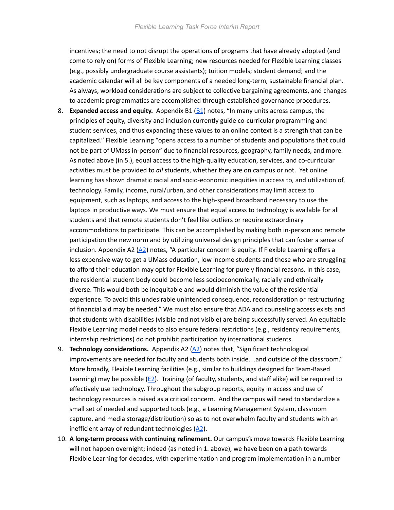incentives; the need to not disrupt the operations of programs that have already adopted (and come to rely on) forms of Flexible Learning; new resources needed for Flexible Learning classes (e.g., possibly undergraduate course assistants); tuition models; student demand; and the academic calendar will all be key components of a needed long-term, sustainable financial plan. As always, workload considerations are subject to collective bargaining agreements, and changes to academic programmatics are accomplished through established governance procedures.

- 8. **Expanded access and equity.** Appendix B1 ([B1](#page-61-0)) notes, "In many units across campus, the principles of equity, diversity and inclusion currently guide co-curricular programming and student services, and thus expanding these values to an online context is a strength that can be capitalized." Flexible Learning "opens access to a number of students and populations that could not be part of UMass in-person" due to financial resources, geography, family needs, and more. As noted above (in 5.), equal access to the high-quality education, services, and co-curricular activities must be provided to *all* students, whether they are on campus or not. Yet online learning has shown dramatic racial and socio-economic inequities in access to, and utilization of, technology. Family, income, rural/urban, and other considerations may limit access to equipment, such as laptops, and access to the high-speed broadband necessary to use the laptops in productive ways. We must ensure that equal access to technology is available for all students and that remote students don't feel like outliers or require extraordinary accommodations to participate. This can be accomplished by making both in-person and remote participation the new norm and by utilizing universal design principles that can foster a sense of inclusion. Appendix A2  $(A2)$  $(A2)$  notes, "A particular concern is equity. If Flexible Learning offers a less expensive way to get a UMass education, low income students and those who are struggling to afford their education may opt for Flexible Learning for purely financial reasons. In this case, the residential student body could become less socioeconomically, racially and ethnically diverse. This would both be inequitable and would diminish the value of the residential experience. To avoid this undesirable unintended consequence, reconsideration or restructuring of financial aid may be needed." We must also ensure that ADA and counseling access exists and that students with disabilities (visible and not visible) are being successfully served. An equitable Flexible Learning model needs to also ensure federal restrictions (e.g., residency requirements, internship restrictions) do not prohibit participation by international students.
- 9. **Technology considerations.** Appendix A2 ([A2\)](#page-59-2) notes that, "Significant technological improvements are needed for faculty and students both inside…and outside of the classroom." More broadly, Flexible Learning facilities (e.g., similar to buildings designed for Team-Based Learning) may be possible ( $E2$ ). Training (of faculty, students, and staff alike) will be required to effectively use technology. Throughout the subgroup reports, equity in access and use of technology resources is raised as a critical concern. And the campus will need to standardize a small set of needed and supported tools (e.g., a Learning Management System, classroom capture, and media storage/distribution) so as to not overwhelm faculty and students with an inefficient array of redundant technologies  $(A2)$  $(A2)$  $(A2)$ .
- 10. **A long-term process with continuing refinement.** Our campus's move towards Flexible Learning will not happen overnight; indeed (as noted in 1. above), we have been on a path towards Flexible Learning for decades, with experimentation and program implementation in a number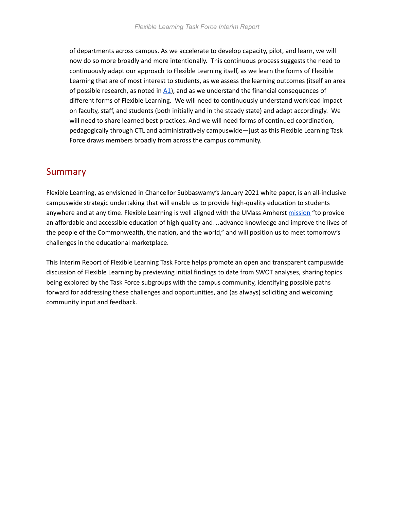of departments across campus. As we accelerate to develop capacity, pilot, and learn, we will now do so more broadly and more intentionally. This continuous process suggests the need to continuously adapt our approach to Flexible Learning itself, as we learn the forms of Flexible Learning that are of most interest to students, as we assess the learning outcomes (itself an area of possible research, as noted in  $\Delta\hat{1}$ , and as we understand the financial consequences of different forms of Flexible Learning. We will need to continuously understand workload impact on faculty, staff, and students (both initially and in the steady state) and adapt accordingly. We will need to share learned best practices. And we will need forms of continued coordination, pedagogically through CTL and administratively campuswide—just as this Flexible Learning Task Force draws members broadly from across the campus community.

# **Summary**

Flexible Learning, as envisioned in Chancellor Subbaswamy's January 2021 white paper, is an all-inclusive campuswide strategic undertaking that will enable us to provide high-quality education to students anywhere and at any time. Flexible Learning is well aligned with the UMass Amherst [mission](https://www.umass.edu/planning/mission) "to provide an affordable and accessible education of high quality and…advance knowledge and improve the lives of the people of the Commonwealth, the nation, and the world," and will position us to meet tomorrow's challenges in the educational marketplace.

This Interim Report of Flexible Learning Task Force helps promote an open and transparent campuswide discussion of Flexible Learning by previewing initial findings to date from SWOT analyses, sharing topics being explored by the Task Force subgroups with the campus community, identifying possible paths forward for addressing these challenges and opportunities, and (as always) soliciting and welcoming community input and feedback.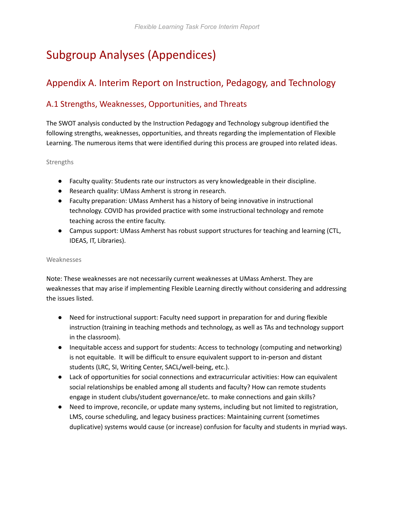# Subgroup Analyses (Appendices)

# Appendix A. Interim Report on Instruction, Pedagogy, and Technology

# A.1 Strengths, Weaknesses, Opportunities, and Threats

The SWOT analysis conducted by the Instruction Pedagogy and Technology subgroup identified the following strengths, weaknesses, opportunities, and threats regarding the implementation of Flexible Learning. The numerous items that were identified during this process are grouped into related ideas.

#### Strengths

- Faculty quality: Students rate our instructors as very knowledgeable in their discipline.
- Research quality: UMass Amherst is strong in research.
- Faculty preparation: UMass Amherst has a history of being innovative in instructional technology. COVID has provided practice with some instructional technology and remote teaching across the entire faculty.
- Campus support: UMass Amherst has robust support structures for teaching and learning (CTL, IDEAS, IT, Libraries).

#### Weaknesses

Note: These weaknesses are not necessarily current weaknesses at UMass Amherst. They are weaknesses that may arise if implementing Flexible Learning directly without considering and addressing the issues listed.

- Need for instructional support: Faculty need support in preparation for and during flexible instruction (training in teaching methods and technology, as well as TAs and technology support in the classroom).
- Inequitable access and support for students: Access to technology (computing and networking) is not equitable. It will be difficult to ensure equivalent support to in-person and distant students (LRC, SI, Writing Center, SACL/well-being, etc.).
- Lack of opportunities for social connections and extracurricular activities: How can equivalent social relationships be enabled among all students and faculty? How can remote students engage in student clubs/student governance/etc. to make connections and gain skills?
- Need to improve, reconcile, or update many systems, including but not limited to registration, LMS, course scheduling, and legacy business practices: Maintaining current (sometimes duplicative) systems would cause (or increase) confusion for faculty and students in myriad ways.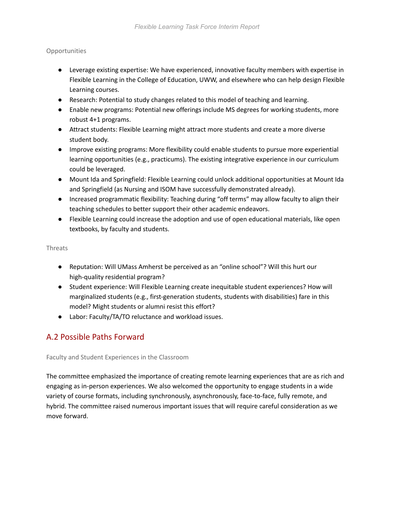### **Opportunities**

- Leverage existing expertise: We have experienced, innovative faculty members with expertise in Flexible Learning in the College of Education, UWW, and elsewhere who can help design Flexible Learning courses.
- <span id="page-56-1"></span>● Research: Potential to study changes related to this model of teaching and learning.
- Enable new programs: Potential new offerings include MS degrees for working students, more robust 4+1 programs.
- Attract students: Flexible Learning might attract more students and create a more diverse student body.
- Improve existing programs: More flexibility could enable students to pursue more experiential learning opportunities (e.g., practicums). The existing integrative experience in our curriculum could be leveraged.
- Mount Ida and Springfield: Flexible Learning could unlock additional opportunities at Mount Ida and Springfield (as Nursing and ISOM have successfully demonstrated already).
- Increased programmatic flexibility: Teaching during "off terms" may allow faculty to align their teaching schedules to better support their other academic endeavors.
- Flexible Learning could increase the adoption and use of open educational materials, like open textbooks, by faculty and students.

#### Threats

- Reputation: Will UMass Amherst be perceived as an "online school"? Will this hurt our high-quality residential program?
- Student experience: Will Flexible Learning create inequitable student experiences? How will marginalized students (e.g., first-generation students, students with disabilities) fare in this model? Might students or alumni resist this effort?
- Labor: Faculty/TA/TO reluctance and workload issues.

# A.2 Possible Paths Forward

#### Faculty and Student Experiences in the Classroom

<span id="page-56-0"></span>The committee emphasized the importance of creating remote learning experiences that are as rich and engaging as in-person experiences. We also welcomed the opportunity to engage students in a wide variety of course formats, including synchronously, asynchronously, face-to-face, fully remote, and hybrid. The committee raised numerous important issues that will require careful consideration as we move forward.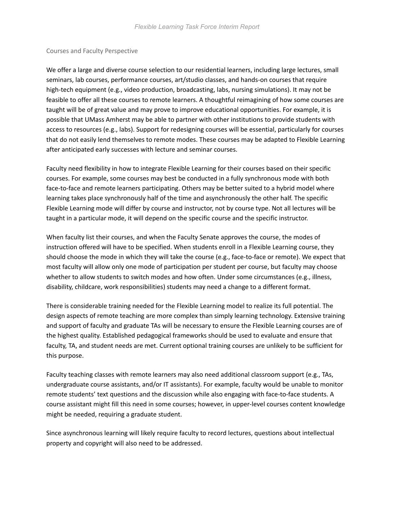#### Courses and Faculty Perspective

<span id="page-57-0"></span>We offer a large and diverse course selection to our residential learners, including large lectures, small seminars, lab courses, performance courses, art/studio classes, and hands-on courses that require high-tech equipment (e.g., video production, broadcasting, labs, nursing simulations). It may not be feasible to offer all these courses to remote learners. A thoughtful reimagining of how some courses are taught will be of great value and may prove to improve educational opportunities. For example, it is possible that UMass Amherst may be able to partner with other institutions to provide students with access to resources (e.g., labs). Support for redesigning courses will be essential, particularly for courses that do not easily lend themselves to remote modes. These courses may be adapted to Flexible Learning after anticipated early successes with lecture and seminar courses.

Faculty need flexibility in how to integrate Flexible Learning for their courses based on their specific courses. For example, some courses may best be conducted in a fully synchronous mode with both face-to-face and remote learners participating. Others may be better suited to a hybrid model where learning takes place synchronously half of the time and asynchronously the other half. The specific Flexible Learning mode will differ by course and instructor, not by course type. Not all lectures will be taught in a particular mode, it will depend on the specific course and the specific instructor.

When faculty list their courses, and when the Faculty Senate approves the course, the modes of instruction offered will have to be specified. When students enroll in a Flexible Learning course, they should choose the mode in which they will take the course (e.g., face-to-face or remote). We expect that most faculty will allow only one mode of participation per student per course, but faculty may choose whether to allow students to switch modes and how often. Under some circumstances (e.g., illness, disability, childcare, work responsibilities) students may need a change to a different format.

There is considerable training needed for the Flexible Learning model to realize its full potential. The design aspects of remote teaching are more complex than simply learning technology. Extensive training and support of faculty and graduate TAs will be necessary to ensure the Flexible Learning courses are of the highest quality. Established pedagogical frameworks should be used to evaluate and ensure that faculty, TA, and student needs are met. Current optional training courses are unlikely to be sufficient for this purpose.

Faculty teaching classes with remote learners may also need additional classroom support (e.g., TAs, undergraduate course assistants, and/or IT assistants). For example, faculty would be unable to monitor remote students' text questions and the discussion while also engaging with face-to-face students. A course assistant might fill this need in some courses; however, in upper-level courses content knowledge might be needed, requiring a graduate student.

Since asynchronous learning will likely require faculty to record lectures, questions about intellectual property and copyright will also need to be addressed.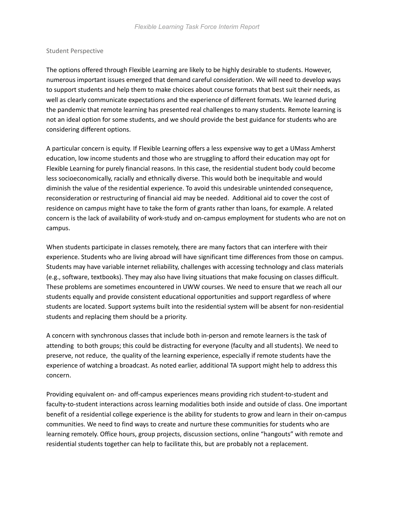#### Student Perspective

The options offered through Flexible Learning are likely to be highly desirable to students. However, numerous important issues emerged that demand careful consideration. We will need to develop ways to support students and help them to make choices about course formats that best suit their needs, as well as clearly communicate expectations and the experience of different formats. We learned during the pandemic that remote learning has presented real challenges to many students. Remote learning is not an ideal option for some students, and we should provide the best guidance for students who are considering different options.

<span id="page-58-0"></span>A particular concern is equity. If Flexible Learning offers a less expensive way to get a UMass Amherst education, low income students and those who are struggling to afford their education may opt for Flexible Learning for purely financial reasons. In this case, the residential student body could become less socioeconomically, racially and ethnically diverse. This would both be inequitable and would diminish the value of the residential experience. To avoid this undesirable unintended consequence, reconsideration or restructuring of financial aid may be needed. Additional aid to cover the cost of residence on campus might have to take the form of grants rather than loans, for example. A related concern is the lack of availability of work-study and on-campus employment for students who are not on campus.

When students participate in classes remotely, there are many factors that can interfere with their experience. Students who are living abroad will have significant time differences from those on campus. Students may have variable internet reliability, challenges with accessing technology and class materials (e.g., software, textbooks). They may also have living situations that make focusing on classes difficult. These problems are sometimes encountered in UWW courses. We need to ensure that we reach all our students equally and provide consistent educational opportunities and support regardless of where students are located. Support systems built into the residential system will be absent for non-residential students and replacing them should be a priority.

A concern with synchronous classes that include both in-person and remote learners is the task of attending to both groups; this could be distracting for everyone (faculty and all students). We need to preserve, not reduce, the quality of the learning experience, especially if remote students have the experience of watching a broadcast. As noted earlier, additional TA support might help to address this concern.

Providing equivalent on- and off-campus experiences means providing rich student-to-student and faculty-to-student interactions across learning modalities both inside and outside of class. One important benefit of a residential college experience is the ability for students to grow and learn in their on-campus communities. We need to find ways to create and nurture these communities for students who are learning remotely. Office hours, group projects, discussion sections, online "hangouts" with remote and residential students together can help to facilitate this, but are probably not a replacement.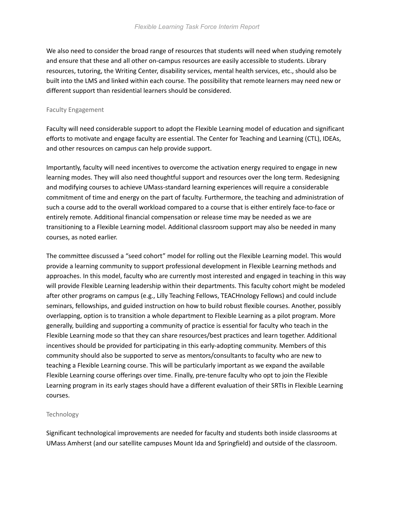We also need to consider the broad range of resources that students will need when studying remotely and ensure that these and all other on-campus resources are easily accessible to students. Library resources, tutoring, the Writing Center, disability services, mental health services, etc., should also be built into the LMS and linked within each course. The possibility that remote learners may need new or different support than residential learners should be considered.

#### Faculty Engagement

Faculty will need considerable support to adopt the Flexible Learning model of education and significant efforts to motivate and engage faculty are essential. The Center for Teaching and Learning (CTL), IDEAs, and other resources on campus can help provide support.

<span id="page-59-1"></span>Importantly, faculty will need incentives to overcome the activation energy required to engage in new learning modes. They will also need thoughtful support and resources over the long term. Redesigning and modifying courses to achieve UMass-standard learning experiences will require a considerable commitment of time and energy on the part of faculty. Furthermore, the teaching and administration of such a course add to the overall workload compared to a course that is either entirely face-to-face or entirely remote. Additional financial compensation or release time may be needed as we are transitioning to a Flexible Learning model. Additional classroom support may also be needed in many courses, as noted earlier.

<span id="page-59-0"></span>The committee discussed a "seed cohort" model for rolling out the Flexible Learning model. This would provide a learning community to support professional development in Flexible Learning methods and approaches. In this model, faculty who are currently most interested and engaged in teaching in this way will provide Flexible Learning leadership within their departments. This faculty cohort might be modeled after other programs on campus (e.g., Lilly Teaching Fellows, TEACHnology Fellows) and could include seminars, fellowships, and guided instruction on how to build robust flexible courses. Another, possibly overlapping, option is to transition a whole department to Flexible Learning as a pilot program. More generally, building and supporting a community of practice is essential for faculty who teach in the Flexible Learning mode so that they can share resources/best practices and learn together. Additional incentives should be provided for participating in this early-adopting community. Members of this community should also be supported to serve as mentors/consultants to faculty who are new to teaching a Flexible Learning course. This will be particularly important as we expand the available Flexible Learning course offerings over time. Finally, pre-tenure faculty who opt to join the Flexible Learning program in its early stages should have a different evaluation of their SRTIs in Flexible Learning courses.

#### Technology

<span id="page-59-2"></span>Significant technological improvements are needed for faculty and students both inside classrooms at UMass Amherst (and our satellite campuses Mount Ida and Springfield) and outside of the classroom.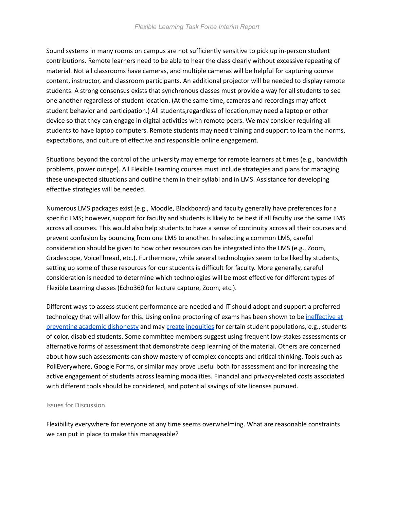Sound systems in many rooms on campus are not sufficiently sensitive to pick up in-person student contributions. Remote learners need to be able to hear the class clearly without excessive repeating of material. Not all classrooms have cameras, and multiple cameras will be helpful for capturing course content, instructor, and classroom participants. An additional projector will be needed to display remote students. A strong consensus exists that synchronous classes must provide a way for all students to see one another regardless of student location. (At the same time, cameras and recordings may affect student behavior and participation.) All students,regardless of location,may need a laptop or other device so that they can engage in digital activities with remote peers. We may consider requiring all students to have laptop computers. Remote students may need training and support to learn the norms, expectations, and culture of effective and responsible online engagement.

Situations beyond the control of the university may emerge for remote learners at times (e.g., bandwidth problems, power outage). All Flexible Learning courses must include strategies and plans for managing these unexpected situations and outline them in their syllabi and in LMS. Assistance for developing effective strategies will be needed.

<span id="page-60-0"></span>Numerous LMS packages exist (e.g., Moodle, Blackboard) and faculty generally have preferences for a specific LMS; however, support for faculty and students is likely to be best if all faculty use the same LMS across all courses. This would also help students to have a sense of continuity across all their courses and prevent confusion by bouncing from one LMS to another. In selecting a common LMS, careful consideration should be given to how other resources can be integrated into the LMS (e.g., Zoom, Gradescope, VoiceThread, etc.). Furthermore, while several technologies seem to be liked by students, setting up some of these resources for our students is difficult for faculty. More generally, careful consideration is needed to determine which technologies will be most effective for different types of Flexible Learning classes (Echo360 for lecture capture, Zoom, etc.).

Different ways to assess student performance are needed and IT should adopt and support a preferred technology that will allow for this. Using online proctoring of exams has been shown to be [ineffective at](https://www.vice.com/en/article/3an98j/students-are-easily-cheating-state-of-the-art-test-proctoring-tech) [preventing academic dishonesty](https://www.vice.com/en/article/3an98j/students-are-easily-cheating-state-of-the-art-test-proctoring-tech) and may [create](https://rachelkwalker.medium.com/surveillant-edtech-harms-nursing-students-the-profession-and-the-public-6b225c57a7b3) [inequities](https://rachelkwalker.medium.com/alternatives-to-surveillant-pedagogies-and-technologies-in-online-education-for-clinical-9def0560f753) for certain student populations, e.g., students of color, disabled students. Some committee members suggest using frequent low-stakes assessments or alternative forms of assessment that demonstrate deep learning of the material. Others are concerned about how such assessments can show mastery of complex concepts and critical thinking. Tools such as PollEverywhere, Google Forms, or similar may prove useful both for assessment and for increasing the active engagement of students across learning modalities. Financial and privacy-related costs associated with different tools should be considered, and potential savings of site licenses pursued.

#### Issues for Discussion

Flexibility everywhere for everyone at any time seems overwhelming. What are reasonable constraints we can put in place to make this manageable?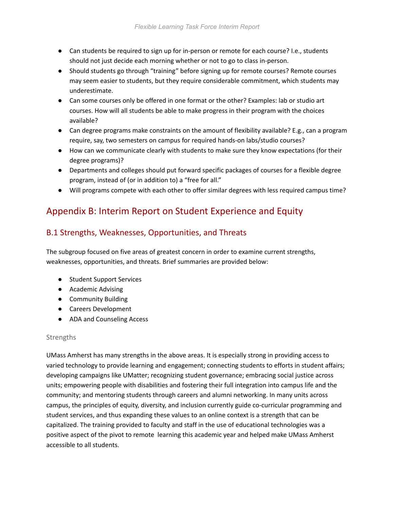- Can students be required to sign up for in-person or remote for each course? I.e., students should not just decide each morning whether or not to go to class in-person.
- Should students go through "training" before signing up for remote courses? Remote courses may seem easier to students, but they require considerable commitment, which students may underestimate.
- Can some courses only be offered in one format or the other? Examples: lab or studio art courses. How will all students be able to make progress in their program with the choices available?
- Can degree programs make constraints on the amount of flexibility available? E.g., can a program require, say, two semesters on campus for required hands-on labs/studio courses?
- How can we communicate clearly with students to make sure they know expectations (for their degree programs)?
- Departments and colleges should put forward specific packages of courses for a flexible degree program, instead of (or in addition to) a "free for all."
- Will programs compete with each other to offer similar degrees with less required campus time?

# Appendix B: Interim Report on Student Experience and Equity

# B.1 Strengths, Weaknesses, Opportunities, and Threats

The subgroup focused on five areas of greatest concern in order to examine current strengths, weaknesses, opportunities, and threats. Brief summaries are provided below:

- Student Support Services
- Academic Advising
- Community Building
- Careers Development
- ADA and Counseling Access

### <span id="page-61-0"></span>**Strengths**

UMass Amherst has many strengths in the above areas. It is especially strong in providing access to varied technology to provide learning and engagement; connecting students to efforts in student affairs; developing campaigns like UMatter; recognizing student governance; embracing social justice across units; empowering people with disabilities and fostering their full integration into campus life and the community; and mentoring students through careers and alumni networking. In many units across campus, the principles of equity, diversity, and inclusion currently guide co-curricular programming and student services, and thus expanding these values to an online context is a strength that can be capitalized. The training provided to faculty and staff in the use of educational technologies was a positive aspect of the pivot to remote learning this academic year and helped make UMass Amherst accessible to all students.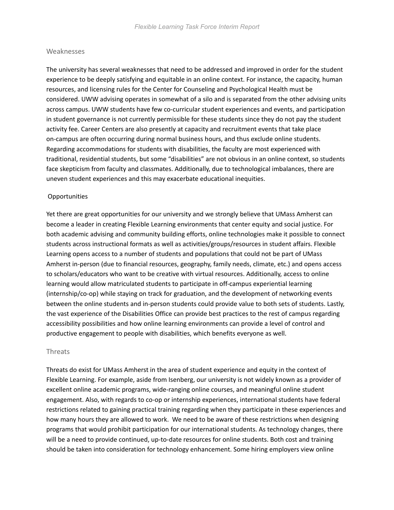#### Weaknesses

The university has several weaknesses that need to be addressed and improved in order for the student experience to be deeply satisfying and equitable in an online context. For instance, the capacity, human resources, and licensing rules for the Center for Counseling and Psychological Health must be considered. UWW advising operates in somewhat of a silo and is separated from the other advising units across campus. UWW students have few co-curricular student experiences and events, and participation in student governance is not currently permissible for these students since they do not pay the student activity fee. Career Centers are also presently at capacity and recruitment events that take place on-campus are often occurring during normal business hours, and thus exclude online students. Regarding accommodations for students with disabilities, the faculty are most experienced with traditional, residential students, but some "disabilities" are not obvious in an online context, so students face skepticism from faculty and classmates. Additionally, due to technological imbalances, there are uneven student experiences and this may exacerbate educational inequities.

#### **Opportunities**

Yet there are great opportunities for our university and we strongly believe that UMass Amherst can become a leader in creating Flexible Learning environments that center equity and social justice. For both academic advising and community building efforts, online technologies make it possible to connect students across instructional formats as well as activities/groups/resources in student affairs. Flexible Learning opens access to a number of students and populations that could not be part of UMass Amherst in-person (due to financial resources, geography, family needs, climate, etc.) and opens access to scholars/educators who want to be creative with virtual resources. Additionally, access to online learning would allow matriculated students to participate in off-campus experiential learning (internship/co-op) while staying on track for graduation, and the development of networking events between the online students and in-person students could provide value to both sets of students. Lastly, the vast experience of the Disabilities Office can provide best practices to the rest of campus regarding accessibility possibilities and how online learning environments can provide a level of control and productive engagement to people with disabilities, which benefits everyone as well.

#### Threats

Threats do exist for UMass Amherst in the area of student experience and equity in the context of Flexible Learning. For example, aside from Isenberg, our university is not widely known as a provider of excellent online academic programs, wide-ranging online courses, and meaningful online student engagement. Also, with regards to co-op or internship experiences, international students have federal restrictions related to gaining practical training regarding when they participate in these experiences and how many hours they are allowed to work. We need to be aware of these restrictions when designing programs that would prohibit participation for our international students. As technology changes, there will be a need to provide continued, up-to-date resources for online students. Both cost and training should be taken into consideration for technology enhancement. Some hiring employers view online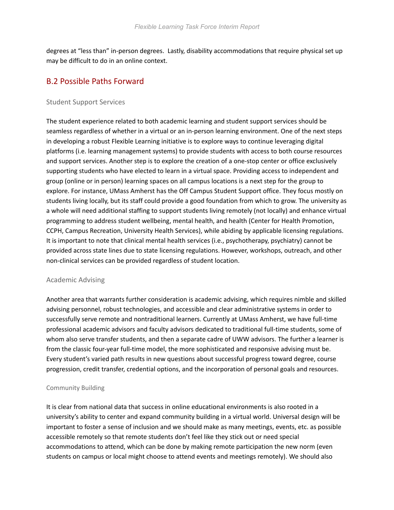degrees at "less than" in-person degrees. Lastly, disability accommodations that require physical set up may be difficult to do in an online context.

## B.2 Possible Paths Forward

#### Student Support Services

<span id="page-63-2"></span><span id="page-63-0"></span>The student experience related to both academic learning and student support services should be seamless regardless of whether in a virtual or an in-person learning environment. One of the next steps in developing a robust Flexible Learning initiative is to explore ways to continue leveraging digital platforms (i.e. learning management systems) to provide students with access to both course resources and support services. Another step is to explore the creation of a one-stop center or office exclusively supporting students who have elected to learn in a virtual space. Providing access to independent and group (online or in person) learning spaces on all campus locations is a next step for the group to explore. For instance, UMass Amherst has the Off Campus Student Support office. They focus mostly on students living locally, but its staff could provide a good foundation from which to grow. The university as a whole will need additional staffing to support students living remotely (not locally) and enhance virtual programming to address student wellbeing, mental health, and health (Center for Health Promotion, CCPH, Campus Recreation, University Health Services), while abiding by applicable licensing regulations. It is important to note that clinical mental health services (i.e., psychotherapy, psychiatry) cannot be provided across state lines due to state licensing regulations. However, workshops, outreach, and other non-clinical services can be provided regardless of student location.

#### Academic Advising

<span id="page-63-1"></span>Another area that warrants further consideration is academic advising, which requires nimble and skilled advising personnel, robust technologies, and accessible and clear administrative systems in order to successfully serve remote and nontraditional learners. Currently at UMass Amherst, we have full-time professional academic advisors and faculty advisors dedicated to traditional full-time students, some of whom also serve transfer students, and then a separate cadre of UWW advisors. The further a learner is from the classic four-year full-time model, the more sophisticated and responsive advising must be. Every student's varied path results in new questions about successful progress toward degree, course progression, credit transfer, credential options, and the incorporation of personal goals and resources.

#### Community Building

It is clear from national data that success in online educational environments is also rooted in a university's ability to center and expand community building in a virtual world. Universal design will be important to foster a sense of inclusion and we should make as many meetings, events, etc. as possible accessible remotely so that remote students don't feel like they stick out or need special accommodations to attend, which can be done by making remote participation the new norm (even students on campus or local might choose to attend events and meetings remotely). We should also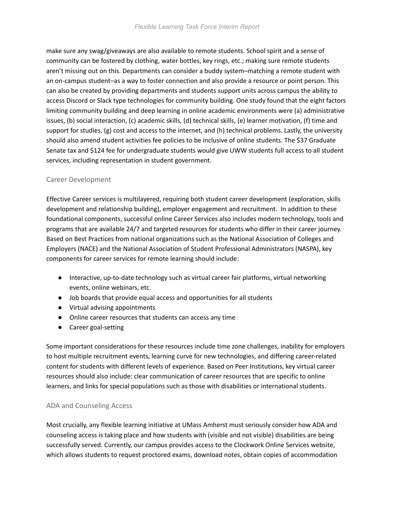make sure any swag/giveaways are also available to remote students. School spirit and a sense of community can be fostered by clothing, water bottles, key rings, etc.; making sure remote students aren't missing out on this. Departments can consider a buddy system–matching a remote student with an on-campus student–as a way to foster connection and also provide a resource or point person. This can also be created by providing departments and students support units across campus the ability to access Discord or Slack type technologies for community building. One study found that the eight factors limiting community building and deep learning in online academic environments were (a) administrative issues, (b) social interaction, (c) academic skills, (d) technical skills, (e) learner motivation, (f) time and support for studies, (g) cost and access to the internet, and (h) technical problems. Lastly, the university should also amend student activities fee policies to be inclusive of online students. The \$37 Graduate Senate tax and \$124 fee for undergraduate students would give UWW students full access to all student services, including representation in student government.

#### Career Development

Effective Career services is multilayered, requiring both student career development (exploration, skills development and relationship building), employer engagement and recruitment. In addition to these foundational components, successful online Career Services also includes modern technology, tools and programs that are available 24/7 and targeted resources for students who differ in their career journey. Based on Best Practices from national organizations such as the National Association of Colleges and Employers (NACE) and the National Association of Student Professional Administrators (NASPA), key components for career services for remote learning should include:

- Interactive, up-to-date technology such as virtual career fair platforms, virtual networking events, online webinars, etc.
- Job boards that provide equal access and opportunities for all students
- Virtual advising appointments
- Online career resources that students can access any time
- Career goal-setting

Some important considerations for these resources include time zone challenges, inability for employers to host multiple recruitment events, learning curve for new technologies, and differing career-related content for students with different levels of experience. Based on Peer Institutions, key virtual career resources should also include: clear communication of career resources that are specific to online learners, and links for special populations such as those with disabilities or international students.

### ADA and Counseling Access

Most crucially, any flexible learning initiative at UMass Amherst must seriously consider how ADA and counseling access is taking place and how students with (visible and not visible) disabilities are being successfully served. Currently, our campus provides access to the Clockwork Online Services website, which allows students to request proctored exams, download notes, obtain copies of accommodation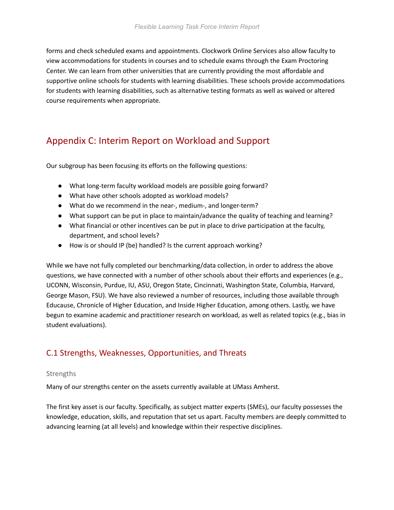forms and check scheduled exams and appointments. Clockwork Online Services also allow faculty to view accommodations for students in courses and to schedule exams through the Exam Proctoring Center. We can learn from other universities that are currently providing the most affordable and supportive online schools for students with learning disabilities. These schools provide accommodations for students with learning disabilities, such as alternative testing formats as well as waived or altered course requirements when appropriate.

# Appendix C: Interim Report on Workload and Support

Our subgroup has been focusing its efforts on the following questions:

- What long-term faculty workload models are possible going forward?
- What have other schools adopted as workload models?
- What do we recommend in the near-, medium-, and longer-term?
- What support can be put in place to maintain/advance the quality of teaching and learning?
- What financial or other incentives can be put in place to drive participation at the faculty, department, and school levels?
- How is or should IP (be) handled? Is the current approach working?

While we have not fully completed our benchmarking/data collection, in order to address the above questions, we have connected with a number of other schools about their efforts and experiences (e.g., UCONN, Wisconsin, Purdue, IU, ASU, Oregon State, Cincinnati, Washington State, Columbia, Harvard, George Mason, FSU). We have also reviewed a number of resources, including those available through Educause, Chronicle of Higher Education, and Inside Higher Education, among others. Lastly, we have begun to examine academic and practitioner research on workload, as well as related topics (e.g., bias in student evaluations).

## C.1 Strengths, Weaknesses, Opportunities, and Threats

#### **Strengths**

Many of our strengths center on the assets currently available at UMass Amherst.

The first key asset is our faculty. Specifically, as subject matter experts (SMEs), our faculty possesses the knowledge, education, skills, and reputation that set us apart. Faculty members are deeply committed to advancing learning (at all levels) and knowledge within their respective disciplines.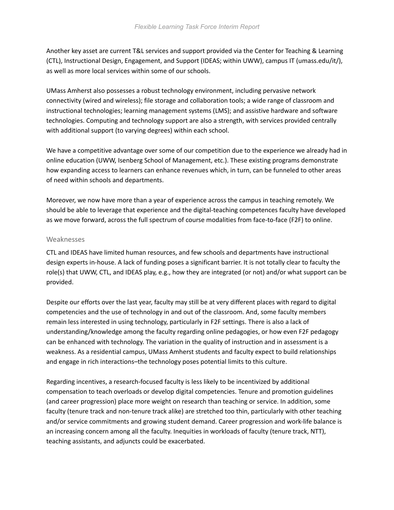Another key asset are current T&L services and support provided via the Center for Teaching & Learning (CTL), Instructional Design, Engagement, and Support (IDEAS; within UWW), campus IT (umass.edu/it/), as well as more local services within some of our schools.

UMass Amherst also possesses a robust technology environment, including pervasive network connectivity (wired and wireless); file storage and collaboration tools; a wide range of classroom and instructional technologies; learning management systems (LMS); and assistive hardware and software technologies. Computing and technology support are also a strength, with services provided centrally with additional support (to varying degrees) within each school.

We have a competitive advantage over some of our competition due to the experience we already had in online education (UWW, Isenberg School of Management, etc.). These existing programs demonstrate how expanding access to learners can enhance revenues which, in turn, can be funneled to other areas of need within schools and departments.

Moreover, we now have more than a year of experience across the campus in teaching remotely. We should be able to leverage that experience and the digital-teaching competences faculty have developed as we move forward, across the full spectrum of course modalities from face-to-face (F2F) to online.

#### Weaknesses

CTL and IDEAS have limited human resources, and few schools and departments have instructional design experts in-house. A lack of funding poses a significant barrier. It is not totally clear to faculty the role(s) that UWW, CTL, and IDEAS play, e.g., how they are integrated (or not) and/or what support can be provided.

Despite our efforts over the last year, faculty may still be at very different places with regard to digital competencies and the use of technology in and out of the classroom. And, some faculty members remain less interested in using technology, particularly in F2F settings. There is also a lack of understanding/knowledge among the faculty regarding online pedagogies, or how even F2F pedagogy can be enhanced with technology. The variation in the quality of instruction and in assessment is a weakness. As a residential campus, UMass Amherst students and faculty expect to build relationships and engage in rich interactions–the technology poses potential limits to this culture.

Regarding incentives, a research-focused faculty is less likely to be incentivized by additional compensation to teach overloads or develop digital competencies. Tenure and promotion guidelines (and career progression) place more weight on research than teaching or service. In addition, some faculty (tenure track and non-tenure track alike) are stretched too thin, particularly with other teaching and/or service commitments and growing student demand. Career progression and work-life balance is an increasing concern among all the faculty. Inequities in workloads of faculty (tenure track, NTT), teaching assistants, and adjuncts could be exacerbated.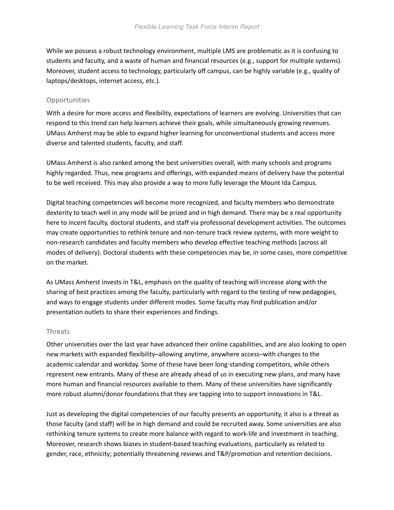While we possess a robust technology environment, multiple LMS are problematic as it is confusing to students and faculty, and a waste of human and financial resources (e.g., support for multiple systems). Moreover, student access to technology, particularly off campus, can be highly variable (e.g., quality of laptops/desktops, internet access, etc.).

#### **Opportunities**

With a desire for more access and flexibility, expectations of learners are evolving. Universities that can respond to this trend can help learners achieve their goals, while simultaneously growing revenues. UMass Amherst may be able to expand higher learning for unconventional students and access more diverse and talented students, faculty, and staff.

UMass Amherst is also ranked among the best universities overall, with many schools and programs highly regarded. Thus, new programs and offerings, with expanded means of delivery have the potential to be well received. This may also provide a way to more fully leverage the Mount Ida Campus.

Digital teaching competencies will become more recognized, and faculty members who demonstrate dexterity to teach well in any mode will be prized and in high demand. There may be a real opportunity here to incent faculty, doctoral students, and staff via professional development activities. The outcomes may create opportunities to rethink tenure and non-tenure track review systems, with more weight to non-research candidates and faculty members who develop effective teaching methods (across all modes of delivery). Doctoral students with these competencies may be, in some cases, more competitive on the market.

As UMass Amherst invests in T&L, emphasis on the quality of teaching will increase along with the sharing of best practices among the faculty, particularly with regard to the testing of new pedagogies, and ways to engage students under different modes. Some faculty may find publication and/or presentation outlets to share their experiences and findings.

#### Threats

Other universities over the last year have advanced their online capabilities, and are also looking to open new markets with expanded flexibility–allowing anytime, anywhere access–with changes to the academic calendar and workday. Some of these have been long-standing competitors, while others represent new entrants. Many of these are already ahead of us in executing new plans, and many have more human and financial resources available to them. Many of these universities have significantly more robust alumni/donor foundations that they are tapping into to support innovations in T&L.

Just as developing the digital competencies of our faculty presents an opportunity, it also is a threat as those faculty (and staff) will be in high demand and could be recruited away. Some universities are also rethinking tenure systems to create more balance with regard to work-life and investment in teaching. Moreover, research shows biases in student-based teaching evaluations, particularly as related to gender, race, ethnicity; potentially threatening reviews and T&P/promotion and retention decisions.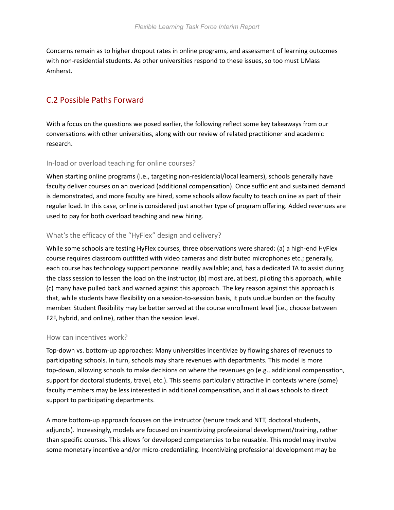Concerns remain as to higher dropout rates in online programs, and assessment of learning outcomes with non-residential students. As other universities respond to these issues, so too must UMass Amherst.

# C.2 Possible Paths Forward

With a focus on the questions we posed earlier, the following reflect some key takeaways from our conversations with other universities, along with our review of related practitioner and academic research.

### In-load or overload teaching for online courses?

When starting online programs (i.e., targeting non-residential/local learners), schools generally have faculty deliver courses on an overload (additional compensation). Once sufficient and sustained demand is demonstrated, and more faculty are hired, some schools allow faculty to teach online as part of their regular load. In this case, online is considered just another type of program offering. Added revenues are used to pay for both overload teaching and new hiring.

## What's the efficacy of the "HyFlex" design and delivery?

While some schools are testing HyFlex courses, three observations were shared: (a) a high-end HyFlex course requires classroom outfitted with video cameras and distributed microphones etc.; generally, each course has technology support personnel readily available; and, has a dedicated TA to assist during the class session to lessen the load on the instructor, (b) most are, at best, piloting this approach, while (c) many have pulled back and warned against this approach. The key reason against this approach is that, while students have flexibility on a session-to-session basis, it puts undue burden on the faculty member. Student flexibility may be better served at the course enrollment level (i.e., choose between F2F, hybrid, and online), rather than the session level.

### How can incentives work?

Top-down vs. bottom-up approaches: Many universities incentivize by flowing shares of revenues to participating schools. In turn, schools may share revenues with departments. This model is more top-down, allowing schools to make decisions on where the revenues go (e.g., additional compensation, support for doctoral students, travel, etc.). This seems particularly attractive in contexts where (some) faculty members may be less interested in additional compensation, and it allows schools to direct support to participating departments.

A more bottom-up approach focuses on the instructor (tenure track and NTT, doctoral students, adjuncts). Increasingly, models are focused on incentivizing professional development/training, rather than specific courses. This allows for developed competencies to be reusable. This model may involve some monetary incentive and/or micro-credentialing. Incentivizing professional development may be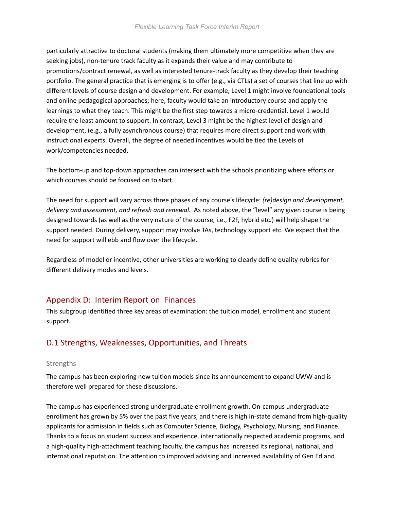particularly attractive to doctoral students (making them ultimately more competitive when they are seeking jobs), non-tenure track faculty as it expands their value and may contribute to promotions/contract renewal, as well as interested tenure-track faculty as they develop their teaching portfolio. The general practice that is emerging is to offer (e.g., via CTLs) a set of courses that line up with different levels of course design and development. For example, Level 1 might involve foundational tools and online pedagogical approaches; here, faculty would take an introductory course and apply the learnings to what they teach. This might be the first step towards a micro-credential. Level 1 would require the least amount to support. In contrast, Level 3 might be the highest level of design and development, (e.g., a fully asynchronous course) that requires more direct support and work with instructional experts. Overall, the degree of needed incentives would be tied the Levels of work/competencies needed.

The bottom-up and top-down approaches can intersect with the schools prioritizing where efforts or which courses should be focused on to start.

The need for support will vary across three phases of any course's lifecycle: *(re)design and development, delivery and assessment, and refresh and renewal.* As noted above, the "level" any given course is being designed towards (as well as the very nature of the course, i.e., F2F, hybrid etc.) will help shape the support needed. During delivery, support may involve TAs, technology support etc. We expect that the need for support will ebb and flow over the lifecycle.

Regardless of model or incentive, other universities are working to clearly define quality rubrics for different delivery modes and levels.

## Appendix D: Interim Report on Finances

This subgroup identified three key areas of examination: the tuition model, enrollment and student support.

## D.1 Strengths, Weaknesses, Opportunities, and Threats

### Strengths

The campus has been exploring new tuition models since its announcement to expand UWW and is therefore well prepared for these discussions.

The campus has experienced strong undergraduate enrollment growth. On-campus undergraduate enrollment has grown by 5% over the past five years, and there is high in-state demand from high-quality applicants for admission in fields such as Computer Science, Biology, Psychology, Nursing, and Finance. Thanks to a focus on student success and experience, internationally respected academic programs, and a high-quality high-attachment teaching faculty, the campus has increased its regional, national, and international reputation. The attention to improved advising and increased availability of Gen Ed and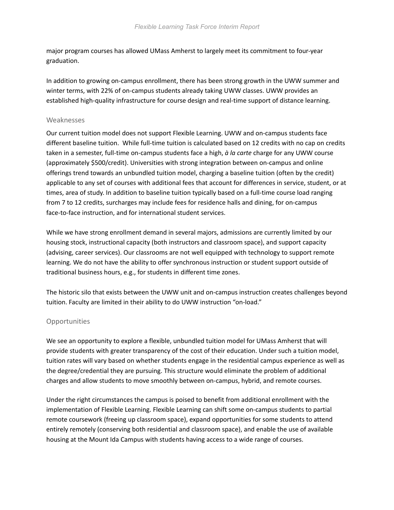major program courses has allowed UMass Amherst to largely meet its commitment to four-year graduation.

In addition to growing on-campus enrollment, there has been strong growth in the UWW summer and winter terms, with 22% of on-campus students already taking UWW classes. UWW provides an established high-quality infrastructure for course design and real-time support of distance learning.

#### Weaknesses

Our current tuition model does not support Flexible Learning. UWW and on-campus students face different baseline tuition. While full-time tuition is calculated based on 12 credits with no cap on credits taken in a semester, full-time on-campus students face a high, *à la carte* charge for any UWW course (approximately \$500/credit). Universities with strong integration between on-campus and online offerings trend towards an unbundled tuition model, charging a baseline tuition (often by the credit) applicable to any set of courses with additional fees that account for differences in service, student, or at times, area of study. In addition to baseline tuition typically based on a full-time course load ranging from 7 to 12 credits, surcharges may include fees for residence halls and dining, for on-campus face-to-face instruction, and for international student services.

While we have strong enrollment demand in several majors, admissions are currently limited by our housing stock, instructional capacity (both instructors and classroom space), and support capacity (advising, career services). Our classrooms are not well equipped with technology to support remote learning. We do not have the ability to offer synchronous instruction or student support outside of traditional business hours, e.g., for students in different time zones.

The historic silo that exists between the UWW unit and on-campus instruction creates challenges beyond tuition. Faculty are limited in their ability to do UWW instruction "on-load."

#### Opportunities

We see an opportunity to explore a flexible, unbundled tuition model for UMass Amherst that will provide students with greater transparency of the cost of their education. Under such a tuition model, tuition rates will vary based on whether students engage in the residential campus experience as well as the degree/credential they are pursuing. This structure would eliminate the problem of additional charges and allow students to move smoothly between on-campus, hybrid, and remote courses.

Under the right circumstances the campus is poised to benefit from additional enrollment with the implementation of Flexible Learning. Flexible Learning can shift some on-campus students to partial remote coursework (freeing up classroom space), expand opportunities for some students to attend entirely remotely (conserving both residential and classroom space), and enable the use of available housing at the Mount Ida Campus with students having access to a wide range of courses.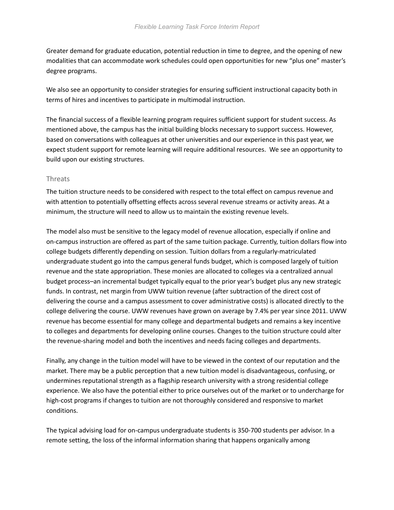Greater demand for graduate education, potential reduction in time to degree, and the opening of new modalities that can accommodate work schedules could open opportunities for new "plus one" master's degree programs.

We also see an opportunity to consider strategies for ensuring sufficient instructional capacity both in terms of hires and incentives to participate in multimodal instruction.

The financial success of a flexible learning program requires sufficient support for student success. As mentioned above, the campus has the initial building blocks necessary to support success. However, based on conversations with colleagues at other universities and our experience in this past year, we expect student support for remote learning will require additional resources. We see an opportunity to build upon our existing structures.

#### **Threats**

The tuition structure needs to be considered with respect to the total effect on campus revenue and with attention to potentially offsetting effects across several revenue streams or activity areas. At a minimum, the structure will need to allow us to maintain the existing revenue levels.

The model also must be sensitive to the legacy model of revenue allocation, especially if online and on-campus instruction are offered as part of the same tuition package. Currently, tuition dollars flow into college budgets differently depending on session. Tuition dollars from a regularly-matriculated undergraduate student go into the campus general funds budget, which is composed largely of tuition revenue and the state appropriation. These monies are allocated to colleges via a centralized annual budget process–an incremental budget typically equal to the prior year's budget plus any new strategic funds. In contrast, net margin from UWW tuition revenue (after subtraction of the direct cost of delivering the course and a campus assessment to cover administrative costs) is allocated directly to the college delivering the course. UWW revenues have grown on average by 7.4% per year since 2011. UWW revenue has become essential for many college and departmental budgets and remains a key incentive to colleges and departments for developing online courses. Changes to the tuition structure could alter the revenue-sharing model and both the incentives and needs facing colleges and departments.

Finally, any change in the tuition model will have to be viewed in the context of our reputation and the market. There may be a public perception that a new tuition model is disadvantageous, confusing, or undermines reputational strength as a flagship research university with a strong residential college experience. We also have the potential either to price ourselves out of the market or to undercharge for high-cost programs if changes to tuition are not thoroughly considered and responsive to market conditions.

The typical advising load for on-campus undergraduate students is 350-700 students per advisor. In a remote setting, the loss of the informal information sharing that happens organically among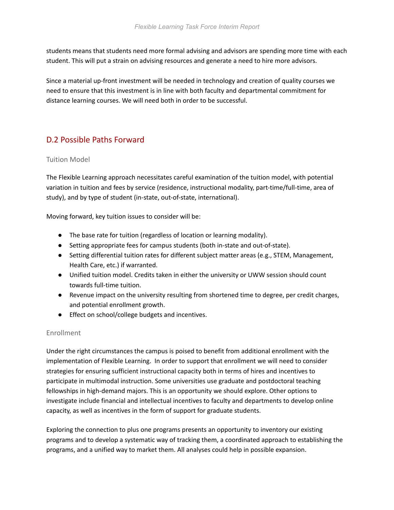students means that students need more formal advising and advisors are spending more time with each student. This will put a strain on advising resources and generate a need to hire more advisors.

Since a material up-front investment will be needed in technology and creation of quality courses we need to ensure that this investment is in line with both faculty and departmental commitment for distance learning courses. We will need both in order to be successful.

# D.2 Possible Paths Forward

## Tuition Model

The Flexible Learning approach necessitates careful examination of the tuition model, with potential variation in tuition and fees by service (residence, instructional modality, part-time/full-time, area of study), and by type of student (in-state, out-of-state, international).

Moving forward, key tuition issues to consider will be:

- The base rate for tuition (regardless of location or learning modality).
- Setting appropriate fees for campus students (both in-state and out-of-state).
- Setting differential tuition rates for different subject matter areas (e.g., STEM, Management, Health Care, etc.) if warranted.
- Unified tuition model. Credits taken in either the university or UWW session should count towards full-time tuition.
- Revenue impact on the university resulting from shortened time to degree, per credit charges, and potential enrollment growth.
- Effect on school/college budgets and incentives.

## Enrollment

Under the right circumstances the campus is poised to benefit from additional enrollment with the implementation of Flexible Learning. In order to support that enrollment we will need to consider strategies for ensuring sufficient instructional capacity both in terms of hires and incentives to participate in multimodal instruction. Some universities use graduate and postdoctoral teaching fellowships in high-demand majors. This is an opportunity we should explore. Other options to investigate include financial and intellectual incentives to faculty and departments to develop online capacity, as well as incentives in the form of support for graduate students.

Exploring the connection to plus one programs presents an opportunity to inventory our existing programs and to develop a systematic way of tracking them, a coordinated approach to establishing the programs, and a unified way to market them. All analyses could help in possible expansion.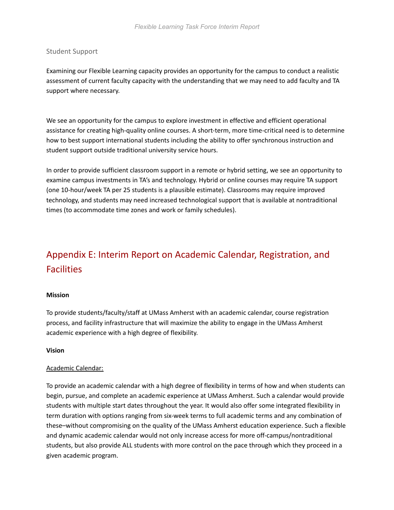#### Student Support

Examining our Flexible Learning capacity provides an opportunity for the campus to conduct a realistic assessment of current faculty capacity with the understanding that we may need to add faculty and TA support where necessary.

We see an opportunity for the campus to explore investment in effective and efficient operational assistance for creating high-quality online courses. A short-term, more time-critical need is to determine how to best support international students including the ability to offer synchronous instruction and student support outside traditional university service hours.

In order to provide sufficient classroom support in a remote or hybrid setting, we see an opportunity to examine campus investments in TA's and technology. Hybrid or online courses may require TA support (one 10-hour/week TA per 25 students is a plausible estimate). Classrooms may require improved technology, and students may need increased technological support that is available at nontraditional times (to accommodate time zones and work or family schedules).

# Appendix E: Interim Report on Academic Calendar, Registration, and **Facilities**

#### **Mission**

To provide students/faculty/staff at UMass Amherst with an academic calendar, course registration process, and facility infrastructure that will maximize the ability to engage in the UMass Amherst academic experience with a high degree of flexibility.

#### **Vision**

#### Academic Calendar:

To provide an academic calendar with a high degree of flexibility in terms of how and when students can begin, pursue, and complete an academic experience at UMass Amherst. Such a calendar would provide students with multiple start dates throughout the year. It would also offer some integrated flexibility in term duration with options ranging from six-week terms to full academic terms and any combination of these–without compromising on the quality of the UMass Amherst education experience. Such a flexible and dynamic academic calendar would not only increase access for more off-campus/nontraditional students, but also provide ALL students with more control on the pace through which they proceed in a given academic program.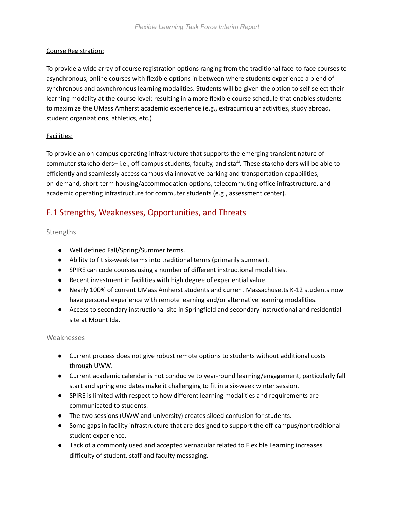### Course Registration:

To provide a wide array of course registration options ranging from the traditional face-to-face courses to asynchronous, online courses with flexible options in between where students experience a blend of synchronous and asynchronous learning modalities. Students will be given the option to self-select their learning modality at the course level; resulting in a more flexible course schedule that enables students to maximize the UMass Amherst academic experience (e.g., extracurricular activities, study abroad, student organizations, athletics, etc.).

#### Facilities:

To provide an on-campus operating infrastructure that supports the emerging transient nature of commuter stakeholders– i.e., off-campus students, faculty, and staff. These stakeholders will be able to efficiently and seamlessly access campus via innovative parking and transportation capabilities, on-demand, short-term housing/accommodation options, telecommuting office infrastructure, and academic operating infrastructure for commuter students (e.g., assessment center).

# E.1 Strengths, Weaknesses, Opportunities, and Threats

### Strengths

- Well defined Fall/Spring/Summer terms.
- Ability to fit six-week terms into traditional terms (primarily summer).
- SPIRE can code courses using a number of different instructional modalities.
- Recent investment in facilities with high degree of experiential value.
- Nearly 100% of current UMass Amherst students and current Massachusetts K-12 students now have personal experience with remote learning and/or alternative learning modalities.
- Access to secondary instructional site in Springfield and secondary instructional and residential site at Mount Ida.

#### Weaknesses

- Current process does not give robust remote options to students without additional costs through UWW.
- Current academic calendar is not conducive to year-round learning/engagement, particularly fall start and spring end dates make it challenging to fit in a six-week winter session.
- SPIRE is limited with respect to how different learning modalities and requirements are communicated to students.
- The two sessions (UWW and university) creates siloed confusion for students.
- Some gaps in facility infrastructure that are designed to support the off-campus/nontraditional student experience.
- Lack of a commonly used and accepted vernacular related to Flexible Learning increases difficulty of student, staff and faculty messaging.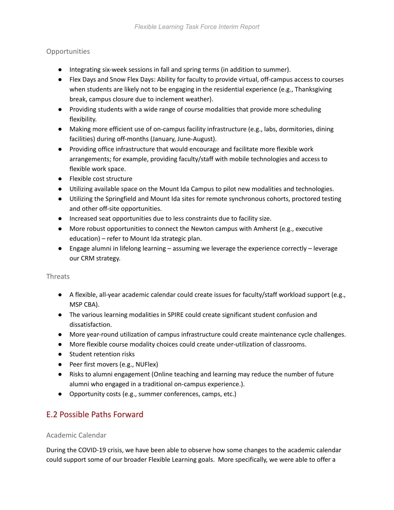## Opportunities

- Integrating six-week sessions in fall and spring terms (in addition to summer).
- Flex Days and Snow Flex Days: Ability for faculty to provide virtual, off-campus access to courses when students are likely not to be engaging in the residential experience (e.g., Thanksgiving break, campus closure due to inclement weather).
- Providing students with a wide range of course modalities that provide more scheduling flexibility.
- Making more efficient use of on-campus facility infrastructure (e.g., labs, dormitories, dining facilities) during off-months (January, June-August).
- Providing office infrastructure that would encourage and facilitate more flexible work arrangements; for example, providing faculty/staff with mobile technologies and access to flexible work space.
- Flexible cost structure
- Utilizing available space on the Mount Ida Campus to pilot new modalities and technologies.
- Utilizing the Springfield and Mount Ida sites for remote synchronous cohorts, proctored testing and other off-site opportunities.
- Increased seat opportunities due to less constraints due to facility size.
- More robust opportunities to connect the Newton campus with Amherst (e.g., executive education) – refer to Mount Ida strategic plan.
- Engage alumni in lifelong learning assuming we leverage the experience correctly leverage our CRM strategy.

### Threats

- A flexible, all-year academic calendar could create issues for faculty/staff workload support (e.g., MSP CBA).
- The various learning modalities in SPIRE could create significant student confusion and dissatisfaction.
- More year-round utilization of campus infrastructure could create maintenance cycle challenges.
- More flexible course modality choices could create under-utilization of classrooms.
- Student retention risks
- Peer first movers (e.g., NUFlex)
- Risks to alumni engagement (Online teaching and learning may reduce the number of future alumni who engaged in a traditional on-campus experience.).
- Opportunity costs (e.g., summer conferences, camps, etc.)

# E.2 Possible Paths Forward

### Academic Calendar

During the COVID-19 crisis, we have been able to observe how some changes to the academic calendar could support some of our broader Flexible Learning goals. More specifically, we were able to offer a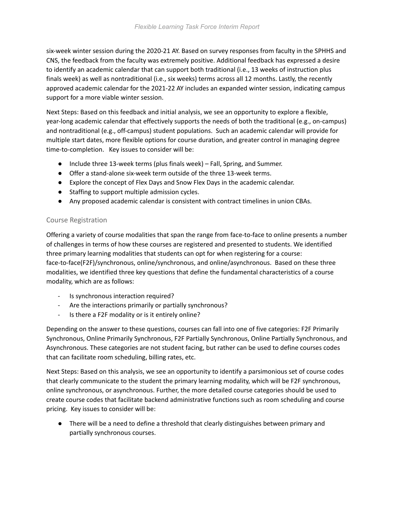six-week winter session during the 2020-21 AY. Based on survey responses from faculty in the SPHHS and CNS, the feedback from the faculty was extremely positive. Additional feedback has expressed a desire to identify an academic calendar that can support both traditional (i.e., 13 weeks of instruction plus finals week) as well as nontraditional (i.e., six weeks) terms across all 12 months. Lastly, the recently approved academic calendar for the 2021-22 AY includes an expanded winter session, indicating campus support for a more viable winter session.

Next Steps: Based on this feedback and initial analysis, we see an opportunity to explore a flexible, year-long academic calendar that effectively supports the needs of both the traditional (e.g., on-campus) and nontraditional (e.g., off-campus) student populations. Such an academic calendar will provide for multiple start dates, more flexible options for course duration, and greater control in managing degree time-to-completion. Key issues to consider will be:

- Include three 13-week terms (plus finals week) Fall, Spring, and Summer.
- Offer a stand-alone six-week term outside of the three 13-week terms.
- Explore the concept of Flex Days and Snow Flex Days in the academic calendar.
- Staffing to support multiple admission cycles.
- Any proposed academic calendar is consistent with contract timelines in union CBAs.

## Course Registration

Offering a variety of course modalities that span the range from face-to-face to online presents a number of challenges in terms of how these courses are registered and presented to students. We identified three primary learning modalities that students can opt for when registering for a course: face-to-face(F2F)/synchronous, online/synchronous, and online/asynchronous. Based on these three modalities, we identified three key questions that define the fundamental characteristics of a course modality, which are as follows:

- Is synchronous interaction required?
- Are the interactions primarily or partially synchronous?
- Is there a F2F modality or is it entirely online?

Depending on the answer to these questions, courses can fall into one of five categories: F2F Primarily Synchronous, Online Primarily Synchronous, F2F Partially Synchronous, Online Partially Synchronous, and Asynchronous. These categories are not student facing, but rather can be used to define courses codes that can facilitate room scheduling, billing rates, etc.

Next Steps: Based on this analysis, we see an opportunity to identify a parsimonious set of course codes that clearly communicate to the student the primary learning modality, which will be F2F synchronous, online synchronous, or asynchronous. Further, the more detailed course categories should be used to create course codes that facilitate backend administrative functions such as room scheduling and course pricing. Key issues to consider will be:

● There will be a need to define a threshold that clearly distinguishes between primary and partially synchronous courses.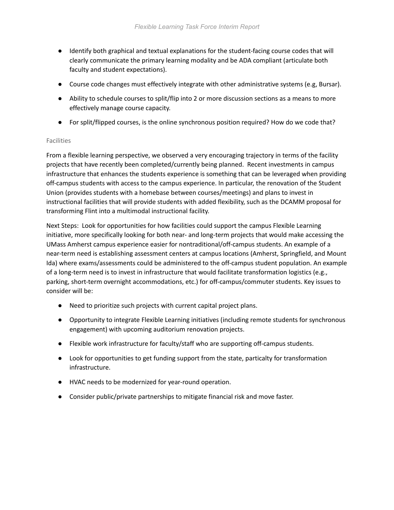- Identify both graphical and textual explanations for the student-facing course codes that will clearly communicate the primary learning modality and be ADA compliant (articulate both faculty and student expectations).
- Course code changes must effectively integrate with other administrative systems (e.g, Bursar).
- Ability to schedule courses to split/flip into 2 or more discussion sections as a means to more effectively manage course capacity.
- For split/flipped courses, is the online synchronous position required? How do we code that?

#### Facilities

From a flexible learning perspective, we observed a very encouraging trajectory in terms of the facility projects that have recently been completed/currently being planned. Recent investments in campus infrastructure that enhances the students experience is something that can be leveraged when providing off-campus students with access to the campus experience. In particular, the renovation of the Student Union (provides students with a homebase between courses/meetings) and plans to invest in instructional facilities that will provide students with added flexibility, such as the DCAMM proposal for transforming Flint into a multimodal instructional facility.

Next Steps: Look for opportunities for how facilities could support the campus Flexible Learning initiative, more specifically looking for both near- and long-term projects that would make accessing the UMass Amherst campus experience easier for nontraditional/off-campus students. An example of a near-term need is establishing assessment centers at campus locations (Amherst, Springfield, and Mount Ida) where exams/assessments could be administered to the off-campus student population. An example of a long-term need is to invest in infrastructure that would facilitate transformation logistics (e.g., parking, short-term overnight accommodations, etc.) for off-campus/commuter students. Key issues to consider will be:

- Need to prioritize such projects with current capital project plans.
- Opportunity to integrate Flexible Learning initiatives (including remote students for synchronous engagement) with upcoming auditorium renovation projects.
- Flexible work infrastructure for faculty/staff who are supporting off-campus students.
- Look for opportunities to get funding support from the state, particalty for transformation infrastructure.
- HVAC needs to be modernized for year-round operation.
- Consider public/private partnerships to mitigate financial risk and move faster.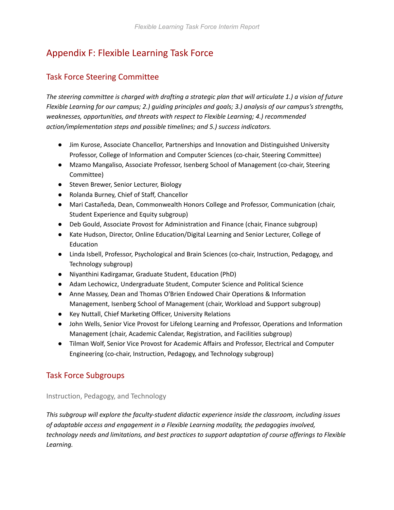# Appendix F: Flexible Learning Task Force

# Task Force Steering Committee

*The steering committee is charged with drafting a strategic plan that will articulate 1.) a vision of future Flexible Learning for our campus; 2.) guiding principles and goals; 3.) analysis of our campus's strengths, weaknesses, opportunities, and threats with respect to Flexible Learning; 4.) recommended action/implementation steps and possible timelines; and 5.) success indicators.*

- Jim Kurose, Associate Chancellor, Partnerships and Innovation and Distinguished University Professor, College of Information and Computer Sciences (co-chair, Steering Committee)
- Mzamo Mangaliso, Associate Professor, Isenberg School of Management (co-chair, Steering Committee)
- Steven Brewer, Senior Lecturer, Biology
- Rolanda Burney, Chief of Staff, Chancellor
- Mari Castañeda, Dean, Commonwealth Honors College and Professor, Communication (chair, Student Experience and Equity subgroup)
- Deb Gould, Associate Provost for Administration and Finance (chair, Finance subgroup)
- Kate Hudson, Director, Online Education/Digital Learning and Senior Lecturer, College of Education
- Linda Isbell, Professor, Psychological and Brain Sciences (co-chair, Instruction, Pedagogy, and Technology subgroup)
- Niyanthini Kadirgamar, Graduate Student, Education (PhD)
- Adam Lechowicz, Undergraduate Student, Computer Science and Political Science
- Anne Massey, Dean and Thomas O'Brien Endowed Chair Operations & Information Management, Isenberg School of Management (chair, Workload and Support subgroup)
- Key Nuttall, Chief Marketing Officer, University Relations
- John Wells, Senior Vice Provost for Lifelong Learning and Professor, Operations and Information Management (chair, Academic Calendar, Registration, and Facilities subgroup)
- Tilman Wolf, Senior Vice Provost for Academic Affairs and Professor, Electrical and Computer Engineering (co-chair, Instruction, Pedagogy, and Technology subgroup)

# Task Force Subgroups

Instruction, Pedagogy, and Technology

*This subgroup will explore the faculty-student didactic experience inside the classroom, including issues of adaptable access and engagement in a Flexible Learning modality, the pedagogies involved, technology needs and limitations, and best practices to support adaptation of course offerings to Flexible Learning.*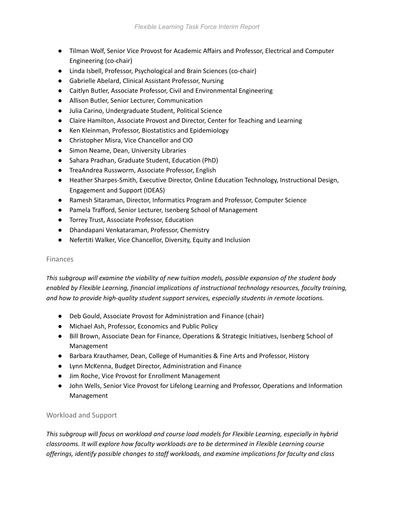- Tilman Wolf, Senior Vice Provost for Academic Affairs and Professor, Electrical and Computer Engineering (co-chair)
- Linda Isbell, Professor, Psychological and Brain Sciences (co-chair)
- Gabrielle Abelard, Clinical Assistant Professor, Nursing
- Caitlyn Butler, Associate Professor, Civil and Environmental Engineering
- Allison Butler, Senior Lecturer, Communication
- Julia Carino, Undergraduate Student, Political Science
- Claire Hamilton, Associate Provost and Director, Center for Teaching and Learning
- Ken Kleinman, Professor, Biostatistics and Epidemiology
- Christopher Misra, Vice Chancellor and CIO
- Simon Neame, Dean, University Libraries
- Sahara Pradhan, Graduate Student, Education (PhD)
- TreaAndrea Russworm, Associate Professor, English
- Heather Sharpes-Smith, Executive Director, Online Education Technology, Instructional Design, Engagement and Support (IDEAS)
- Ramesh Sitaraman, Director, Informatics Program and Professor, Computer Science
- Pamela Trafford, Senior Lecturer, Isenberg School of Management
- Torrey Trust, Associate Professor, Education
- Dhandapani Venkataraman, Professor, Chemistry
- Nefertiti Walker, Vice Chancellor, Diversity, Equity and Inclusion

#### Finances

*<sup>T</sup>his subgroup will examine the viability of new tuition models, possible expansion of the student body enabled by Flexible Learning, financial implications of instructional technology resources, faculty training, and how to provide high-quality student support services, especially students in remote locations.*

- Deb Gould, Associate Provost for Administration and Finance (chair)
- Michael Ash, Professor, Economics and Public Policy
- Bill Brown, Associate Dean for Finance, Operations & Strategic Initiatives, Isenberg School of Management
- Barbara Krauthamer, Dean, College of Humanities & Fine Arts and Professor, History
- Lynn McKenna, Budget Director, Administration and Finance
- Jim Roche, Vice Provost for Enrollment Management
- John Wells, Senior Vice Provost for Lifelong Learning and Professor, Operations and Information Management

### Workload and Support

*This subgroup will focus on workload and course load models for Flexible Learning, especially in hybrid classrooms. It will explore how faculty workloads are to be determined in Flexible Learning course offerings, identify possible changes to staff workloads, and examine implications for faculty and class*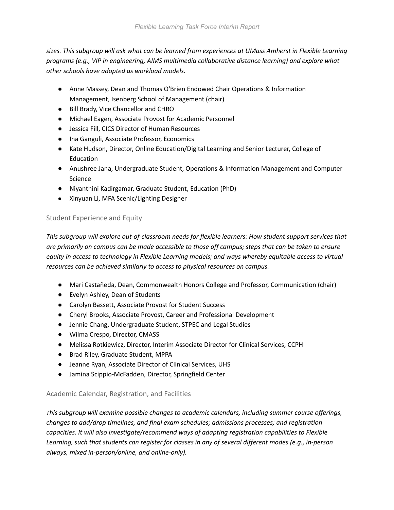*sizes. This subgroup will ask what can be learned from experiences at UMass Amherst in Flexible Learning programs (e.g., VIP in engineering, AIMS multimedia collaborative distance learning) and explore what other schools have adopted as workload models.*

- Anne Massey, Dean and Thomas O'Brien Endowed Chair Operations & Information Management, Isenberg School of Management (chair)
- Bill Brady, Vice Chancellor and CHRO
- Michael Eagen, Associate Provost for Academic Personnel
- Jessica Fill, CICS Director of Human Resources
- Ina Ganguli, Associate Professor, Economics
- Kate Hudson, Director, Online Education/Digital Learning and Senior Lecturer, College of Education
- Anushree Jana, Undergraduate Student, Operations & Information Management and Computer Science
- Niyanthini Kadirgamar, Graduate Student, Education (PhD)
- Xinyuan Li, MFA Scenic/Lighting Designer

# Student Experience and Equity

*This subgroup will explore out-of-classroom needs for flexible learners: How student support services that are primarily on campus can be made accessible to those off campus; steps that can be taken to ensure equity in access to technology in Flexible Learning models; and ways whereby equitable access to virtual resources can be achieved similarly to access to physical resources on campus.*

- Mari Castañeda, Dean, Commonwealth Honors College and Professor, Communication (chair)
- Evelyn Ashley, Dean of Students
- Carolyn Bassett, Associate Provost for Student Success
- Cheryl Brooks, Associate Provost, Career and Professional Development
- Jennie Chang, Undergraduate Student, STPEC and Legal Studies
- Wilma Crespo, Director, CMASS
- Melissa Rotkiewicz, Director, Interim Associate Director for Clinical Services, CCPH
- Brad Riley, Graduate Student, MPPA
- Jeanne Ryan, Associate Director of Clinical Services, UHS
- Jamina Scippio-McFadden, Director, Springfield Center

## Academic Calendar, Registration, and Facilities

*<sup>T</sup>his subgroup will examine possible changes to academic calendars, including summer course offerings, changes to add/drop timelines, and final exam schedules; admissions processes; and registration capacities. It will also investigate/recommend ways of adapting registration capabilities to Flexible Learning, such that students can register for classes in any of several different modes (e.g., in-person always, mixed in-person/online, and online-only).*